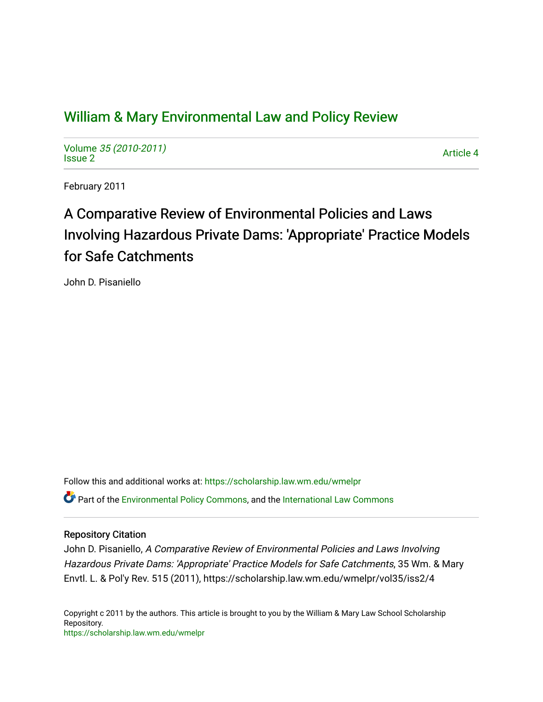# [William & Mary Environmental Law and Policy Review](https://scholarship.law.wm.edu/wmelpr)

Volume [35 \(2010-2011\)](https://scholarship.law.wm.edu/wmelpr/vol35)  volume 33 (2010-2011)<br>[Issue 2](https://scholarship.law.wm.edu/wmelpr/vol35/iss2)

February 2011

# A Comparative Review of Environmental Policies and Laws Involving Hazardous Private Dams: 'Appropriate' Practice Models for Safe Catchments

John D. Pisaniello

Follow this and additional works at: [https://scholarship.law.wm.edu/wmelpr](https://scholarship.law.wm.edu/wmelpr?utm_source=scholarship.law.wm.edu%2Fwmelpr%2Fvol35%2Fiss2%2F4&utm_medium=PDF&utm_campaign=PDFCoverPages) Part of the [Environmental Policy Commons,](http://network.bepress.com/hgg/discipline/1027?utm_source=scholarship.law.wm.edu%2Fwmelpr%2Fvol35%2Fiss2%2F4&utm_medium=PDF&utm_campaign=PDFCoverPages) and the [International Law Commons](http://network.bepress.com/hgg/discipline/609?utm_source=scholarship.law.wm.edu%2Fwmelpr%2Fvol35%2Fiss2%2F4&utm_medium=PDF&utm_campaign=PDFCoverPages)

## Repository Citation

John D. Pisaniello, A Comparative Review of Environmental Policies and Laws Involving Hazardous Private Dams: 'Appropriate' Practice Models for Safe Catchments, 35 Wm. & Mary Envtl. L. & Pol'y Rev. 515 (2011), https://scholarship.law.wm.edu/wmelpr/vol35/iss2/4

Copyright c 2011 by the authors. This article is brought to you by the William & Mary Law School Scholarship Repository. <https://scholarship.law.wm.edu/wmelpr>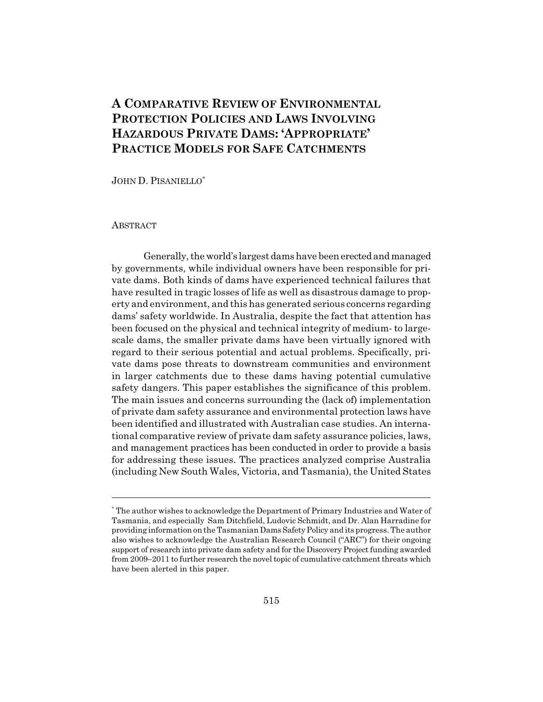# **A COMPARATIVE REVIEW OF ENVIRONMENTAL PROTECTION POLICIES AND LAWS INVOLVING HAZARDOUS PRIVATE DAMS: 'APPROPRIATE' PRACTICE MODELS FOR SAFE CATCHMENTS**

JOHN D. PISANIELLO\*

#### ABSTRACT

Generally, the world's largest dams have been erected and managed by governments, while individual owners have been responsible for private dams. Both kinds of dams have experienced technical failures that have resulted in tragic losses of life as well as disastrous damage to property and environment, and this has generated serious concerns regarding dams' safety worldwide. In Australia, despite the fact that attention has been focused on the physical and technical integrity of medium- to largescale dams, the smaller private dams have been virtually ignored with regard to their serious potential and actual problems. Specifically, private dams pose threats to downstream communities and environment in larger catchments due to these dams having potential cumulative safety dangers. This paper establishes the significance of this problem. The main issues and concerns surrounding the (lack of) implementation of private dam safety assurance and environmental protection laws have been identified and illustrated with Australian case studies. An international comparative review of private dam safety assurance policies, laws, and management practices has been conducted in order to provide a basis for addressing these issues. The practices analyzed comprise Australia (including New South Wales, Victoria, and Tasmania), the United States

<sup>\*</sup> The author wishes to acknowledge the Department of Primary Industries and Water of Tasmania, and especially Sam Ditchfield, Ludovic Schmidt, and Dr. Alan Harradine for providing information on the Tasmanian Dams Safety Policy and its progress. The author also wishes to acknowledge the Australian Research Council ("ARC") for their ongoing support of research into private dam safety and for the Discovery Project funding awarded from 2009–2011 to further research the novel topic of cumulative catchment threats which have been alerted in this paper.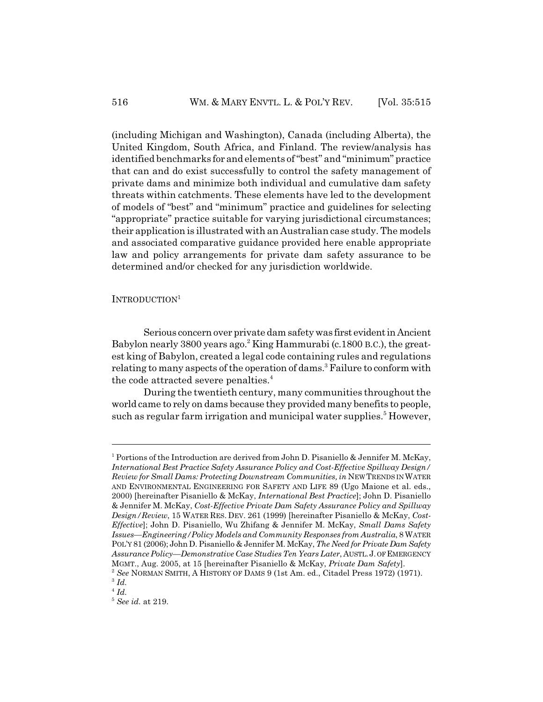(including Michigan and Washington), Canada (including Alberta), the United Kingdom, South Africa, and Finland. The review/analysis has identified benchmarks for and elements of "best" and "minimum" practice that can and do exist successfully to control the safety management of private dams and minimize both individual and cumulative dam safety threats within catchments. These elements have led to the development of models of "best" and "minimum" practice and guidelines for selecting "appropriate" practice suitable for varying jurisdictional circumstances; their application is illustrated with an Australian case study. The models and associated comparative guidance provided here enable appropriate law and policy arrangements for private dam safety assurance to be determined and/or checked for any jurisdiction worldwide.

#### INTRODUCTION<sup>1</sup>

Serious concern over private dam safety was first evident in Ancient Babylon nearly 3800 years ago.<sup>2</sup> King Hammurabi (c.1800 B.C.), the greatest king of Babylon, created a legal code containing rules and regulations relating to many aspects of the operation of dams.<sup>3</sup> Failure to conform with the code attracted severe penalties.<sup>4</sup>

During the twentieth century, many communities throughout the world came to rely on dams because they provided many benefits to people, such as regular farm irrigation and municipal water supplies.<sup>5</sup> However,

<sup>&</sup>lt;sup>1</sup> Portions of the Introduction are derived from John D. Pisaniello & Jennifer M. McKay, *International Best Practice Safety Assurance Policy and Cost-Effective Spillway Design/ Review for Small Dams: Protecting Downstream Communities, in* NEW TRENDS IN WATER AND ENVIRONMENTAL ENGINEERING FOR SAFETY AND LIFE 89 (Ugo Maione et al. eds., 2000) [hereinafter Pisaniello & McKay, *International Best Practice*]; John D. Pisaniello & Jennifer M. McKay, *Cost-Effective Private Dam Safety Assurance Policy and Spillway Design/Review*, 15 WATER RES. DEV. 261 (1999) [hereinafter Pisaniello & McKay, *Cost-Effective*]; John D. Pisaniello, Wu Zhifang & Jennifer M. McKay, *Small Dams Safety Issues—Engineering/Policy Models and Community Responses from Australia*, 8 WATER POL'Y 81 (2006); John D. Pisaniello & Jennifer M. McKay, *The Need for Private Dam Safety Assurance Policy—Demonstrative Case Studies Ten Years Later*, AUSTL.J. OF EMERGENCY MGMT., Aug. 2005, at 15 [hereinafter Pisaniello & McKay, *Private Dam Safety*].

<sup>2</sup> *See* NORMAN SMITH, A HISTORY OF DAMS 9 (1st Am. ed., Citadel Press 1972) (1971). <sup>3</sup> *Id.*

 $^4$   $\mathit{Id}.$ 

<sup>5</sup> *See id.* at 219.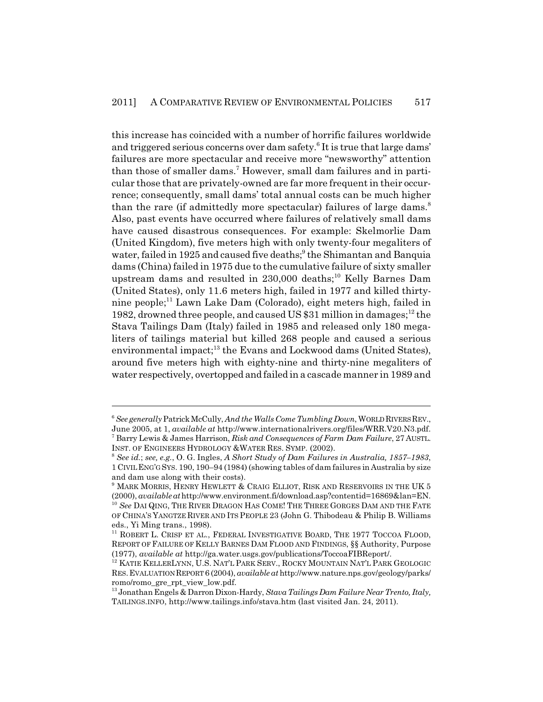this increase has coincided with a number of horrific failures worldwide and triggered serious concerns over dam safety.<sup>6</sup> It is true that large dams' failures are more spectacular and receive more "newsworthy" attention than those of smaller dams.<sup>7</sup> However, small dam failures and in particular those that are privately-owned are far more frequent in their occurrence; consequently, small dams' total annual costs can be much higher than the rare (if admittedly more spectacular) failures of large dams.<sup>8</sup> Also, past events have occurred where failures of relatively small dams have caused disastrous consequences. For example: Skelmorlie Dam (United Kingdom), five meters high with only twenty-four megaliters of water, failed in 1925 and caused five deaths;<sup>9</sup> the Shimantan and Banquia dams (China) failed in 1975 due to the cumulative failure of sixty smaller upstream dams and resulted in 230,000 deaths;<sup>10</sup> Kelly Barnes Dam (United States), only 11.6 meters high, failed in 1977 and killed thirtynine people;<sup>11</sup> Lawn Lake Dam (Colorado), eight meters high, failed in 1982, drowned three people, and caused US  $$31$  million in damages;<sup>12</sup> the Stava Tailings Dam (Italy) failed in 1985 and released only 180 megaliters of tailings material but killed 268 people and caused a serious environmental impact; $^{13}$  the Evans and Lockwood dams (United States), around five meters high with eighty-nine and thirty-nine megaliters of water respectively, overtopped and failed in a cascade manner in 1989 and

<sup>6</sup> *See generally* Patrick McCully, *And the Walls Come Tumbling Down*, WORLD RIVERS REV., June 2005, at 1, *available at* http://www.internationalrivers.org/files/WRR.V20.N3.pdf. 7 Barry Lewis & James Harrison, *Risk and Consequences of Farm Dam Failure*, 27 AUSTL. INST. OF ENGINEERS HYDROLOGY &WATER RES. SYMP. (2002).

<sup>8</sup> *See id.*; *see, e.g.*, O. G. Ingles, *A Short Study of Dam Failures in Australia, 1857–1983*, 1 CIVIL ENG'G SYS. 190, 190–94 (1984) (showing tables of dam failures in Australia by size and dam use along with their costs).

<sup>9</sup> MARK MORRIS, HENRY HEWLETT & CRAIG ELLIOT, RISK AND RESERVOIRS IN THE UK 5 (2000), *available at* http://www.environment.fi/download.asp?contentid=16869&lan=EN. <sup>10</sup> *See* DAI QING, THE RIVER DRAGON HAS COME! THE THREE GORGES DAM AND THE FATE OF CHINA'S YANGTZE RIVER AND ITS PEOPLE 23 (John G. Thibodeau & Philip B. Williams eds., Yi Ming trans., 1998).

<sup>&</sup>lt;sup>11</sup> ROBERT L. CRISP ET AL., FEDERAL INVESTIGATIVE BOARD, THE 1977 TOCCOA FLOOD, REPORT OF FAILURE OF KELLY BARNES DAM FLOOD AND FINDINGS, §§ Authority, Purpose (1977), *available at* http://ga.water.usgs.gov/publications/ToccoaFIBReport/.

 $^{12}$ KATIE KELLERLYNN, U.S. NAT'L PARK SERV., ROCKY MOUNTAIN NAT'L PARK GEOLOGIC RES.EVALUATION REPORT 6 (2004), *available at* http://www.nature.nps.gov/geology/parks/ romo/romo\_gre\_rpt\_view\_low.pdf.

<sup>13</sup> Jonathan Engels & Darron Dixon-Hardy, *Stava Tailings Dam Failure Near Trento, Italy,* TAILINGS.INFO, http://www.tailings.info/stava.htm (last visited Jan. 24, 2011).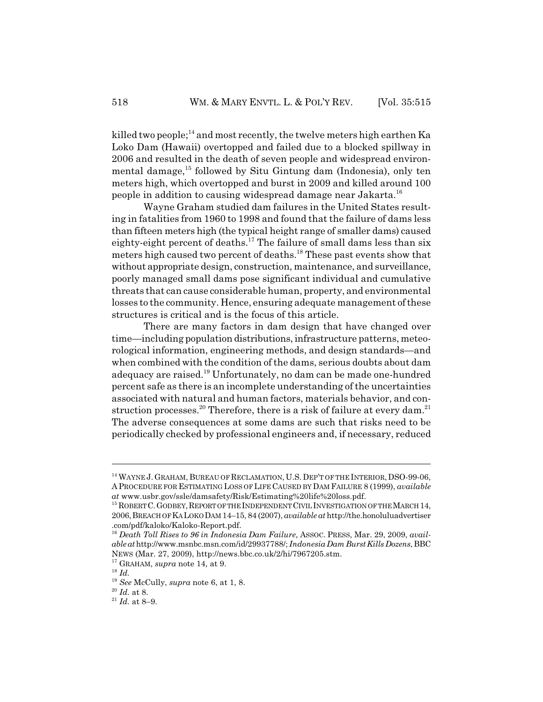killed two people;<sup>14</sup> and most recently, the twelve meters high earthen Ka Loko Dam (Hawaii) overtopped and failed due to a blocked spillway in 2006 and resulted in the death of seven people and widespread environmental damage,<sup>15</sup> followed by Situ Gintung dam (Indonesia), only ten meters high, which overtopped and burst in 2009 and killed around 100 people in addition to causing widespread damage near Jakarta.<sup>16</sup>

Wayne Graham studied dam failures in the United States resulting in fatalities from 1960 to 1998 and found that the failure of dams less than fifteen meters high (the typical height range of smaller dams) caused eighty-eight percent of deaths.17 The failure of small dams less than six meters high caused two percent of deaths.<sup>18</sup> These past events show that without appropriate design, construction, maintenance, and surveillance, poorly managed small dams pose significant individual and cumulative threats that can cause considerable human, property, and environmental losses to the community. Hence, ensuring adequate management of these structures is critical and is the focus of this article.

There are many factors in dam design that have changed over time—including population distributions, infrastructure patterns, meteorological information, engineering methods, and design standards—and when combined with the condition of the dams, serious doubts about dam adequacy are raised.<sup>19</sup> Unfortunately, no dam can be made one-hundred percent safe as there is an incomplete understanding of the uncertainties associated with natural and human factors, materials behavior, and construction processes.<sup>20</sup> Therefore, there is a risk of failure at every dam.<sup>21</sup> The adverse consequences at some dams are such that risks need to be periodically checked by professional engineers and, if necessary, reduced

<sup>&</sup>lt;sup>14</sup> WAYNE J. GRAHAM, BUREAU OF RECLAMATION, U.S. DEP'T OF THE INTERIOR, DSO-99-06, A PROCEDURE FOR ESTIMATING LOSS OF LIFE CAUSED BY DAM FAILURE 8 (1999), *available at* www.usbr.gov/ssle/damsafety/Risk/Estimating%20life%20loss.pdf.

<sup>&</sup>lt;sup>15</sup> ROBERT C. GODBEY, REPORT OF THE INDEPENDENT CIVIL INVESTIGATION OF THE MARCH 14, 2006,BREACH OF KA LOKO DAM 14–15, 84 (2007), *available at* http://the.honoluluadvertiser .com/pdf/kaloko/Kaloko-Report.pdf.

<sup>16</sup> *Death Toll Rises to 96 in Indonesia Dam Failure*, ASSOC. PRESS, Mar. 29, 2009, *available at* http://www.msnbc.msn.com/id/29937788/; *Indonesia Dam Burst Kills Dozens*, BBC NEWS (Mar. 27, 2009), http://news.bbc.co.uk/2/hi/7967205.stm.

<sup>17</sup> GRAHAM, *supra* note 14, at 9.

<sup>18</sup> *Id.*

<sup>19</sup> *See* McCully, *supra* note 6, at 1, 8.

<sup>20</sup> *Id.* at 8.

 $21$  *Id.* at 8-9.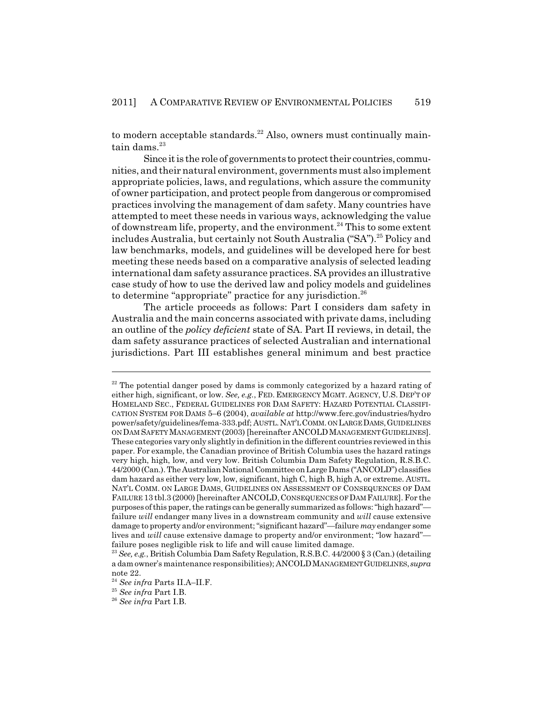to modern acceptable standards. $^{22}$  Also, owners must continually maintain dams. $23$ 

Since it is the role of governments to protect their countries, communities, and their natural environment, governments must also implement appropriate policies, laws, and regulations, which assure the community of owner participation, and protect people from dangerous or compromised practices involving the management of dam safety. Many countries have attempted to meet these needs in various ways, acknowledging the value of downstream life, property, and the environment.<sup>24</sup> This to some extent includes Australia, but certainly not South Australia ("SA").<sup>25</sup> Policy and law benchmarks, models, and guidelines will be developed here for best meeting these needs based on a comparative analysis of selected leading international dam safety assurance practices. SA provides an illustrative case study of how to use the derived law and policy models and guidelines to determine "appropriate" practice for any jurisdiction.<sup>26</sup>

The article proceeds as follows: Part I considers dam safety in Australia and the main concerns associated with private dams, including an outline of the *policy deficient* state of SA. Part II reviews, in detail, the dam safety assurance practices of selected Australian and international jurisdictions. Part III establishes general minimum and best practice

<sup>&</sup>lt;sup>22</sup> The potential danger posed by dams is commonly categorized by a hazard rating of either high, significant, or low. *See, e.g.*, FED. EMERGENCY MGMT. AGENCY, U.S. DEP'T OF HOMELAND SEC., FEDERAL GUIDELINES FOR DAM SAFETY: HAZARD POTENTIAL CLASSIFI-CATION SYSTEM FOR DAMS 5–6 (2004), *available at* http://www.ferc.gov/industries/hydro power/safety/guidelines/fema-333.pdf; AUSTL.NAT'L COMM. ON LARGE DAMS,GUIDELINES ON DAM SAFETY MANAGEMENT (2003) [hereinafter ANCOLDMANAGEMENT GUIDELINES]. These categories vary only slightly in definition in the different countries reviewed in this paper. For example, the Canadian province of British Columbia uses the hazard ratings very high, high, low, and very low. British Columbia Dam Safety Regulation, R.S.B.C. 44/2000 (Can.). The Australian National Committee on Large Dams ("ANCOLD") classifies dam hazard as either very low, low, significant, high C, high B, high A, or extreme. AUSTL. NAT'L COMM. ON LARGE DAMS, GUIDELINES ON ASSESSMENT OF CONSEQUENCES OF DAM FAILURE 13 tbl.3 (2000) [hereinafter ANCOLD,CONSEQUENCES OF DAM FAILURE]. For the purposes of this paper, the ratings can be generally summarized as follows: "high hazard" failure *will* endanger many lives in a downstream community and *will* cause extensive damage to property and/or environment; "significant hazard"—failure *may* endanger some lives and *will* cause extensive damage to property and/or environment; "low hazard" failure poses negligible risk to life and will cause limited damage.

<sup>23</sup> *See, e.g.*, British Columbia Dam Safety Regulation, R.S.B.C. 44/2000 § 3 (Can.) (detailing a dam owner's maintenance responsibilities); ANCOLDMANAGEMENT GUIDELINES,*supra* note 22.

<sup>24</sup> *See infra* Parts II.A–II.F.

<sup>25</sup> *See infra* Part I.B.

<sup>26</sup> *See infra* Part I.B.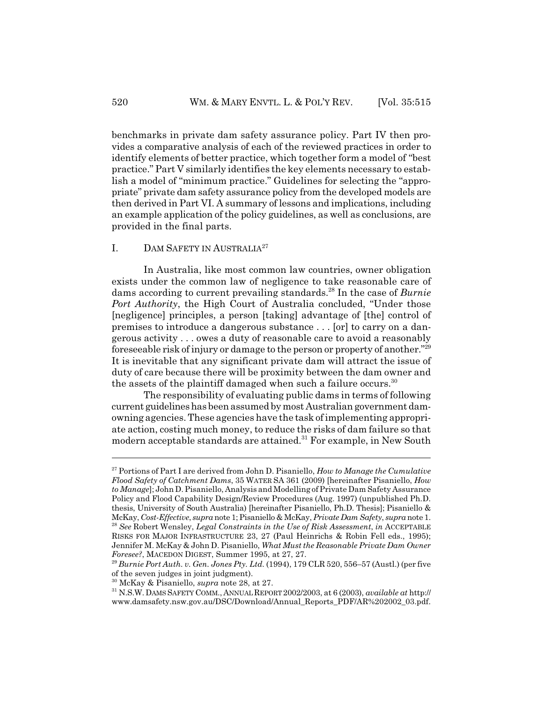benchmarks in private dam safety assurance policy. Part IV then provides a comparative analysis of each of the reviewed practices in order to identify elements of better practice, which together form a model of "best practice." Part V similarly identifies the key elements necessary to establish a model of "minimum practice." Guidelines for selecting the "appropriate" private dam safety assurance policy from the developed models are then derived in Part VI. A summary of lessons and implications, including an example application of the policy guidelines, as well as conclusions, are provided in the final parts.

#### I. DAM SAFETY IN AUSTRALIA<sup>27</sup>

In Australia, like most common law countries, owner obligation exists under the common law of negligence to take reasonable care of dams according to current prevailing standards.28 In the case of *Burnie Port Authority*, the High Court of Australia concluded, "Under those [negligence] principles, a person [taking] advantage of [the] control of premises to introduce a dangerous substance . . . [or] to carry on a dangerous activity . . . owes a duty of reasonable care to avoid a reasonably foreseeable risk of injury or damage to the person or property of another."29 It is inevitable that any significant private dam will attract the issue of duty of care because there will be proximity between the dam owner and the assets of the plaintiff damaged when such a failure occurs.<sup>30</sup>

The responsibility of evaluating public dams in terms of following current guidelines has been assumed by most Australian government damowning agencies. These agencies have the task of implementing appropriate action, costing much money, to reduce the risks of dam failure so that modern acceptable standards are attained.<sup>31</sup> For example, in New South

<sup>27</sup> Portions of Part I are derived from John D. Pisaniello, *How to Manage the Cumulative Flood Safety of Catchment Dams*, 35 WATER SA 361 (2009) [hereinafter Pisaniello, *How to Manage*]; John D. Pisaniello, Analysis and Modelling of Private Dam Safety Assurance Policy and Flood Capability Design/Review Procedures (Aug. 1997) (unpublished Ph.D. thesis, University of South Australia) [hereinafter Pisaniello, Ph.D. Thesis]; Pisaniello & McKay, *Cost-Effective*, *supra* note 1; Pisaniello & McKay, *Private Dam Safety*, *supra* note 1. <sup>28</sup> *See* Robert Wensley, *Legal Constraints in the Use of Risk Assessment*, *in* ACCEPTABLE RISKS FOR MAJOR INFRASTRUCTURE 23, 27 (Paul Heinrichs & Robin Fell eds., 1995); Jennifer M. McKay & John D. Pisaniello, *What Must the Reasonable Private Dam Owner Foresee?*, MACEDON DIGEST, Summer 1995, at 27, 27.

<sup>29</sup> *Burnie Port Auth. v. Gen. Jones Pty. Ltd.* (1994), 179 CLR 520, 556–57 (Austl.) (per five of the seven judges in joint judgment).

<sup>30</sup> McKay & Pisaniello, *supra* note 28, at 27.

<sup>31</sup> N.S.W. DAMS SAFETY COMM., ANNUAL REPORT 2002/2003, at 6 (2003), *available at* http:// www.damsafety.nsw.gov.au/DSC/Download/Annual\_Reports\_PDF/AR%202002\_03.pdf.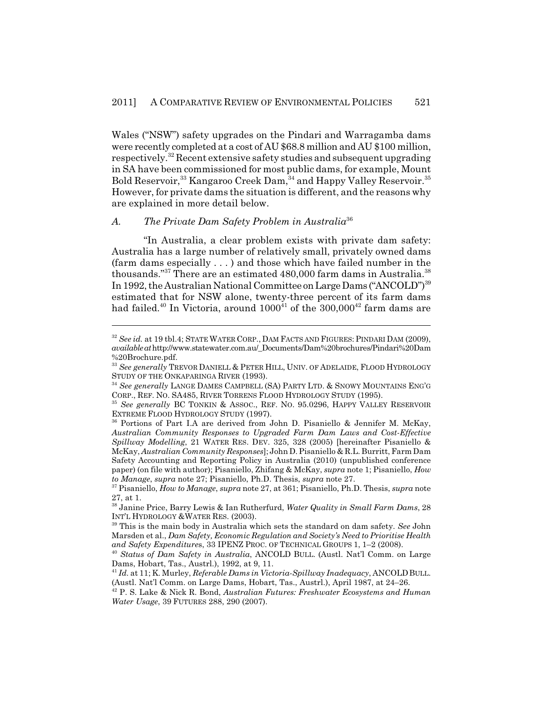Wales ("NSW") safety upgrades on the Pindari and Warragamba dams were recently completed at a cost of AU \$68.8 million and AU \$100 million, respectively.32 Recent extensive safety studies and subsequent upgrading in SA have been commissioned for most public dams, for example, Mount Bold Reservoir,<sup>33</sup> Kangaroo Creek Dam,<sup>34</sup> and Happy Valley Reservoir.<sup>35</sup> However, for private dams the situation is different, and the reasons why are explained in more detail below.

#### *A. The Private Dam Safety Problem in Australia*<sup>36</sup>

"In Australia, a clear problem exists with private dam safety: Australia has a large number of relatively small, privately owned dams (farm dams especially . . . ) and those which have failed number in the thousands."<sup>37</sup> There are an estimated  $480,000$  farm dams in Australia.<sup>38</sup> In 1992, the Australian National Committee on Large Dams ("ANCOLD")<sup>39</sup> estimated that for NSW alone, twenty-three percent of its farm dams had failed.<sup>40</sup> In Victoria, around  $1000<sup>41</sup>$  of the 300,000<sup>42</sup> farm dams are

<sup>32</sup> *See id.* at 19 tbl.4; STATE WATER CORP., DAM FACTS AND FIGURES: PINDARI DAM (2009), *available at* http://www.statewater.com.au/\_Documents/Dam%20brochures/Pindari%20Dam %20Brochure.pdf.

<sup>&</sup>lt;sup>33</sup> See generally TREVOR DANIELL & PETER HILL, UNIV. OF ADELAIDE, FLOOD HYDROLOGY STUDY OF THE ONKAPARINGA RIVER (1993).

<sup>34</sup> *See generally* LANGE DAMES CAMPBELL (SA) PARTY LTD. & SNOWY MOUNTAINS ENG'G CORP., REF. NO. SA485, RIVER TORRENS FLOOD HYDROLOGY STUDY (1995).

<sup>35</sup> *See generally* BC TONKIN & ASSOC., REF. NO. 95.0296, HAPPY VALLEY RESERVOIR EXTREME FLOOD HYDROLOGY STUDY (1997).

<sup>36</sup> Portions of Part I.A are derived from John D. Pisaniello & Jennifer M. McKay, *Australian Community Responses to Upgraded Farm Dam Laws and Cost-Effective Spillway Modelling*, 21 WATER RES. DEV. 325, 328 (2005) [hereinafter Pisaniello & McKay, *Australian Community Responses*]; John D. Pisaniello & R.L. Burritt, Farm Dam Safety Accounting and Reporting Policy in Australia (2010) (unpublished conference paper) (on file with author); Pisaniello, Zhifang & McKay, *supra* note 1; Pisaniello, *How to Manage*, *supra* note 27; Pisaniello, Ph.D. Thesis, *supra* note 27.

<sup>37</sup> Pisaniello, *How to Manage*, *supra* note 27, at 361; Pisaniello, Ph.D. Thesis, *supra* note 27, at 1.

<sup>38</sup> Janine Price, Barry Lewis & Ian Rutherfurd, *Water Quality in Small Farm Dams*, 28 INT'L HYDROLOGY &WATER RES. (2003).

<sup>39</sup> This is the main body in Australia which sets the standard on dam safety. *See* John Marsden et al., *Dam Safety, Economic Regulation and Society's Need to Prioritise Health and Safety Expenditure*s, 33 IPENZ PROC. OF TECHNICAL GROUPS 1, 1–2 (2008).

<sup>40</sup> *Status of Dam Safety in Australia*, ANCOLD BULL. (Austl. Nat'l Comm. on Large Dams, Hobart, Tas., Austrl.), 1992, at 9, 11.

<sup>41</sup> *Id.* at 11; K. Murley, *Referable Dams in Victoria-Spillway Inadequacy*, ANCOLDBULL. (Austl. Nat'l Comm. on Large Dams, Hobart, Tas., Austrl.), April 1987, at 24–26.

<sup>42</sup> P. S. Lake & Nick R. Bond, *Australian Futures: Freshwater Ecosystems and Human Water Usage*, 39 FUTURES 288, 290 (2007).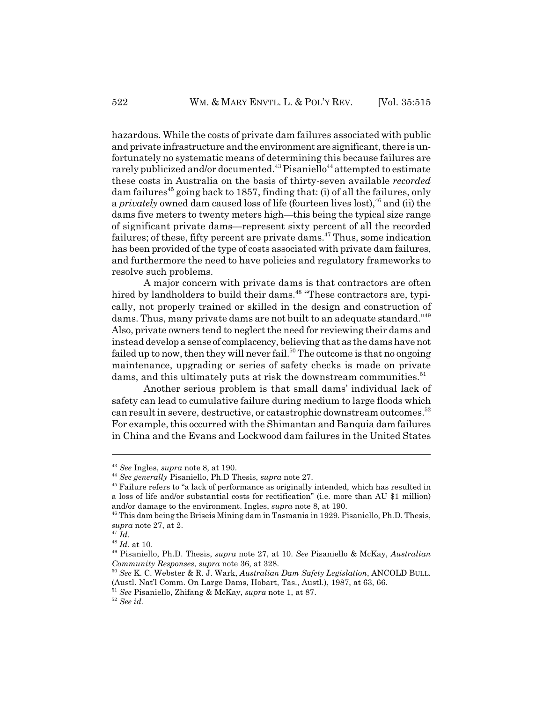hazardous. While the costs of private dam failures associated with public and private infrastructure and the environment are significant, there is unfortunately no systematic means of determining this because failures are rarely publicized and/or documented.<sup>43</sup> Pisaniello<sup>44</sup> attempted to estimate these costs in Australia on the basis of thirty-seven available *recorded* dam failures<sup>45</sup> going back to 1857, finding that: (i) of all the failures, only a *privately* owned dam caused loss of life (fourteen lives lost),<sup>46</sup> and (ii) the dams five meters to twenty meters high—this being the typical size range of significant private dams—represent sixty percent of all the recorded failures; of these, fifty percent are private dams.<sup> $47$ </sup> Thus, some indication has been provided of the type of costs associated with private dam failures, and furthermore the need to have policies and regulatory frameworks to resolve such problems.

A major concern with private dams is that contractors are often hired by landholders to build their dams.<sup>48</sup> "These contractors are, typically, not properly trained or skilled in the design and construction of dams. Thus, many private dams are not built to an adequate standard."49 Also, private owners tend to neglect the need for reviewing their dams and instead develop a sense of complacency, believing that as the dams have not failed up to now, then they will never fail.<sup>50</sup> The outcome is that no ongoing maintenance, upgrading or series of safety checks is made on private dams, and this ultimately puts at risk the downstream communities.<sup>51</sup>

Another serious problem is that small dams' individual lack of safety can lead to cumulative failure during medium to large floods which can result in severe, destructive, or catastrophic downstream outcomes.<sup>52</sup> For example, this occurred with the Shimantan and Banquia dam failures in China and the Evans and Lockwood dam failures in the United States

<sup>43</sup> *See* Ingles, *supra* note 8, at 190.

<sup>44</sup> *See generally* Pisaniello, Ph.D Thesis, *supra* note 27.

<sup>45</sup> Failure refers to "a lack of performance as originally intended, which has resulted in a loss of life and/or substantial costs for rectification" (i.e. more than AU \$1 million) and/or damage to the environment. Ingles, *supra* note 8, at 190.

<sup>46</sup> This dam being the Briseis Mining dam in Tasmania in 1929. Pisaniello, Ph.D. Thesis, *supra* note 27, at 2.

<sup>47</sup> *Id.*

<sup>48</sup> *Id.* at 10.

<sup>49</sup> Pisaniello, Ph.D. Thesis, *supra* note 27, at 10. *See* Pisaniello & McKay, *Australian Community Responses*, *supra* note 36, at 328.

<sup>50</sup> *See* K. C. Webster & R. J. Wark, *Australian Dam Safety Legislation*, ANCOLD BULL. (Austl. Nat'l Comm. On Large Dams, Hobart, Tas., Austl.), 1987, at 63, 66.

<sup>51</sup> *See* Pisaniello, Zhifang & McKay, *supra* note 1, at 87.

<sup>52</sup> *See id.*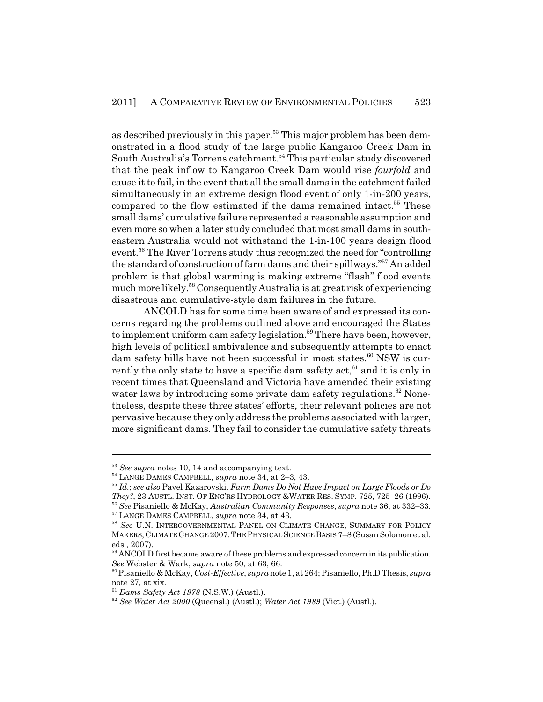as described previously in this paper.<sup>53</sup> This major problem has been demonstrated in a flood study of the large public Kangaroo Creek Dam in South Australia's Torrens catchment.<sup>54</sup> This particular study discovered that the peak inflow to Kangaroo Creek Dam would rise *fourfold* and cause it to fail, in the event that all the small dams in the catchment failed simultaneously in an extreme design flood event of only 1-in-200 years, compared to the flow estimated if the dams remained intact.<sup>55</sup> These small dams' cumulative failure represented a reasonable assumption and even more so when a later study concluded that most small dams in southeastern Australia would not withstand the 1-in-100 years design flood event.56 The River Torrens study thus recognized the need for "controlling the standard of construction of farm dams and their spillways."57 An added problem is that global warming is making extreme "flash" flood events much more likely.<sup>58</sup> Consequently Australia is at great risk of experiencing disastrous and cumulative-style dam failures in the future.

ANCOLD has for some time been aware of and expressed its concerns regarding the problems outlined above and encouraged the States to implement uniform dam safety legislation.<sup>59</sup> There have been, however, high levels of political ambivalence and subsequently attempts to enact dam safety bills have not been successful in most states. $60$  NSW is currently the only state to have a specific dam safety  $act<sub>61</sub>$  and it is only in recent times that Queensland and Victoria have amended their existing water laws by introducing some private dam safety regulations.<sup>62</sup> Nonetheless, despite these three states' efforts, their relevant policies are not pervasive because they only address the problems associated with larger, more significant dams. They fail to consider the cumulative safety threats

<sup>53</sup> *See supra* notes 10, 14 and accompanying text.

<sup>54</sup> LANGE DAMES CAMPBELL, *supra* note 34, at 2–3, 43.

<sup>55</sup> *Id.*; *see also* Pavel Kazarovski, *Farm Dams Do Not Have Impact on Large Floods or Do They?*, 23 AUSTL. INST. OF ENG'RS HYDROLOGY &WATER RES. SYMP. 725, 725–26 (1996). <sup>56</sup> *See* Pisaniello & McKay, *Australian Community Responses*, *supra* note 36, at 332–33. 57 LANGE DAMES CAMPBELL, *supra* note 34, at 43.

<sup>58</sup> *See* U.N. INTERGOVERNMENTAL PANEL ON CLIMATE CHANGE, SUMMARY FOR POLICY MAKERS,CLIMATE CHANGE 2007:THE PHYSICAL SCIENCE BASIS 7–8 (Susan Solomon et al. eds., 2007).

<sup>&</sup>lt;sup>59</sup> ANCOLD first became aware of these problems and expressed concern in its publication. *See* Webster & Wark, *supra* note 50, at 63, 66.

<sup>60</sup> Pisaniello & McKay, *Cost-Effective*, *supra* note 1, at 264; Pisaniello, Ph.D Thesis, *supra* note 27, at xix.

<sup>61</sup> *Dams Safety Act 1978* (N.S.W.) (Austl.).

<sup>62</sup> *See Water Act 2000* (Queensl.) (Austl.); *Water Act 1989* (Vict.) (Austl.).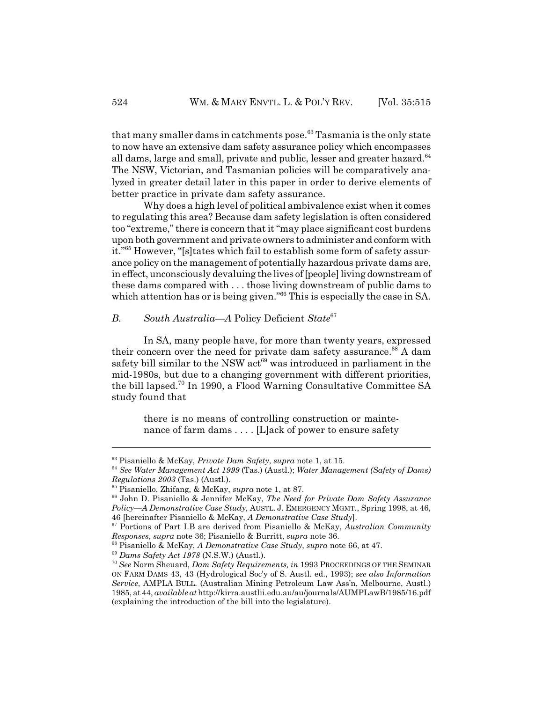that many smaller dams in catchments pose.<sup>63</sup> Tasmania is the only state to now have an extensive dam safety assurance policy which encompasses all dams, large and small, private and public, lesser and greater hazard.<sup>64</sup> The NSW, Victorian, and Tasmanian policies will be comparatively analyzed in greater detail later in this paper in order to derive elements of better practice in private dam safety assurance.

Why does a high level of political ambivalence exist when it comes to regulating this area? Because dam safety legislation is often considered too "extreme," there is concern that it "may place significant cost burdens upon both government and private owners to administer and conform with it."65 However, "[s]tates which fail to establish some form of safety assurance policy on the management of potentially hazardous private dams are, in effect, unconsciously devaluing the lives of [people] living downstream of these dams compared with . . . those living downstream of public dams to which attention has or is being given.<sup>"66</sup> This is especially the case in SA.

# *B. South Australia—A* Policy Deficient *State*<sup>67</sup>

In SA, many people have, for more than twenty years, expressed their concern over the need for private dam safety assurance.<sup>68</sup> A dam safety bill similar to the NSW  $act^{69}$  was introduced in parliament in the mid-1980s, but due to a changing government with different priorities, the bill lapsed.70 In 1990, a Flood Warning Consultative Committee SA study found that

there is no means of controlling construction or maintenance of farm dams . . . . [L]ack of power to ensure safety

<sup>63</sup> Pisaniello & McKay, *Private Dam Safety*, *supra* note 1, at 15.

<sup>64</sup> *See Water Management Act 1999* (Tas.) (Austl.); *Water Management (Safety of Dams) Regulations 2003* (Tas.) (Austl.).

<sup>65</sup> Pisaniello, Zhifang, & McKay, *supra* note 1, at 87.

<sup>66</sup> John D. Pisaniello & Jennifer McKay, *The Need for Private Dam Safety Assurance Policy—A Demonstrative Case Study*, AUSTL. J. EMERGENCY MGMT., Spring 1998, at 46, 46 [hereinafter Pisaniello & McKay, *A Demonstrative Case Study*].

<sup>67</sup> Portions of Part I.B are derived from Pisaniello & McKay, *Australian Community Responses*, *supra* note 36; Pisaniello & Burritt, *supra* note 36.

<sup>68</sup> Pisaniello & McKay, *A Demonstrative Case Study*, *supra* note 66, at 47.

<sup>69</sup> *Dams Safety Act 1978* (N.S.W.) (Austl.).

<sup>70</sup> *See* Norm Sheuard, *Dam Safety Requirements, in* 1993 PROCEEDINGS OF THE SEMINAR ON FARM DAMS 43, 43 (Hydrological Soc'y of S. Austl. ed., 1993); *see also Information Service*, AMPLA BULL. (Australian Mining Petroleum Law Ass'n, Melbourne, Austl.) 1985, at 44, *available at* http://kirra.austlii.edu.au/au/journals/AUMPLawB/1985/16.pdf (explaining the introduction of the bill into the legislature).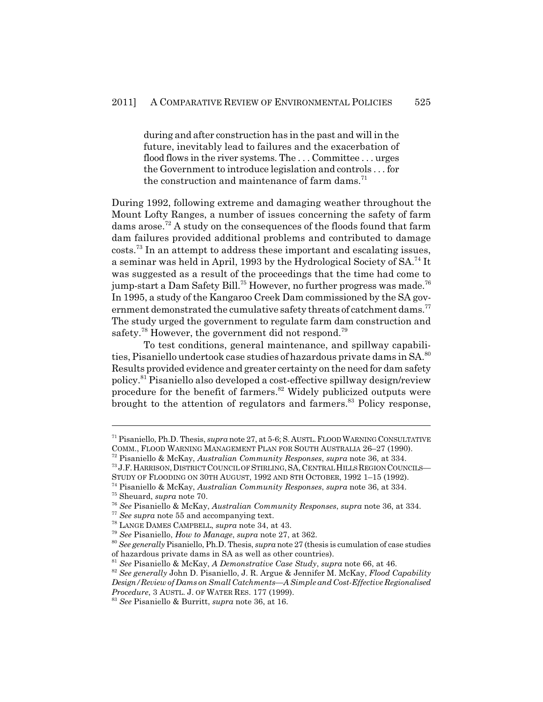during and after construction has in the past and will in the future, inevitably lead to failures and the exacerbation of flood flows in the river systems. The . . . Committee . . . urges the Government to introduce legislation and controls . . . for the construction and maintenance of farm dams. $71$ 

During 1992, following extreme and damaging weather throughout the Mount Lofty Ranges, a number of issues concerning the safety of farm dams arose.<sup>72</sup> A study on the consequences of the floods found that farm dam failures provided additional problems and contributed to damage costs.73 In an attempt to address these important and escalating issues, a seminar was held in April, 1993 by the Hydrological Society of SA.<sup>74</sup> It was suggested as a result of the proceedings that the time had come to jump-start a Dam Safety Bill.<sup>75</sup> However, no further progress was made.<sup>76</sup> In 1995, a study of the Kangaroo Creek Dam commissioned by the SA government demonstrated the cumulative safety threats of catchment dams.<sup>77</sup> The study urged the government to regulate farm dam construction and safety.<sup>78</sup> However, the government did not respond.<sup>79</sup>

To test conditions, general maintenance, and spillway capabilities, Pisaniello undertook case studies of hazardous private dams in  $SA^{80}$ Results provided evidence and greater certainty on the need for dam safety policy.81 Pisaniello also developed a cost-effective spillway design/review procedure for the benefit of farmers.<sup>82</sup> Widely publicized outputs were brought to the attention of regulators and farmers.<sup>83</sup> Policy response,

STUDY OF FLOODING ON 30TH AUGUST, 1992 AND 8TH OCTOBER, 1992 1–15 (1992).

<sup>71</sup> Pisaniello, Ph.D. Thesis, *supra* note 27, at 5-6; S.AUSTL.FLOOD WARNING CONSULTATIVE COMM., FLOOD WARNING MANAGEMENT PLAN FOR SOUTH AUSTRALIA 26–27 (1990).

<sup>72</sup> Pisaniello & McKay, *Australian Community Responses*, *supra* note 36, at 334.

<sup>73</sup> J.F.HARRISON,DISTRICT COUNCIL OF STIRLING,SA,CENTRAL HILLS REGION COUNCILS—

<sup>74</sup> Pisaniello & McKay, *Australian Community Responses*, *supra* note 36, at 334.

<sup>75</sup> Sheuard, *supra* note 70.

<sup>76</sup> *See* Pisaniello & McKay, *Australian Community Responses*, *supra* note 36, at 334.

<sup>77</sup> *See supra* note 55 and accompanying text.

<sup>78</sup> LANGE DAMES CAMPBELL, *supra* note 34, at 43.

<sup>79</sup> *See* Pisaniello, *How to Manage*, *supra* note 27, at 362.

<sup>80</sup> *See generally* Pisaniello, Ph.D. Thesis, *supra* note 27 (thesis is cumulation of case studies of hazardous private dams in SA as well as other countries).

<sup>81</sup> *See* Pisaniello & McKay, *A Demonstrative Case Study*, *supra* note 66, at 46.

<sup>82</sup> *See generally* John D. Pisaniello, J. R. Argue & Jennifer M. McKay, *Flood Capability Design/Review of Dams on Small Catchments—A Simple and Cost-Effective Regionalised Procedure*, 3 AUSTL. J. OF WATER RES. 177 (1999).

<sup>83</sup> *See* Pisaniello & Burritt, *supra* note 36, at 16.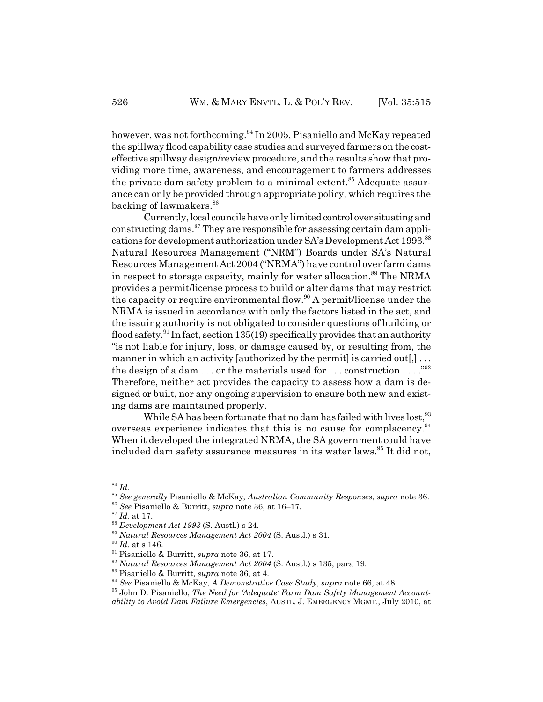however, was not forthcoming.<sup>84</sup> In 2005, Pisaniello and McKay repeated the spillway flood capability case studies and surveyed farmers on the costeffective spillway design/review procedure, and the results show that providing more time, awareness, and encouragement to farmers addresses the private dam safety problem to a minimal extent.<sup>85</sup> Adequate assurance can only be provided through appropriate policy, which requires the backing of lawmakers.<sup>86</sup>

Currently, local councils have only limited control over situating and constructing dams.87 They are responsible for assessing certain dam applications for development authorization under SA's Development Act 1993.<sup>88</sup> Natural Resources Management ("NRM") Boards under SA's Natural Resources Management Act 2004 ("NRMA") have control over farm dams in respect to storage capacity, mainly for water allocation.<sup>89</sup> The NRMA provides a permit/license process to build or alter dams that may restrict the capacity or require environmental flow.<sup>90</sup> A permit/license under the NRMA is issued in accordance with only the factors listed in the act, and the issuing authority is not obligated to consider questions of building or flood safety.<sup>91</sup> In fact, section 135(19) specifically provides that an authority "is not liable for injury, loss, or damage caused by, or resulting from, the manner in which an activity [authorized by the permit] is carried out[,]  $\dots$ the design of a dam . . . or the materials used for . . . construction . . . . "92" Therefore, neither act provides the capacity to assess how a dam is designed or built, nor any ongoing supervision to ensure both new and existing dams are maintained properly.

While SA has been fortunate that no dam has failed with lives lost, <sup>93</sup> overseas experience indicates that this is no cause for complacency.94 When it developed the integrated NRMA, the SA government could have included dam safety assurance measures in its water laws.<sup>95</sup> It did not,

<sup>84</sup> *Id.*

<sup>85</sup> *See generally* Pisaniello & McKay, *Australian Community Responses*, *supra* note 36.

<sup>86</sup> *See* Pisaniello & Burritt, *supra* note 36, at 16–17.

<sup>87</sup> *Id.* at 17.

<sup>88</sup> *Development Act 1993* (S. Austl.) s 24.

<sup>89</sup> *Natural Resources Management Act 2004* (S. Austl.) s 31.

 $^{90}$   $\emph{Id.}$  at s 146.

<sup>91</sup> Pisaniello & Burritt, *supra* note 36, at 17.

<sup>92</sup> *Natural Resources Management Act 2004* (S. Austl.) s 135, para 19.

<sup>93</sup> Pisaniello & Burritt, *supra* note 36, at 4.

<sup>94</sup> *See* Pisaniello & McKay, *A Demonstrative Case Study*, *supra* note 66, at 48.

<sup>95</sup> John D. Pisaniello, *The Need for 'Adequate' Farm Dam Safety Management Accountability to Avoid Dam Failure Emergencies*, AUSTL. J. EMERGENCY MGMT., July 2010, at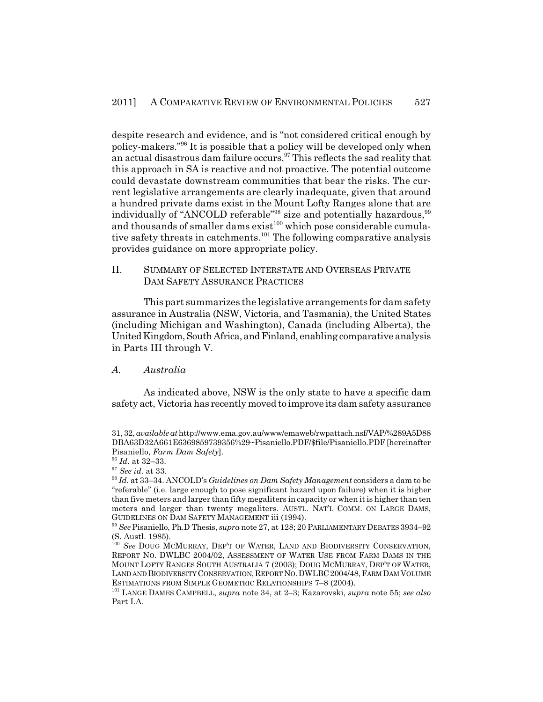despite research and evidence, and is "not considered critical enough by policy-makers."96 It is possible that a policy will be developed only when an actual disastrous dam failure occurs.<sup>97</sup> This reflects the sad reality that this approach in SA is reactive and not proactive. The potential outcome could devastate downstream communities that bear the risks. The current legislative arrangements are clearly inadequate, given that around a hundred private dams exist in the Mount Lofty Ranges alone that are individually of "ANCOLD referable"<sup>98</sup> size and potentially hazardous,<sup>99</sup> and thousands of smaller dams  $\mathrm{exist}^{100}$  which pose considerable cumulative safety threats in catchments.<sup>101</sup> The following comparative analysis provides guidance on more appropriate policy.

#### II. SUMMARY OF SELECTED INTERSTATE AND OVERSEAS PRIVATE DAM SAFETY ASSURANCE PRACTICES

This part summarizes the legislative arrangements for dam safety assurance in Australia (NSW, Victoria, and Tasmania), the United States (including Michigan and Washington), Canada (including Alberta), the United Kingdom, South Africa, and Finland, enabling comparative analysis in Parts III through V.

# *A. Australia*

As indicated above, NSW is the only state to have a specific dam safety act, Victoria has recently moved to improve its dam safety assurance

<sup>31, 32,</sup> *available at* http://www.ema.gov.au/www/emaweb/rwpattach.nsf/VAP/%289A5D88 DBA63D32A661E6369859739356%29~Pisaniello.PDF/\$file/Pisaniello.PDF [hereinafter Pisaniello, *Farm Dam Safety*].

<sup>96</sup> *Id.* at 32–33.

<sup>97</sup> *See id.* at 33.

<sup>98</sup> *Id.* at 33–34. ANCOLD's *Guidelines on Dam Safety Management* considers a dam to be "referable" (i.e. large enough to pose significant hazard upon failure) when it is higher than five meters and larger than fifty megaliters in capacity or when it is higher than ten meters and larger than twenty megaliters. AUSTL. NAT'L COMM. ON LARGE DAMS, GUIDELINES ON DAM SAFETY MANAGEMENT iii (1994).

<sup>99</sup> *See* Pisaniello, Ph.D Thesis, *supra* note 27, at 128; 20 PARLIAMENTARY DEBATES 3934–92 (S. Austl. 1985).

<sup>&</sup>lt;sup>100</sup> See DOUG MCMURRAY, DEP'T OF WATER, LAND AND BIODIVERSITY CONSERVATION, REPORT NO. DWLBC 2004/02, ASSESSMENT OF WATER USE FROM FARM DAMS IN THE MOUNT LOFTY RANGES SOUTH AUSTRALIA 7 (2003); DOUG MCMURRAY, DEP'T OF WATER, LAND AND BIODIVERSITY CONSERVATION, REPORT NO. DWLBC 2004/48, FARM DAM VOLUME ESTIMATIONS FROM SIMPLE GEOMETRIC RELATIONSHIPS 7–8 (2004).

<sup>101</sup> LANGE DAMES CAMPBELL, *supra* note 34, at 2–3; Kazarovski, *supra* note 55; *see also* Part I.A.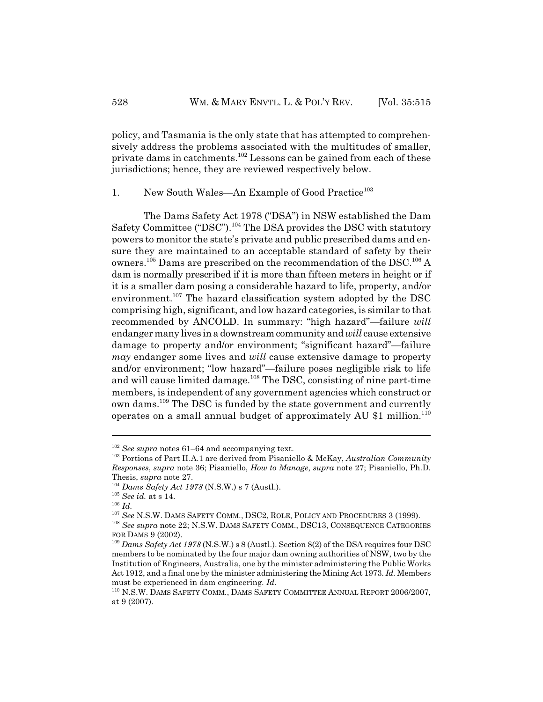policy, and Tasmania is the only state that has attempted to comprehensively address the problems associated with the multitudes of smaller, private dams in catchments.102 Lessons can be gained from each of these jurisdictions; hence, they are reviewed respectively below.

1. New South Wales—An Example of Good Practice<sup>103</sup>

The Dams Safety Act 1978 ("DSA") in NSW established the Dam Safety Committee ("DSC").<sup>104</sup> The DSA provides the DSC with statutory powers to monitor the state's private and public prescribed dams and ensure they are maintained to an acceptable standard of safety by their owners.<sup>105</sup> Dams are prescribed on the recommendation of the DSC.<sup>106</sup> A dam is normally prescribed if it is more than fifteen meters in height or if it is a smaller dam posing a considerable hazard to life, property, and/or environment.<sup>107</sup> The hazard classification system adopted by the DSC comprising high, significant, and low hazard categories, is similar to that recommended by ANCOLD. In summary: "high hazard"—failure *will* endanger many lives in a downstream community and *will* cause extensive damage to property and/or environment; "significant hazard"—failure *may* endanger some lives and *will* cause extensive damage to property and/or environment; "low hazard"—failure poses negligible risk to life and will cause limited damage.<sup>108</sup> The DSC, consisting of nine part-time members, is independent of any government agencies which construct or own dams.<sup>109</sup> The DSC is funded by the state government and currently operates on a small annual budget of approximately AU \$1 million.<sup>110</sup>

<sup>102</sup> *See supra* notes 61–64 and accompanying text.

<sup>103</sup> Portions of Part II.A.1 are derived from Pisaniello & McKay, *Australian Community Responses*, *supra* note 36; Pisaniello, *How to Manage*, *supra* note 27; Pisaniello, Ph.D. Thesis, *supra* note 27.

<sup>104</sup> *Dams Safety Act 1978* (N.S.W.) s 7 (Austl.).

<sup>105</sup> *See id.* at s 14.

<sup>106</sup> *Id.*

<sup>107</sup> *See* N.S.W. DAMS SAFETY COMM., DSC2, ROLE, POLICY AND PROCEDURES 3 (1999).

<sup>108</sup> *See supra* note 22; N.S.W. DAMS SAFETY COMM., DSC13, CONSEQUENCE CATEGORIES FOR DAMS 9 (2002).

<sup>109</sup> *Dams Safety Act 1978* (N.S.W.) s 8 (Austl.). Section 8(2) of the DSA requires four DSC members to be nominated by the four major dam owning authorities of NSW, two by the Institution of Engineers, Australia, one by the minister administering the Public Works Act 1912, and a final one by the minister administering the Mining Act 1973. *Id.* Members must be experienced in dam engineering. *Id.*

<sup>110</sup> N.S.W. DAMS SAFETY COMM., DAMS SAFETY COMMITTEE ANNUAL REPORT 2006/2007, at 9 (2007).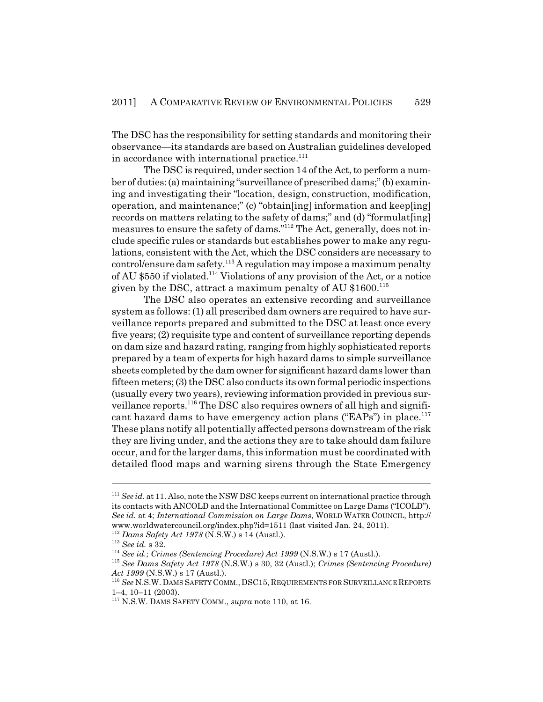The DSC has the responsibility for setting standards and monitoring their observance—its standards are based on Australian guidelines developed in accordance with international practice. $111$ 

The DSC is required, under section 14 of the Act, to perform a number of duties: (a) maintaining "surveillance of prescribed dams;" (b) examining and investigating their "location, design, construction, modification, operation, and maintenance;" (c) "obtain[ing] information and keep[ing] records on matters relating to the safety of dams;" and (d) "formulat [ing] measures to ensure the safety of dams."112 The Act, generally, does not include specific rules or standards but establishes power to make any regulations, consistent with the Act, which the DSC considers are necessary to control/ensure dam safety.113 A regulation may impose a maximum penalty of AU \$550 if violated.114 Violations of any provision of the Act, or a notice given by the DSC, attract a maximum penalty of AU \$1600.<sup>115</sup>

The DSC also operates an extensive recording and surveillance system as follows: (1) all prescribed dam owners are required to have surveillance reports prepared and submitted to the DSC at least once every five years; (2) requisite type and content of surveillance reporting depends on dam size and hazard rating, ranging from highly sophisticated reports prepared by a team of experts for high hazard dams to simple surveillance sheets completed by the dam owner for significant hazard dams lower than fifteen meters; (3) the DSC also conducts its own formal periodic inspections (usually every two years), reviewing information provided in previous surveillance reports.<sup>116</sup> The DSC also requires owners of all high and significant hazard dams to have emergency action plans ("EAPs") in place.<sup>117</sup> These plans notify all potentially affected persons downstream of the risk they are living under, and the actions they are to take should dam failure occur, and for the larger dams, this information must be coordinated with detailed flood maps and warning sirens through the State Emergency

<sup>&</sup>lt;sup>111</sup> See id. at 11. Also, note the NSW DSC keeps current on international practice through its contacts with ANCOLD and the International Committee on Large Dams ("ICOLD"). *See id.* at 4; *International Commission on Large Dams*, WORLD WATER COUNCIL, http:// www.worldwatercouncil.org/index.php?id=1511 (last visited Jan. 24, 2011).

<sup>112</sup> *Dams Safety Act 1978* (N.S.W.) s 14 (Austl.).

<sup>113</sup> *See id.* s 32.

<sup>114</sup> *See id.*; *Crimes (Sentencing Procedure) Act 1999* (N.S.W.) s 17 (Austl.).

<sup>115</sup> *See Dams Safety Act 1978* (N.S.W.) s 30, 32 (Austl.); *Crimes (Sentencing Procedure) Act 1999* (N.S.W.) s 17 (Austl.).

 $^{116}$   $See$  N.S.W. DAMS SAFETY COMM., DSC15, REQUIREMENTS FOR SURVEILLANCE REPORTS 1–4, 10–11 (2003).

<sup>117</sup> N.S.W. DAMS SAFETY COMM., *supra* note 110, at 16.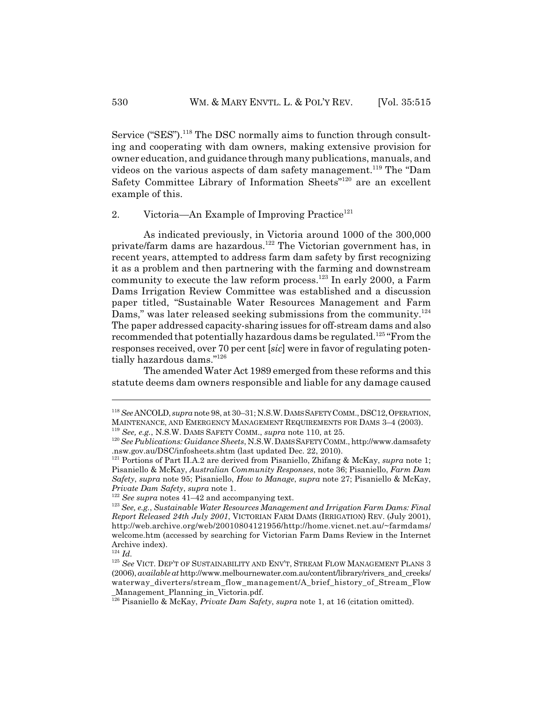Service ("SES").<sup>118</sup> The DSC normally aims to function through consulting and cooperating with dam owners, making extensive provision for owner education, and guidance through many publications, manuals, and videos on the various aspects of dam safety management.<sup>119</sup> The "Dam Safety Committee Library of Information Sheets<sup>"120</sup> are an excellent example of this.

2. Victoria—An Example of Improving Practice<sup>121</sup>

As indicated previously, in Victoria around 1000 of the 300,000 private/farm dams are hazardous.122 The Victorian government has, in recent years, attempted to address farm dam safety by first recognizing it as a problem and then partnering with the farming and downstream community to execute the law reform process.<sup>123</sup> In early 2000, a Farm Dams Irrigation Review Committee was established and a discussion paper titled, "Sustainable Water Resources Management and Farm Dams," was later released seeking submissions from the community.<sup>124</sup> The paper addressed capacity-sharing issues for off-stream dams and also recommended that potentially hazardous dams be regulated.125 "From the responses received, over 70 per cent [*sic*] were in favor of regulating potentially hazardous dams."126

The amended Water Act 1989 emerged from these reforms and this statute deems dam owners responsible and liable for any damage caused

<sup>&</sup>lt;sup>118</sup> See ANCOLD, *supra* note 98, at 30–31; N.S.W. DAMS SAFETY COMM., DSC12, OPERATION, MAINTENANCE, AND EMERGENCY MANAGEMENT REQUIREMENTS FOR DAMS 3–4 (2003). <sup>119</sup> *See, e.g.*, N.S.W. DAMS SAFETY COMM., *supra* note 110, at 25.

<sup>120</sup>*See Publications: Guidance Sheets*, N.S.W.DAMS SAFETY COMM., http://www.damsafety .nsw.gov.au/DSC/infosheets.shtm (last updated Dec. 22, 2010).

<sup>121</sup> Portions of Part II.A.2 are derived from Pisaniello, Zhifang & McKay, *supra* note 1; Pisaniello & McKay, *Australian Community Responses*, note 36; Pisaniello, *Farm Dam Safety*, *supra* note 95; Pisaniello, *How to Manage*, *supra* note 27; Pisaniello & McKay, *Private Dam Safety*, *supra* note 1.

<sup>122</sup> *See supra* notes 41–42 and accompanying text.

<sup>123</sup> *See, e.g.*, *Sustainable Water Resources Management and Irrigation Farm Dams: Final Report Released 24th July 2001*, VICTORIAN FARM DAMS (IRRIGATION) REV. (July 2001), http://web.archive.org/web/20010804121956/http://home.vicnet.net.au/~farmdams/ welcome.htm (accessed by searching for Victorian Farm Dams Review in the Internet Archive index).

<sup>124</sup> *Id.*

<sup>&</sup>lt;sup>125</sup> See VICT. DEP'T OF SUSTAINABILITY AND ENV'T, STREAM FLOW MANAGEMENT PLANS 3 (2006), *available at* http://www.melbournewater.com.au/content/library/rivers\_and\_creeks/ waterway\_diverters/stream\_flow\_management/A\_brief\_history\_of\_Stream\_Flow \_Management\_Planning\_in\_Victoria.pdf.

<sup>126</sup> Pisaniello & McKay, *Private Dam Safety*, *supra* note 1, at 16 (citation omitted).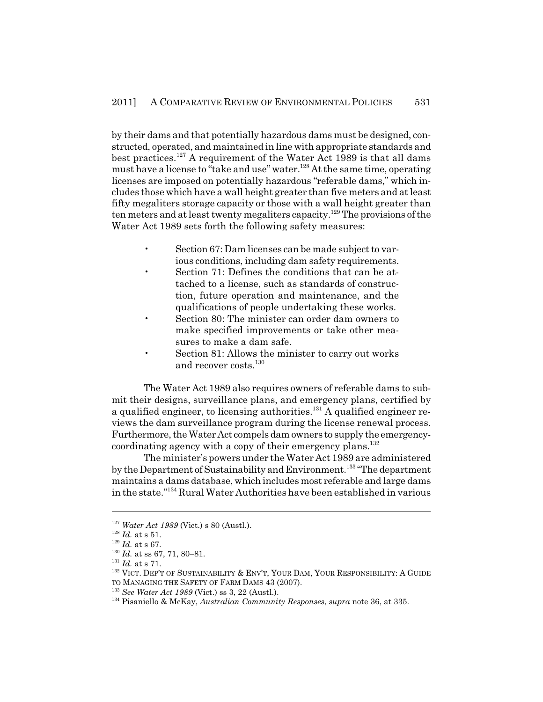by their dams and that potentially hazardous dams must be designed, constructed, operated, and maintained in line with appropriate standards and best practices.<sup>127</sup> A requirement of the Water Act 1989 is that all dams must have a license to "take and use" water.128 At the same time, operating licenses are imposed on potentially hazardous "referable dams," which includes those which have a wall height greater than five meters and at least fifty megaliters storage capacity or those with a wall height greater than ten meters and at least twenty megaliters capacity.<sup>129</sup> The provisions of the Water Act 1989 sets forth the following safety measures:

- Section 67: Dam licenses can be made subject to various conditions, including dam safety requirements.
- Section 71: Defines the conditions that can be attached to a license, such as standards of construction, future operation and maintenance, and the qualifications of people undertaking these works.
- Section 80: The minister can order dam owners to make specified improvements or take other measures to make a dam safe.
- Section 81: Allows the minister to carry out works and recover costs.<sup>130</sup>

The Water Act 1989 also requires owners of referable dams to submit their designs, surveillance plans, and emergency plans, certified by a qualified engineer, to licensing authorities.<sup>131</sup> A qualified engineer reviews the dam surveillance program during the license renewal process. Furthermore, the Water Act compels dam owners to supply the emergencycoordinating agency with a copy of their emergency plans.<sup>132</sup>

The minister's powers under the Water Act 1989 are administered by the Department of Sustainability and Environment.<sup>133</sup> "The department maintains a dams database, which includes most referable and large dams in the state."134 Rural Water Authorities have been established in various

<sup>127</sup> *Water Act 1989* (Vict.) s 80 (Austl.).

<sup>128</sup> *Id.* at s 51.

<sup>129</sup> *Id.* at s 67.

<sup>130</sup> *Id.* at ss 67, 71, 80–81.

<sup>131</sup> *Id.* at s 71.

<sup>&</sup>lt;sup>132</sup> VICT. DEP'T OF SUSTAINABILITY & ENV'T, YOUR DAM, YOUR RESPONSIBILITY: A GUIDE

TO MANAGING THE SAFETY OF FARM DAMS 43 (2007).

<sup>133</sup> *See Water Act 1989* (Vict.) ss 3, 22 (Austl.).

<sup>134</sup> Pisaniello & McKay, *Australian Community Responses*, *supra* note 36, at 335.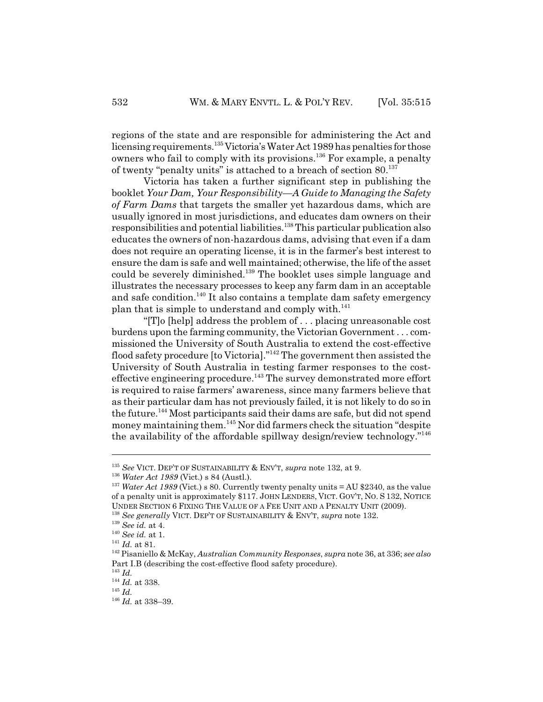regions of the state and are responsible for administering the Act and licensing requirements.<sup>135</sup> Victoria's Water Act 1989 has penalties for those owners who fail to comply with its provisions.136 For example, a penalty of twenty "penalty units" is attached to a breach of section  $80$ <sup>137</sup>

Victoria has taken a further significant step in publishing the booklet *Your Dam, Your Responsibility—A Guide to Managing the Safety of Farm Dams* that targets the smaller yet hazardous dams, which are usually ignored in most jurisdictions, and educates dam owners on their responsibilities and potential liabilities.138 This particular publication also educates the owners of non-hazardous dams, advising that even if a dam does not require an operating license, it is in the farmer's best interest to ensure the dam is safe and well maintained; otherwise, the life of the asset could be severely diminished.<sup>139</sup> The booklet uses simple language and illustrates the necessary processes to keep any farm dam in an acceptable and safe condition.<sup>140</sup> It also contains a template dam safety emergency plan that is simple to understand and comply with. $141$ 

"[T]o [help] address the problem of . . . placing unreasonable cost burdens upon the farming community, the Victorian Government . . . commissioned the University of South Australia to extend the cost-effective flood safety procedure [to Victoria]."142 The government then assisted the University of South Australia in testing farmer responses to the costeffective engineering procedure.<sup>143</sup> The survey demonstrated more effort is required to raise farmers' awareness, since many farmers believe that as their particular dam has not previously failed, it is not likely to do so in the future.<sup>144</sup> Most participants said their dams are safe, but did not spend money maintaining them.145 Nor did farmers check the situation "despite the availability of the affordable spillway design/review technology."146

<sup>135</sup> *See* VICT. DEP'T OF SUSTAINABILITY & ENV'T, *supra* note 132, at 9.

<sup>136</sup> *Water Act 1989* (Vict.) s 84 (Austl.).

<sup>&</sup>lt;sup>137</sup> *Water Act 1989* (Vict.) s 80. Currently twenty penalty units = AU \$2340, as the value of a penalty unit is approximately \$117. JOHN LENDERS, VICT. GOV'T, NO. S 132, NOTICE UNDER SECTION 6 FIXING THE VALUE OF A FEE UNIT AND A PENALTY UNIT (2009).

<sup>138</sup> *See generally* VICT. DEP'T OF SUSTAINABILITY & ENV'T, *supra* note 132.

<sup>139</sup> *See id.* at 4.

<sup>140</sup> *See id.* at 1.

<sup>141</sup> *Id.* at 81.

<sup>142</sup> Pisaniello & McKay, *Australian Community Responses*, *supra* note 36, at 336; *see also* Part I.B (describing the cost-effective flood safety procedure).

<sup>143</sup> *Id.*

<sup>144</sup> *Id.* at 338.

<sup>145</sup> *Id.*

<sup>146</sup> *Id.* at 338–39.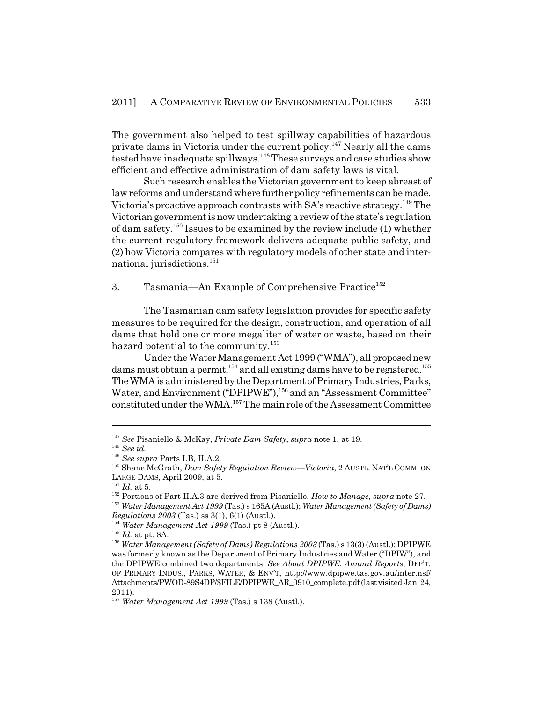The government also helped to test spillway capabilities of hazardous private dams in Victoria under the current policy.<sup>147</sup> Nearly all the dams tested have inadequate spillways.<sup>148</sup> These surveys and case studies show efficient and effective administration of dam safety laws is vital.

Such research enables the Victorian government to keep abreast of law reforms and understand where further policy refinements can be made. Victoria's proactive approach contrasts with  $SA$ 's reactive strategy.<sup>149</sup> The Victorian government is now undertaking a review of the state's regulation of dam safety.150 Issues to be examined by the review include (1) whether the current regulatory framework delivers adequate public safety, and (2) how Victoria compares with regulatory models of other state and international jurisdictions.151

#### 3. Tasmania—An Example of Comprehensive Practice<sup>152</sup>

The Tasmanian dam safety legislation provides for specific safety measures to be required for the design, construction, and operation of all dams that hold one or more megaliter of water or waste, based on their hazard potential to the community.<sup>153</sup>

Under the Water Management Act 1999 ("WMA"), all proposed new dams must obtain a permit,  $154$  and all existing dams have to be registered.<sup>155</sup> The WMA is administered by the Department of Primary Industries, Parks, Water, and Environment ("DPIPWE"),<sup>156</sup> and an "Assessment Committee" constituted under the WMA.157 The main role of the Assessment Committee

<sup>153</sup> *Water Management Act 1999* (Tas.) s 165A (Austl.); *Water Management (Safety of Dams) Regulations 2003* (Tas.) ss 3(1), 6(1) (Austl.).

<sup>154</sup> *Water Management Act 1999* (Tas.) pt 8 (Austl.).

<sup>147</sup> *See* Pisaniello & McKay, *Private Dam Safety*, *supra* note 1, at 19.

<sup>148</sup> *See id.*

<sup>149</sup> *See supra* Parts I.B, II.A.2.

<sup>150</sup> Shane McGrath, *Dam Safety Regulation Review—Victoria*, 2 AUSTL. NAT'L COMM. ON LARGE DAMS, April 2009, at 5.

<sup>151</sup> *Id.* at 5.

<sup>152</sup> Portions of Part II.A.3 are derived from Pisaniello, *How to Manage*, *supra* note 27.

<sup>155</sup> *Id.* at pt. 8A.

<sup>156</sup> *Water Management (Safety of Dams) Regulations 2003* (Tas.) s 13(3) (Austl.); DPIPWE was formerly known as the Department of Primary Industries and Water ("DPIW"), and the DPIPWE combined two departments. *See About DPIPWE: Annual Reports*, DEP'T. OF PRIMARY INDUS., PARKS, WATER, & ENV'T, http://www.dpipwe.tas.gov.au/inter.nsf/ Attachments/PWOD-89S4DP/\$FILE/DPIPWE\_AR\_0910\_complete.pdf (last visited Jan. 24, 2011).

<sup>157</sup> *Water Management Act 1999* (Tas.) s 138 (Austl.).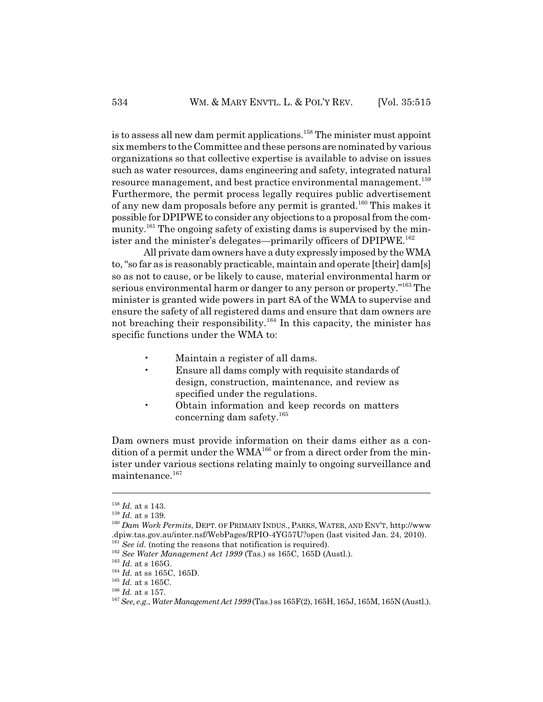is to assess all new dam permit applications.<sup>158</sup> The minister must appoint six members to the Committee and these persons are nominated by various organizations so that collective expertise is available to advise on issues such as water resources, dams engineering and safety, integrated natural resource management, and best practice environmental management.<sup>159</sup> Furthermore, the permit process legally requires public advertisement of any new dam proposals before any permit is granted.160 This makes it possible for DPIPWE to consider any objections to a proposal from the community.<sup>161</sup> The ongoing safety of existing dams is supervised by the minister and the minister's delegates—primarily officers of DPIPWE.<sup>162</sup>

All private dam owners have a duty expressly imposed by the WMA to, "so far as is reasonably practicable, maintain and operate [their] dam[s] so as not to cause, or be likely to cause, material environmental harm or serious environmental harm or danger to any person or property."<sup>163</sup> The minister is granted wide powers in part 8A of the WMA to supervise and ensure the safety of all registered dams and ensure that dam owners are not breaching their responsibility.164 In this capacity, the minister has specific functions under the WMA to:

- Maintain a register of all dams.
- Ensure all dams comply with requisite standards of design, construction, maintenance, and review as specified under the regulations.
- Obtain information and keep records on matters concerning dam safety.165

Dam owners must provide information on their dams either as a condition of a permit under the  $WMA^{166}$  or from a direct order from the minister under various sections relating mainly to ongoing surveillance and maintenance.<sup>167</sup>

<sup>158</sup> *Id.* at s 143.

<sup>159</sup> *Id.* at s 139.

<sup>160</sup> *Dam Work Permits*, DEPT. OF PRIMARY INDUS., PARKS, WATER, AND ENV'T, http://www .dpiw.tas.gov.au/inter.nsf/WebPages/RPIO-4YG57U?open (last visited Jan. 24, 2010).  $\frac{1}{2}$  *See id.* (noting the reasons that notification is required).

<sup>162</sup> *See Water Management Act 1999* (Tas.) ss 165C, 165D (Austl.).

<sup>163</sup> *Id.* at s 165G.

<sup>164</sup> *Id.* at ss 165C, 165D.

<sup>165</sup> *Id.* at s 165C.

<sup>166</sup> *Id.* at s 157.

<sup>167</sup>*See, e.g.*, *Water Management Act 1999* (Tas.) ss 165F(2), 165H, 165J, 165M, 165N (Austl.).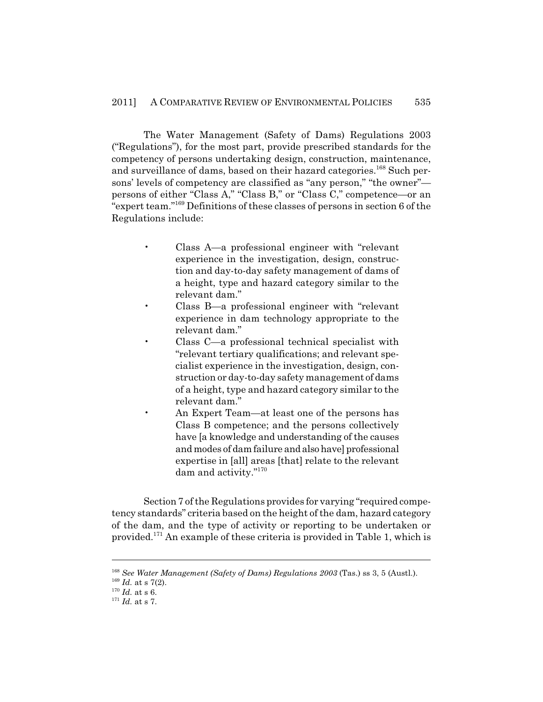The Water Management (Safety of Dams) Regulations 2003 ("Regulations"), for the most part, provide prescribed standards for the competency of persons undertaking design, construction, maintenance, and surveillance of dams, based on their hazard categories.<sup>168</sup> Such persons' levels of competency are classified as "any person," "the owner" persons of either "Class A," "Class B," or "Class C," competence—or an "expert team."169 Definitions of these classes of persons in section 6 of the Regulations include:

- Class A—a professional engineer with "relevant experience in the investigation, design, construction and day-to-day safety management of dams of a height, type and hazard category similar to the relevant dam."
- Class B—a professional engineer with "relevant experience in dam technology appropriate to the relevant dam."
- Class C—a professional technical specialist with "relevant tertiary qualifications; and relevant specialist experience in the investigation, design, construction or day-to-day safety management of dams of a height, type and hazard category similar to the relevant dam."
	- An Expert Team—at least one of the persons has Class B competence; and the persons collectively have [a knowledge and understanding of the causes and modes of dam failure and also have] professional expertise in [all] areas [that] relate to the relevant dam and activity."170

Section 7 of the Regulations provides for varying "required competency standards" criteria based on the height of the dam, hazard category of the dam, and the type of activity or reporting to be undertaken or provided.171 An example of these criteria is provided in Table 1, which is

<sup>168</sup> *See Water Management (Safety of Dams) Regulations 2003* (Tas.) ss 3, 5 (Austl.).

 $169$  *Id.* at s 7(2).

 $170$  *Id.* at s 6.

<sup>171</sup> *Id.* at s 7.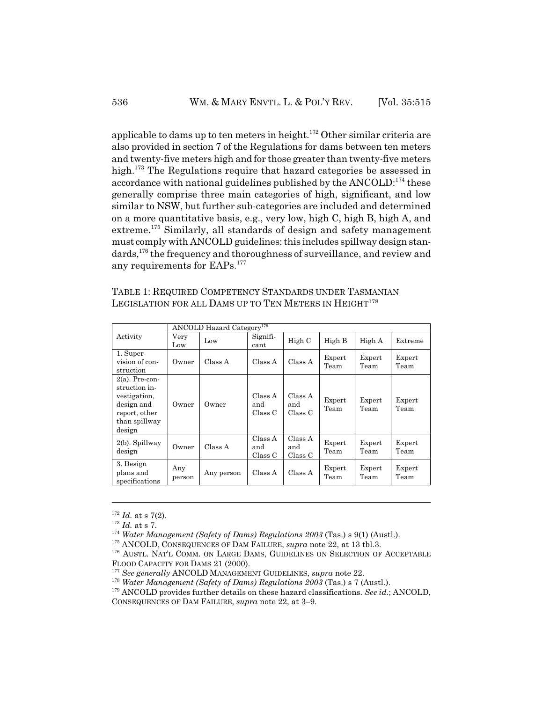applicable to dams up to ten meters in height.<sup>172</sup> Other similar criteria are also provided in section 7 of the Regulations for dams between ten meters and twenty-five meters high and for those greater than twenty-five meters high.<sup>173</sup> The Regulations require that hazard categories be assessed in accordance with national guidelines published by the ANCOLD:<sup>174</sup> these generally comprise three main categories of high, significant, and low similar to NSW, but further sub-categories are included and determined on a more quantitative basis, e.g., very low, high C, high B, high A, and extreme.<sup>175</sup> Similarly, all standards of design and safety management must comply with ANCOLD guidelines: this includes spillway design standards,<sup>176</sup> the frequency and thoroughness of surveillance, and review and any requirements for EAPs.<sup>177</sup>

| TABLE 1: REQUIRED COMPETENCY STANDARDS UNDER TASMANIAN             |  |
|--------------------------------------------------------------------|--|
| LEGISLATION FOR ALL DAMS UP TO TEN METERS IN HEIGHT <sup>178</sup> |  |

|                                                                                                              | <b>ANCOLD Hazard Category</b> <sup>179</sup> |            |                           |                           |                |                |                |  |
|--------------------------------------------------------------------------------------------------------------|----------------------------------------------|------------|---------------------------|---------------------------|----------------|----------------|----------------|--|
| Activity                                                                                                     | Very<br>Low                                  | Low        | Signifi-<br>cant          | High C                    | High B         | High A         | Extreme        |  |
| 1. Super-<br>vision of con-<br>struction                                                                     | Owner                                        | Class A    | Class A                   | Class A                   | Expert<br>Team | Expert<br>Team | Expert<br>Team |  |
| $2(a)$ . Pre-con-<br>struction in-<br>vestigation,<br>design and<br>report, other<br>than spillway<br>design | Owner                                        | Owner      | Class A<br>and<br>Class C | Class A<br>and<br>Class C | Expert<br>Team | Expert<br>Team | Expert<br>Team |  |
| $2(b)$ . Spillway<br>design                                                                                  | Owner                                        | Class A    | Class A<br>and<br>Class C | Class A<br>and<br>Class C | Expert<br>Team | Expert<br>Team | Expert<br>Team |  |
| 3. Design<br>plans and<br>specifications                                                                     | Any<br>person                                | Any person | Class A                   | Class A                   | Expert<br>Team | Expert<br>Team | Expert<br>Team |  |

 $172$  *Id.* at s 7(2).

<sup>173</sup> *Id.* at s 7.

<sup>174</sup> *Water Management (Safety of Dams) Regulations 2003* (Tas.) s 9(1) (Austl.).

<sup>175</sup> ANCOLD, CONSEQUENCES OF DAM FAILURE, *supra* note 22, at 13 tbl.3.

<sup>&</sup>lt;sup>176</sup> AUSTL. NAT'L COMM. ON LARGE DAMS, GUIDELINES ON SELECTION OF ACCEPTABLE FLOOD CAPACITY FOR DAMS 21 (2000).

<sup>177</sup> *See generally* ANCOLD MANAGEMENT GUIDELINES, *supra* note 22.

<sup>178</sup> *Water Management (Safety of Dams) Regulations 2003* (Tas.) s 7 (Austl.).

<sup>179</sup> ANCOLD provides further details on these hazard classifications. *See id.*; ANCOLD,

CONSEQUENCES OF DAM FAILURE, *supra* note 22, at 3–9.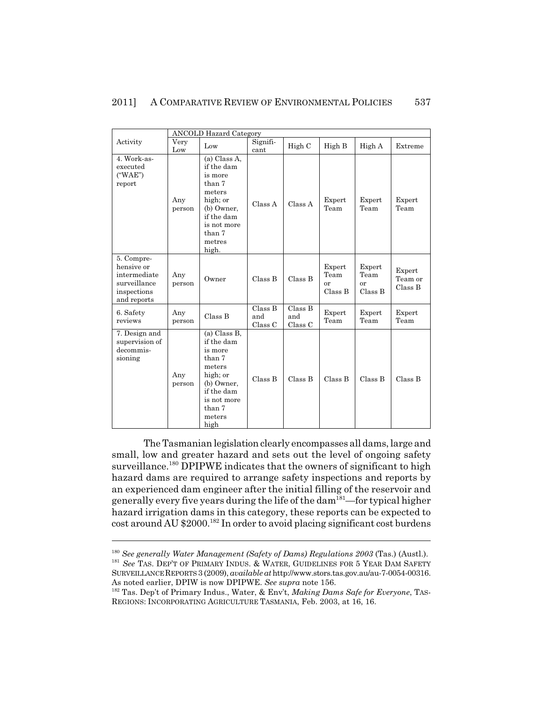|                                                                                        | <b>ANCOLD Hazard Category</b> |                                                                                                                                               |                           |                           |                                 |                                 |                              |  |
|----------------------------------------------------------------------------------------|-------------------------------|-----------------------------------------------------------------------------------------------------------------------------------------------|---------------------------|---------------------------|---------------------------------|---------------------------------|------------------------------|--|
| Activity                                                                               | Very<br>Low                   | Low                                                                                                                                           | Signifi-<br>cant          | High C                    | High B                          | High A                          | Extreme                      |  |
| 4. Work-as-<br>executed<br>$($ "WAE")<br>report                                        | Any<br>person                 | (a) Class A,<br>if the dam<br>is more<br>than 7<br>meters<br>high; or<br>(b) Owner,<br>if the dam<br>is not more<br>than 7<br>metres<br>high. | Class A                   | Class A                   | Expert<br>Team                  | Expert<br>Team                  | Expert<br>Team               |  |
| 5. Compre-<br>hensive or<br>intermediate<br>surveillance<br>inspections<br>and reports | Any<br>person                 | Owner                                                                                                                                         | Class B                   | Class B                   | Expert<br>Team<br>or<br>Class B | Expert<br>Team<br>or<br>Class B | Expert<br>Team or<br>Class B |  |
| 6. Safety<br>reviews                                                                   | Any<br>person                 | Class B                                                                                                                                       | Class B<br>and<br>Class C | Class B<br>and<br>Class C | Expert<br>Team                  | Expert<br>Team                  | Expert<br>Team               |  |
| 7. Design and<br>supervision of<br>decommis-<br>sioning                                | Any<br>person                 | (a) Class B,<br>if the dam<br>is more<br>than 7<br>meters<br>high; or<br>(b) Owner,<br>if the dam<br>is not more<br>than 7<br>meters<br>high  | Class B                   | Class B                   | Class B                         | Class B                         | Class B                      |  |

The Tasmanian legislation clearly encompasses all dams, large and small, low and greater hazard and sets out the level of ongoing safety surveillance.<sup>180</sup> DPIPWE indicates that the owners of significant to high hazard dams are required to arrange safety inspections and reports by an experienced dam engineer after the initial filling of the reservoir and generally every five years during the life of the dam181—for typical higher hazard irrigation dams in this category, these reports can be expected to cost around AU \$2000.182 In order to avoid placing significant cost burdens

<sup>180</sup> *See generally Water Management (Safety of Dams) Regulations 2003* (Tas.) (Austl.).

<sup>&</sup>lt;sup>181</sup> See TAS. DEP'T OF PRIMARY INDUS. & WATER, GUIDELINES FOR 5 YEAR DAM SAFETY SURVEILLANCE REPORTS 3 (2009), *available at* http://www.stors.tas.gov.au/au-7-0054-00316. As noted earlier, DPIW is now DPIPWE. *See supra* note 156.

<sup>182</sup> Tas. Dep't of Primary Indus., Water, & Env't, *Making Dams Safe for Everyone*, TAS-REGIONS: INCORPORATING AGRICULTURE TASMANIA, Feb. 2003, at 16, 16.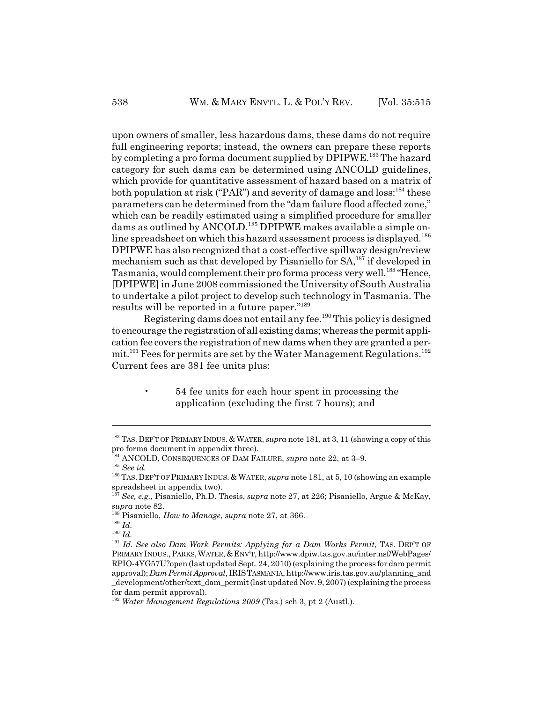upon owners of smaller, less hazardous dams, these dams do not require full engineering reports; instead, the owners can prepare these reports by completing a pro forma document supplied by DPIPWE.<sup>183</sup> The hazard category for such dams can be determined using ANCOLD guidelines, which provide for quantitative assessment of hazard based on a matrix of both population at risk ("PAR") and severity of damage and loss:  $184$  these parameters can be determined from the "dam failure flood affected zone," which can be readily estimated using a simplified procedure for smaller dams as outlined by ANCOLD.<sup>185</sup> DPIPWE makes available a simple online spreadsheet on which this hazard assessment process is displayed.<sup>186</sup> DPIPWE has also recognized that a cost-effective spillway design/review mechanism such as that developed by Pisaniello for SA,<sup>187</sup> if developed in Tasmania, would complement their pro forma process very well.<sup>188</sup> "Hence, [DPIPWE] in June 2008 commissioned the University of South Australia to undertake a pilot project to develop such technology in Tasmania. The results will be reported in a future paper."189

Registering dams does not entail any fee.190 This policy is designed to encourage the registration of all existing dams; whereas the permit application fee covers the registration of new dams when they are granted a permit.<sup>191</sup> Fees for permits are set by the Water Management Regulations.<sup>192</sup> Current fees are 381 fee units plus:

> • 54 fee units for each hour spent in processing the application (excluding the first 7 hours); and

<sup>&</sup>lt;sup>183</sup> TAS. DEP'T OF PRIMARY INDUS. & WATER, *supra* note 181, at 3, 11 (showing a copy of this pro forma document in appendix three).

<sup>184</sup> ANCOLD, CONSEQUENCES OF DAM FAILURE, *supra* note 22, at 3–9.

<sup>185</sup> *See id.*

<sup>&</sup>lt;sup>186</sup> TAS. DEP'T OF PRIMARY INDUS. & WATER, *supra* note 181, at 5, 10 (showing an example spreadsheet in appendix two).

<sup>187</sup> *See, e.g.*, Pisaniello, Ph.D. Thesis, *supra* note 27, at 226; Pisaniello, Argue & McKay, *supra* note 82.

<sup>188</sup> Pisaniello, *How to Manage*, *supra* note 27, at 366.

<sup>189</sup> *Id.*

<sup>190</sup> *Id.*

<sup>&</sup>lt;sup>191</sup> Id. See also Dam Work Permits: Applying for a Dam Works Permit, TAS. DEP'T OF PRIMARY INDUS.,PARKS,WATER,&ENV'T, http://www.dpiw.tas.gov.au/inter.nsf/WebPages/ RPIO-4YG57U?open (last updated Sept. 24, 2010) (explaining the process for dam permit approval); *Dam Permit Approval*, IRISTASMANIA, http://www.iris.tas.gov.au/planning\_and \_development/other/text\_dam\_permit (last updated Nov. 9, 2007) (explaining the process for dam permit approval).

<sup>192</sup> *Water Management Regulations 2009* (Tas.) sch 3, pt 2 (Austl.).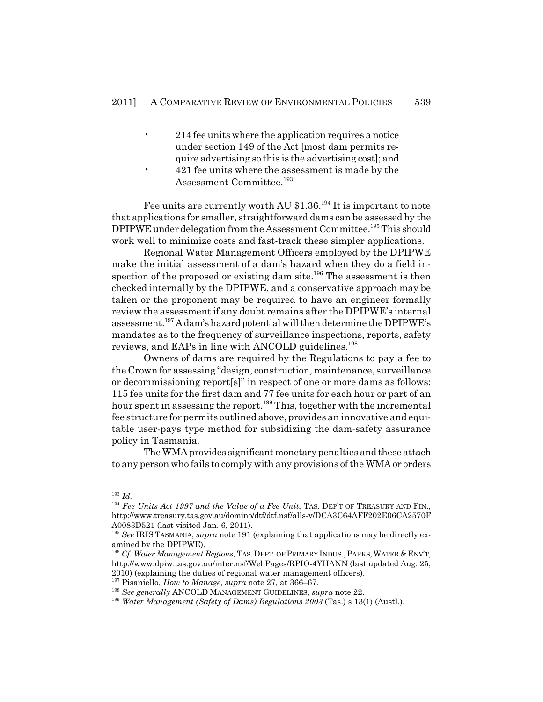- 214 fee units where the application requires a notice under section 149 of the Act [most dam permits require advertising so this is the advertising cost]; and
- 421 fee units where the assessment is made by the Assessment Committee.<sup>193</sup>

Fee units are currently worth AU \$1.36.<sup>194</sup> It is important to note that applications for smaller, straightforward dams can be assessed by the DPIPWE under delegation from the Assessment Committee.<sup>195</sup> This should work well to minimize costs and fast-track these simpler applications.

Regional Water Management Officers employed by the DPIPWE make the initial assessment of a dam's hazard when they do a field inspection of the proposed or existing dam site.<sup>196</sup> The assessment is then checked internally by the DPIPWE, and a conservative approach may be taken or the proponent may be required to have an engineer formally review the assessment if any doubt remains after the DPIPWE's internal assessment.197 A dam's hazard potential will then determine the DPIPWE's mandates as to the frequency of surveillance inspections, reports, safety reviews, and EAPs in line with ANCOLD guidelines.<sup>198</sup>

Owners of dams are required by the Regulations to pay a fee to the Crown for assessing "design, construction, maintenance, surveillance or decommissioning report[s]" in respect of one or more dams as follows: 115 fee units for the first dam and 77 fee units for each hour or part of an hour spent in assessing the report.<sup>199</sup> This, together with the incremental fee structure for permits outlined above, provides an innovative and equitable user-pays type method for subsidizing the dam-safety assurance policy in Tasmania.

The WMA provides significant monetary penalties and these attach to any person who fails to comply with any provisions of the WMA or orders

<sup>193</sup> *Id.*

<sup>&</sup>lt;sup>194</sup> Fee Units Act 1997 and the Value of a Fee Unit, TAS. DEP'T OF TREASURY AND FIN., http://www.treasury.tas.gov.au/domino/dtf/dtf.nsf/alls-v/DCA3C64AFF202E06CA2570F A0083D521 (last visited Jan. 6, 2011).

<sup>195</sup> *See* IRIS TASMANIA, *supra* note 191 (explaining that applications may be directly examined by the DPIPWE).

<sup>196</sup> *Cf. Water Management Regions*, TAS.DEPT. OF PRIMARY INDUS.,PARKS,WATER & ENV'T, http://www.dpiw.tas.gov.au/inter.nsf/WebPages/RPIO-4YHANN (last updated Aug. 25, 2010) (explaining the duties of regional water management officers).

<sup>197</sup> Pisaniello, *How to Manage*, *supra* note 27, at 366–67.

<sup>198</sup> *See generally* ANCOLD MANAGEMENT GUIDELINES, *supra* note 22.

<sup>199</sup> *Water Management (Safety of Dams) Regulations 2003* (Tas.) s 13(1) (Austl.).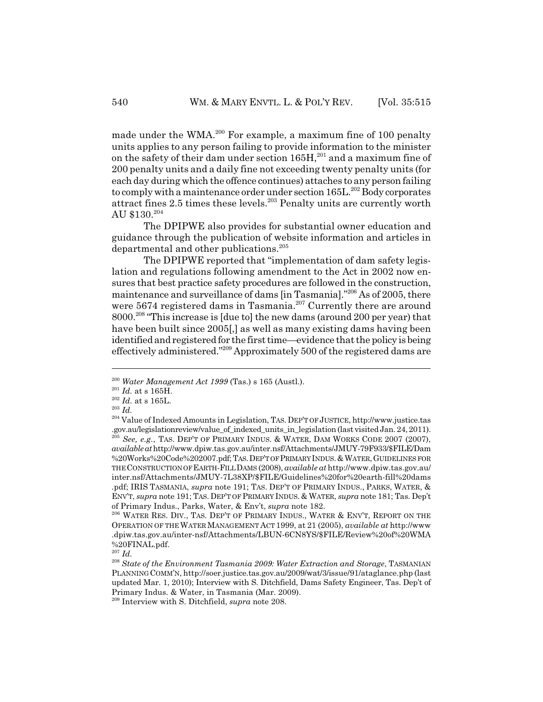made under the WMA.<sup>200</sup> For example, a maximum fine of 100 penalty units applies to any person failing to provide information to the minister on the safety of their dam under section  $165H<sub>1</sub><sup>201</sup>$  and a maximum fine of 200 penalty units and a daily fine not exceeding twenty penalty units (for each day during which the offence continues) attaches to any person failing to comply with a maintenance order under section 165L.<sup>202</sup> Body corporates attract fines 2.5 times these levels.<sup>203</sup> Penalty units are currently worth AU \$130.204

The DPIPWE also provides for substantial owner education and guidance through the publication of website information and articles in departmental and other publications.<sup>205</sup>

The DPIPWE reported that "implementation of dam safety legislation and regulations following amendment to the Act in 2002 now ensures that best practice safety procedures are followed in the construction, maintenance and surveillance of dams [in Tasmania]."206 As of 2005, there were 5674 registered dams in Tasmania.<sup>207</sup> Currently there are around 8000.208 "This increase is [due to] the new dams (around 200 per year) that have been built since 2005[,] as well as many existing dams having been identified and registered for the first time—evidence that the policy is being effectively administered."209 Approximately 500 of the registered dams are

<sup>200</sup> *Water Management Act 1999* (Tas.) s 165 (Austl.).

 $\,$   $^{201}$   $Id.$  at s 165H.

 $\,$   $^{202}$   $Id.$  at s 165L.

<sup>203</sup> *Id.*

<sup>204</sup> Value of Indexed Amounts in Legislation, TAS. DEP'T OF JUSTICE, http://www.justice.tas .gov.au/legislationreview/value\_of\_indexed\_units\_in\_legislation (last visited Jan. 24, 2011). <sup>205</sup> See, e.g., TAS. DEP'T OF PRIMARY INDUS. & WATER, DAM WORKS CODE 2007 (2007),

*available at* http://www.dpiw.tas.gov.au/inter.nsf/Attachments/JMUY-79F933/\$FILE/Dam %20Works%20Code%202007.pdf; TAS.DEP'T OF PRIMARY INDUS.&WATER,GUIDELINES FOR THE CONSTRUCTION OF EARTH-FILL DAMS (2008), *available at* http://www.dpiw.tas.gov.au/ inter.nsf/Attachments/JMUY-7L38XP/\$FILE/Guidelines%20for%20earth-fill%20dams .pdf; IRIS TASMANIA, *supra* note 191; TAS. DEP'T OF PRIMARY INDUS., PARKS, WATER, & ENV'T, *supra* note 191; TAS. DEP'T OF PRIMARY INDUS. & WATER, *supra* note 181; Tas. Dep't of Primary Indus., Parks, Water, & Env't, *supra* note 182.

<sup>206</sup> WATER RES. DIV., TAS. DEP'T OF PRIMARY INDUS., WATER & ENV'T, REPORT ON THE OPERATION OF THE WATER MANAGEMENT ACT 1999, at 21 (2005), *available at* http://www .dpiw.tas.gov.au/inter-nsf/Attachments/LBUN-6CN8YS/\$FILE/Review%20of%20WMA %20FINAL.pdf.

<sup>207</sup> *Id.*

<sup>208</sup> *State of the Environment Tasmania 2009: Water Extraction and Storage*, TASMANIAN PLANNING COMM'N, http://soer.justice.tas.gov.au/2009/wat/3/issue/91/ataglance.php (last updated Mar. 1, 2010); Interview with S. Ditchfield, Dams Safety Engineer, Tas. Dep't of Primary Indus. & Water, in Tasmania (Mar. 2009).

<sup>209</sup> Interview with S. Ditchfield, *supra* note 208.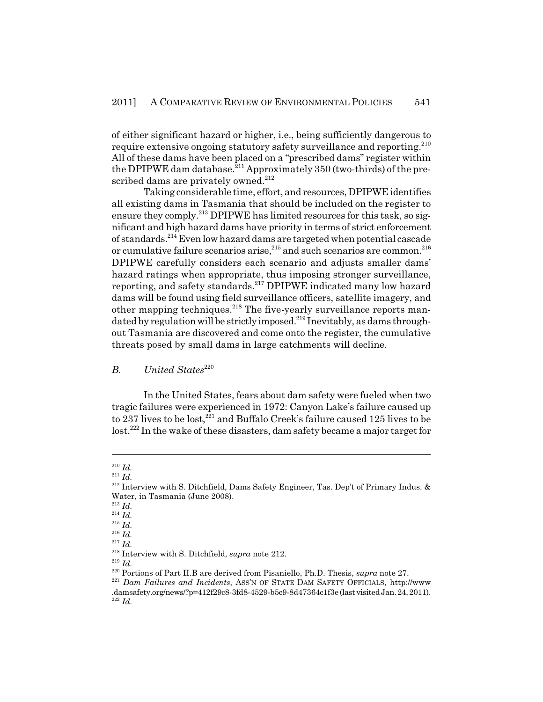of either significant hazard or higher, i.e., being sufficiently dangerous to require extensive ongoing statutory safety surveillance and reporting.<sup>210</sup> All of these dams have been placed on a "prescribed dams" register within the DPIPWE dam database.<sup>211</sup> Approximately 350 (two-thirds) of the prescribed dams are privately owned.<sup>212</sup>

Taking considerable time, effort, and resources, DPIPWE identifies all existing dams in Tasmania that should be included on the register to ensure they comply.<sup>213</sup> DPIPWE has limited resources for this task, so significant and high hazard dams have priority in terms of strict enforcement of standards.214 Even low hazard dams are targeted when potential cascade or cumulative failure scenarios arise,  $215$  and such scenarios are common.  $216$ DPIPWE carefully considers each scenario and adjusts smaller dams' hazard ratings when appropriate, thus imposing stronger surveillance, reporting, and safety standards.217 DPIPWE indicated many low hazard dams will be found using field surveillance officers, satellite imagery, and other mapping techniques.<sup>218</sup> The five-yearly surveillance reports mandated by regulation will be strictly imposed.<sup>219</sup> Inevitably, as dams throughout Tasmania are discovered and come onto the register, the cumulative threats posed by small dams in large catchments will decline.

# *B. United States*<sup>220</sup>

In the United States, fears about dam safety were fueled when two tragic failures were experienced in 1972: Canyon Lake's failure caused up to 237 lives to be lost,  $221$  and Buffalo Creek's failure caused 125 lives to be lost.222 In the wake of these disasters, dam safety became a major target for

<sup>211</sup> *Id.*

<sup>210</sup> *Id.*

 $2^{12}$  Interview with S. Ditchfield, Dams Safety Engineer, Tas. Dep't of Primary Indus. & Water, in Tasmania (June 2008).

<sup>213</sup> *Id.*

<sup>214</sup> *Id.*

<sup>215</sup> *Id.*

<sup>216</sup> *Id.* <sup>217</sup> *Id.*

<sup>218</sup> Interview with S. Ditchfield, *supra* note 212.

<sup>219</sup> *Id.*

<sup>220</sup> Portions of Part II.B are derived from Pisaniello, Ph.D. Thesis, *supra* note 27.

<sup>&</sup>lt;sup>221</sup> *Dam Failures and Incidents*, ASS'N OF STATE DAM SAFETY OFFICIALS, http://www .damsafety.org/news/?p=412f29c8-3fd8-4529-b5c9-8d47364c1f3e (last visited Jan. 24, 2011). <sup>222</sup> *Id.*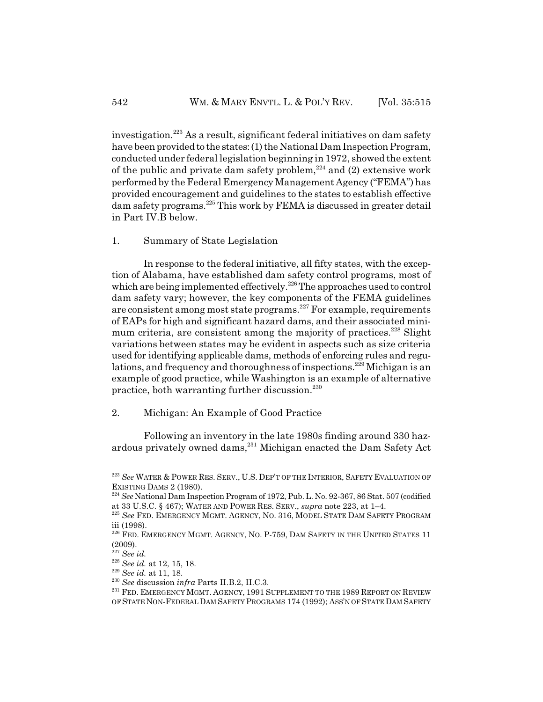investigation.223 As a result, significant federal initiatives on dam safety have been provided to the states: (1) the National Dam Inspection Program, conducted under federal legislation beginning in 1972, showed the extent of the public and private dam safety problem,<sup>224</sup> and  $(2)$  extensive work performed by the Federal Emergency Management Agency ("FEMA") has provided encouragement and guidelines to the states to establish effective dam safety programs.225 This work by FEMA is discussed in greater detail in Part IV.B below.

1. Summary of State Legislation

In response to the federal initiative, all fifty states, with the exception of Alabama, have established dam safety control programs, most of which are being implemented effectively.<sup>226</sup> The approaches used to control dam safety vary; however, the key components of the FEMA guidelines are consistent among most state programs.227 For example, requirements of EAPs for high and significant hazard dams, and their associated minimum criteria, are consistent among the majority of practices.<sup>228</sup> Slight variations between states may be evident in aspects such as size criteria used for identifying applicable dams, methods of enforcing rules and regulations, and frequency and thoroughness of inspections.<sup>229</sup> Michigan is an example of good practice, while Washington is an example of alternative practice, both warranting further discussion. $230$ 

2. Michigan: An Example of Good Practice

Following an inventory in the late 1980s finding around 330 hazardous privately owned dams,  $231$  Michigan enacted the Dam Safety Act

<sup>223</sup> *See* WATER & POWER RES. SERV., U.S. DEP'T OF THE INTERIOR, SAFETY EVALUATION OF EXISTING DAMS 2 (1980).

<sup>224</sup> *See* National Dam Inspection Program of 1972, Pub. L. No. 92-367, 86 Stat. 507 (codified at 33 U.S.C. § 467); WATER AND POWER RES. SERV., *supra* note 223, at 1–4.

<sup>225</sup> *See* FED. EMERGENCY MGMT. AGENCY, NO. 316, MODEL STATE DAM SAFETY PROGRAM iii (1998).

<sup>&</sup>lt;sup>226</sup> FED. EMERGENCY MGMT. AGENCY, NO. P-759, DAM SAFETY IN THE UNITED STATES 11 (2009).

<sup>227</sup> *See id.*

<sup>228</sup> *See id.* at 12, 15, 18.

<sup>229</sup> *See id.* at 11, 18.

<sup>230</sup> *See* discussion *infra* Parts II.B.2, II.C.3.

<sup>&</sup>lt;sup>231</sup> FED. EMERGENCY MGMT. AGENCY, 1991 SUPPLEMENT TO THE 1989 REPORT ON REVIEW OF STATE NON-FEDERAL DAM SAFETY PROGRAMS 174 (1992); ASS'N OF STATE DAM SAFETY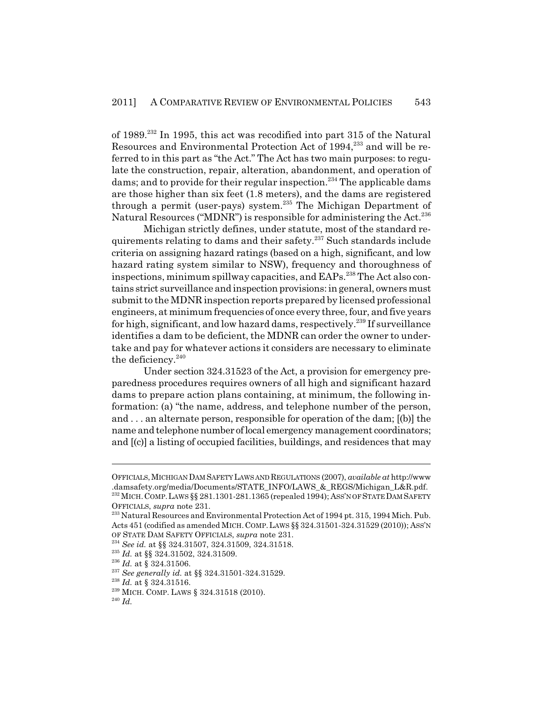of 1989.232 In 1995, this act was recodified into part 315 of the Natural Resources and Environmental Protection Act of 1994,<sup>233</sup> and will be referred to in this part as "the Act." The Act has two main purposes: to regulate the construction, repair, alteration, abandonment, and operation of dams; and to provide for their regular inspection.<sup>234</sup> The applicable dams are those higher than six feet (1.8 meters), and the dams are registered through a permit (user-pays) system.<sup>235</sup> The Michigan Department of Natural Resources ("MDNR") is responsible for administering the Act.<sup>236</sup>

Michigan strictly defines, under statute, most of the standard requirements relating to dams and their safety.<sup>237</sup> Such standards include criteria on assigning hazard ratings (based on a high, significant, and low hazard rating system similar to NSW), frequency and thoroughness of inspections, minimum spillway capacities, and EAPs.<sup>238</sup> The Act also contains strict surveillance and inspection provisions: in general, owners must submit to the MDNR inspection reports prepared by licensed professional engineers, at minimum frequencies of once every three, four, and five years for high, significant, and low hazard dams, respectively.<sup>239</sup> If surveillance identifies a dam to be deficient, the MDNR can order the owner to undertake and pay for whatever actions it considers are necessary to eliminate the deficiency.<sup>240</sup>

Under section 324.31523 of the Act, a provision for emergency preparedness procedures requires owners of all high and significant hazard dams to prepare action plans containing, at minimum, the following information: (a) "the name, address, and telephone number of the person, and . . . an alternate person, responsible for operation of the dam; [(b)] the name and telephone number of local emergency management coordinators; and [(c)] a listing of occupied facilities, buildings, and residences that may

OFFICIALS,MICHIGAN DAM SAFETY LAWS AND REGULATIONS (2007), *available at* http://www .damsafety.org/media/Documents/STATE\_INFO/LAWS\_&\_REGS/Michigan\_L&R.pdf. 232 MICH.COMP.LAWS §§ 281.1301-281.1365 (repealed 1994); ASS'N OF STATE DAM SAFETY OFFICIALS, *supra* note 231.

<sup>&</sup>lt;sup>233</sup> Natural Resources and Environmental Protection Act of 1994 pt. 315, 1994 Mich. Pub. Acts 451 (codified as amended MICH.COMP.LAWS §§ 324.31501-324.31529 (2010)); ASS'N OF STATE DAM SAFETY OFFICIALS, *supra* note 231.

<sup>234</sup> *See id.* at §§ 324.31507, 324.31509, 324.31518.

<sup>235</sup> *Id.* at §§ 324.31502, 324.31509.

<sup>236</sup> *Id.* at § 324.31506.

<sup>237</sup> *See generally id.* at §§ 324.31501-324.31529.

<sup>238</sup> *Id.* at § 324.31516.

<sup>239</sup> MICH. COMP. LAWS § 324.31518 (2010).

<sup>240</sup> *Id.*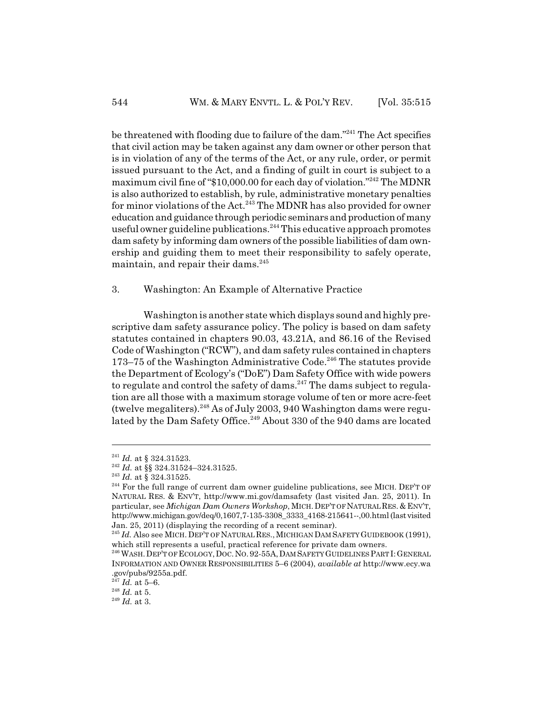be threatened with flooding due to failure of the dam."241 The Act specifies that civil action may be taken against any dam owner or other person that is in violation of any of the terms of the Act, or any rule, order, or permit issued pursuant to the Act, and a finding of guilt in court is subject to a maximum civil fine of "\$10,000.00 for each day of violation."242 The MDNR is also authorized to establish, by rule, administrative monetary penalties for minor violations of the Act.<sup>243</sup> The MDNR has also provided for owner education and guidance through periodic seminars and production of many useful owner guideline publications.<sup>244</sup> This educative approach promotes dam safety by informing dam owners of the possible liabilities of dam ownership and guiding them to meet their responsibility to safely operate, maintain, and repair their dams.<sup>245</sup>

#### 3. Washington: An Example of Alternative Practice

Washington is another state which displays sound and highly prescriptive dam safety assurance policy. The policy is based on dam safety statutes contained in chapters 90.03, 43.21A, and 86.16 of the Revised Code of Washington ("RCW"), and dam safety rules contained in chapters  $173-75$  of the Washington Administrative Code.<sup>246</sup> The statutes provide the Department of Ecology's ("DoE") Dam Safety Office with wide powers to regulate and control the safety of dams.<sup>247</sup> The dams subject to regulation are all those with a maximum storage volume of ten or more acre-feet (twelve megaliters). $248$  As of July 2003, 940 Washington dams were regulated by the Dam Safety Office.<sup>249</sup> About 330 of the 940 dams are located

<sup>241</sup> *Id.* at § 324.31523.

<sup>&</sup>lt;sup>242</sup> *Id.* at §§ 324.31524-324.31525.

<sup>243</sup> *Id.* at § 324.31525.

<sup>&</sup>lt;sup>244</sup> For the full range of current dam owner guideline publications, see MICH. DEP'T OF NATURAL RES. & ENV'T, http://www.mi.gov/damsafety (last visited Jan. 25, 2011). In particular, see *Michigan Dam Owners Workshop*, MICH.DEP'T OF NATURAL RES. & ENV'T, http://www.michigan.gov/deq/0,1607,7-135-3308\_3333\_4168-215641--,00.html (last visited Jan. 25, 2011) (displaying the recording of a recent seminar).

<sup>&</sup>lt;sup>245</sup> *Id.* Also see MICH. DEP'T OF NATURAL RES., MICHIGAN DAM SAFETY GUIDEBOOK (1991), which still represents a useful, practical reference for private dam owners.

<sup>&</sup>lt;sup>246</sup> WASH. DEP'T OF ECOLOGY, DOC. NO. 92-55A, DAM SAFETY GUIDELINES PART I: GENERAL INFORMATION AND OWNER RESPONSIBILITIES 5–6 (2004), *available at* http://www.ecy.wa .gov/pubs/9255a.pdf.

 $^{247}$  *Id.* at 5–6.

<sup>248</sup> *Id.* at 5.

<sup>249</sup> *Id.* at 3.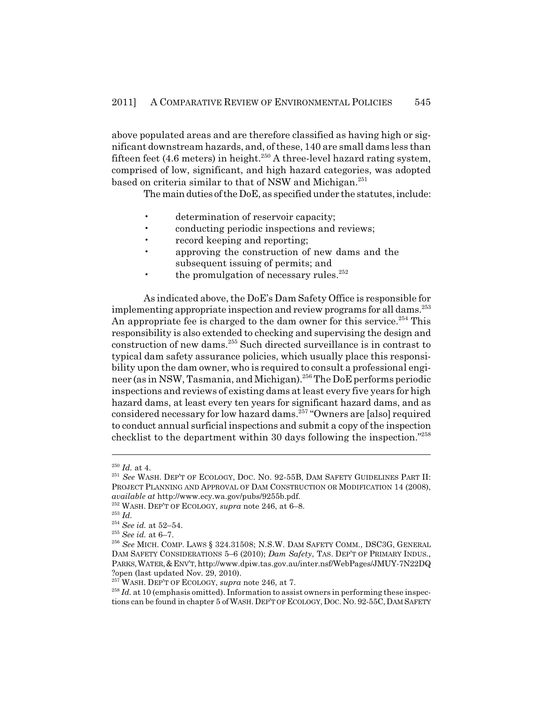above populated areas and are therefore classified as having high or significant downstream hazards, and, of these, 140 are small dams less than fifteen feet (4.6 meters) in height.<sup>250</sup> A three-level hazard rating system, comprised of low, significant, and high hazard categories, was adopted based on criteria similar to that of NSW and Michigan.<sup>251</sup>

The main duties of the DoE, as specified under the statutes, include:

- determination of reservoir capacity;
- conducting periodic inspections and reviews;
- record keeping and reporting;
- approving the construction of new dams and the subsequent issuing of permits; and
- the promulgation of necessary rules. $^{252}$

As indicated above, the DoE's Dam Safety Office is responsible for implementing appropriate inspection and review programs for all dams.<sup>253</sup> An appropriate fee is charged to the dam owner for this service.<sup>254</sup> This responsibility is also extended to checking and supervising the design and construction of new dams.255 Such directed surveillance is in contrast to typical dam safety assurance policies, which usually place this responsibility upon the dam owner, who is required to consult a professional engineer (as in NSW, Tasmania, and Michigan).256 The DoE performs periodic inspections and reviews of existing dams at least every five years for high hazard dams, at least every ten years for significant hazard dams, and as considered necessary for low hazard dams.257 "Owners are [also] required to conduct annual surficial inspections and submit a copy of the inspection checklist to the department within 30 days following the inspection."258

<sup>250</sup> *Id.* at 4.

<sup>251</sup> *See* WASH. DEP'T OF ECOLOGY, DOC. NO. 92-55B, DAM SAFETY GUIDELINES PART II: PROJECT PLANNING AND APPROVAL OF DAM CONSTRUCTION OR MODIFICATION 14 (2008), *available at* http://www.ecy.wa.gov/pubs/9255b.pdf.

<sup>252</sup> WASH. DEP'T OF ECOLOGY, *supra* note 246, at 6–8.

<sup>253</sup> *Id.*

<sup>254</sup> *See id.* at 52–54.

<sup>255</sup> *See id.* at 6–7.

<sup>256</sup> *See* MICH. COMP. LAWS § 324.31508; N.S.W. DAM SAFETY COMM., DSC3G, GENERAL DAM SAFETY CONSIDERATIONS 5–6 (2010); *Dam Safety*, TAS. DEP'T OF PRIMARY INDUS., PARKS,WATER,&ENV'T, http://www.dpiw.tas.gov.au/inter.nsf/WebPages/JMUY-7N22DQ ?open (last updated Nov. 29, 2010).

<sup>&</sup>lt;sup>257</sup> WASH. DEP'T OF ECOLOGY, *supra* note 246, at 7.

<sup>&</sup>lt;sup>258</sup> *Id.* at 10 (emphasis omitted). Information to assist owners in performing these inspections can be found in chapter 5 of WASH. DEP'T OF ECOLOGY, DOC. NO. 92-55C, DAM SAFETY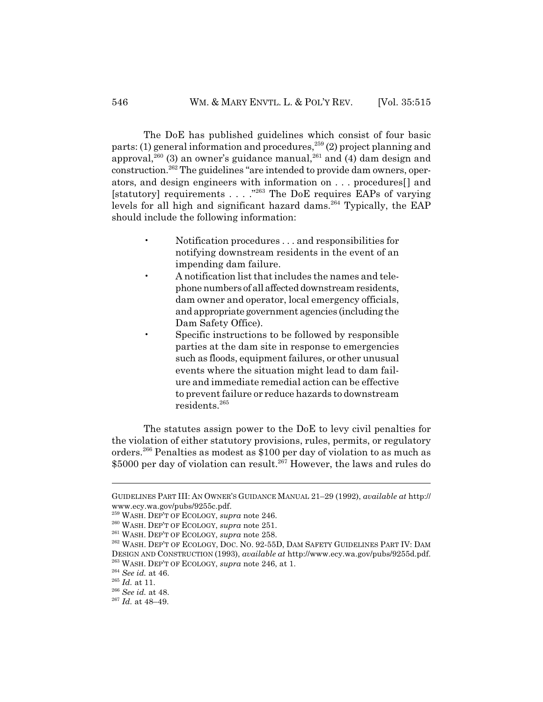The DoE has published guidelines which consist of four basic parts: (1) general information and procedures,  $259$  (2) project planning and approval,  $^{260}$  (3) an owner's guidance manual,  $^{261}$  and (4) dam design and construction.262 The guidelines "are intended to provide dam owners, operators, and design engineers with information on . . . procedures[] and [statutory] requirements . . . ."263 The DoE requires EAPs of varying levels for all high and significant hazard dams.<sup>264</sup> Typically, the EAP should include the following information:

- Notification procedures . . . and responsibilities for notifying downstream residents in the event of an impending dam failure.
- A notification list that includes the names and telephone numbers of all affected downstream residents, dam owner and operator, local emergency officials, and appropriate government agencies (including the Dam Safety Office).
	- Specific instructions to be followed by responsible parties at the dam site in response to emergencies such as floods, equipment failures, or other unusual events where the situation might lead to dam failure and immediate remedial action can be effective to prevent failure or reduce hazards to downstream residents.265

The statutes assign power to the DoE to levy civil penalties for the violation of either statutory provisions, rules, permits, or regulatory orders.266 Penalties as modest as \$100 per day of violation to as much as \$5000 per day of violation can result.<sup>267</sup> However, the laws and rules do

GUIDELINES PART III: AN OWNER'S GUIDANCE MANUAL 21–29 (1992), *available at* http:// www.ecy.wa.gov/pubs/9255c.pdf.

<sup>259</sup> WASH. DEP'T OF ECOLOGY, *supra* note 246.

<sup>260</sup> WASH. DEP'T OF ECOLOGY, *supra* note 251.

<sup>261</sup> WASH. DEP'T OF ECOLOGY, *supra* note 258.

<sup>262</sup> WASH. DEP'T OF ECOLOGY, DOC. NO. 92-55D, DAM SAFETY GUIDELINES PART IV: DAM DESIGN AND CONSTRUCTION (1993), *available at* http://www.ecy.wa.gov/pubs/9255d.pdf. 263 WASH. DEP'T OF ECOLOGY, *supra* note 246, at 1.

<sup>264</sup> *See id.* at 46.

<sup>265</sup> *Id.* at 11.

<sup>266</sup> *See id.* at 48.

<sup>267</sup> *Id.* at 48–49.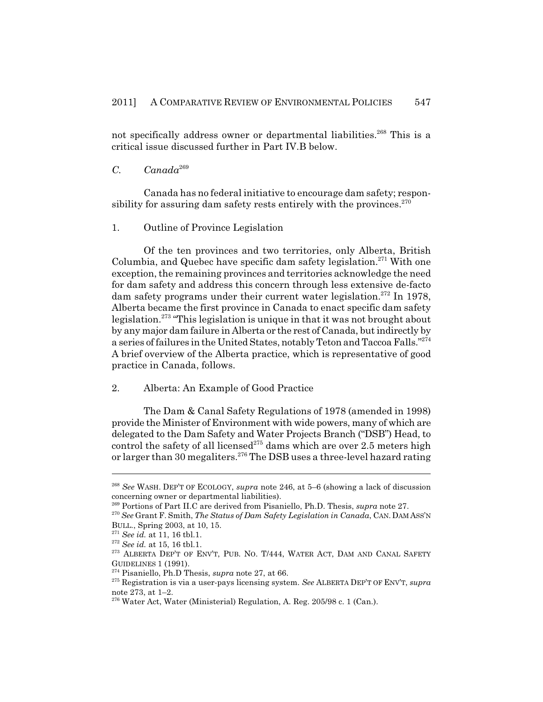not specifically address owner or departmental liabilities.<sup>268</sup> This is a critical issue discussed further in Part IV.B below.

## *C. Canada*<sup>269</sup>

Canada has no federal initiative to encourage dam safety; responsibility for assuring dam safety rests entirely with the provinces. $270$ 

1. Outline of Province Legislation

Of the ten provinces and two territories, only Alberta, British Columbia, and Quebec have specific dam safety legislation.<sup>271</sup> With one exception, the remaining provinces and territories acknowledge the need for dam safety and address this concern through less extensive de-facto dam safety programs under their current water legislation.<sup>272</sup> In 1978, Alberta became the first province in Canada to enact specific dam safety legislation.273 "This legislation is unique in that it was not brought about by any major dam failure in Alberta or the rest of Canada, but indirectly by a series of failures in the United States, notably Teton and Taccoa Falls."<sup>274</sup> A brief overview of the Alberta practice, which is representative of good practice in Canada, follows.

#### 2. Alberta: An Example of Good Practice

The Dam & Canal Safety Regulations of 1978 (amended in 1998) provide the Minister of Environment with wide powers, many of which are delegated to the Dam Safety and Water Projects Branch ("DSB") Head, to control the safety of all licensed<sup>275</sup> dams which are over 2.5 meters high or larger than 30 megaliters.<sup>276</sup> The DSB uses a three-level hazard rating

<sup>268</sup> *See* WASH. DEP'T OF ECOLOGY, *supra* note 246, at 5–6 (showing a lack of discussion concerning owner or departmental liabilities).

<sup>269</sup> Portions of Part II.C are derived from Pisaniello, Ph.D. Thesis, *supra* note 27.

<sup>270</sup> *See* Grant F. Smith, *The Status of Dam Safety Legislation in Canada*, CAN. DAM ASS'N BULL., Spring 2003, at 10, 15.

<sup>271</sup> *See id.* at 11, 16 tbl.1.

<sup>272</sup> *See id.* at 15, 16 tbl.1.

<sup>273</sup> ALBERTA DEP'T OF ENV'T, PUB. NO. T/444, WATER ACT, DAM AND CANAL SAFETY GUIDELINES 1 (1991).

<sup>274</sup> Pisaniello, Ph.D Thesis, *supra* note 27, at 66.

<sup>275</sup> Registration is via a user-pays licensing system. *See* ALBERTA DEP'T OF ENV'T, *supra* note 273, at 1–2.

 $276$  Water Act, Water (Ministerial) Regulation, A. Reg. 205/98 c. 1 (Can.).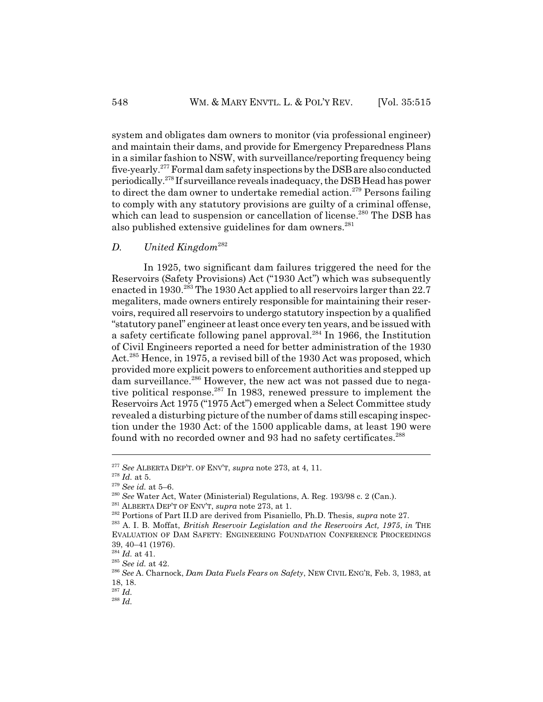system and obligates dam owners to monitor (via professional engineer) and maintain their dams, and provide for Emergency Preparedness Plans in a similar fashion to NSW, with surveillance/reporting frequency being five-yearly.277 Formal dam safety inspections by the DSB are also conducted periodically.278 If surveillance reveals inadequacy, the DSB Head has power to direct the dam owner to undertake remedial action.<sup>279</sup> Persons failing to comply with any statutory provisions are guilty of a criminal offense, which can lead to suspension or cancellation of license.<sup>280</sup> The DSB has also published extensive guidelines for dam owners.<sup>281</sup>

#### *D. United Kingdom*<sup>282</sup>

In 1925, two significant dam failures triggered the need for the Reservoirs (Safety Provisions) Act ("1930 Act") which was subsequently enacted in 1930.<sup>283</sup> The 1930 Act applied to all reservoirs larger than 22.7 megaliters, made owners entirely responsible for maintaining their reservoirs, required all reservoirs to undergo statutory inspection by a qualified "statutory panel" engineer at least once every ten years, and be issued with a safety certificate following panel approval.<sup>284</sup> In 1966, the Institution of Civil Engineers reported a need for better administration of the 1930 Act.<sup>285</sup> Hence, in 1975, a revised bill of the 1930 Act was proposed, which provided more explicit powers to enforcement authorities and stepped up dam surveillance.<sup>286</sup> However, the new act was not passed due to negative political response.<sup>287</sup> In 1983, renewed pressure to implement the Reservoirs Act 1975 ("1975 Act") emerged when a Select Committee study revealed a disturbing picture of the number of dams still escaping inspection under the 1930 Act: of the 1500 applicable dams, at least 190 were found with no recorded owner and 93 had no safety certificates.<sup>288</sup>

<sup>277</sup> *See* ALBERTA DEP'T. OF ENV'T, *supra* note 273, at 4, 11.

 $\real^{278}$   $Id.$  at 5.

<sup>279</sup> *See id.* at 5–6.

<sup>280</sup> *See* Water Act, Water (Ministerial) Regulations, A. Reg. 193/98 c. 2 (Can.).

<sup>281</sup> ALBERTA DEP'T OF ENV'T, *supra* note 273, at 1.

<sup>282</sup> Portions of Part II.D are derived from Pisaniello, Ph.D. Thesis, *supra* note 27.

<sup>283</sup> A. I. B. Moffat, *British Reservoir Legislation and the Reservoirs Act, 1975*, *in* THE EVALUATION OF DAM SAFETY: ENGINEERING FOUNDATION CONFERENCE PROCEEDINGS 39, 40–41 (1976).

<sup>284</sup> *Id.* at 41.

<sup>285</sup> *See id.* at 42.

<sup>286</sup> *See* A. Charnock, *Dam Data Fuels Fears on Safety*, NEW CIVIL ENG'R, Feb. 3, 1983, at 18, 18.

<sup>287</sup> *Id.*

 $^{288}$  *Id.*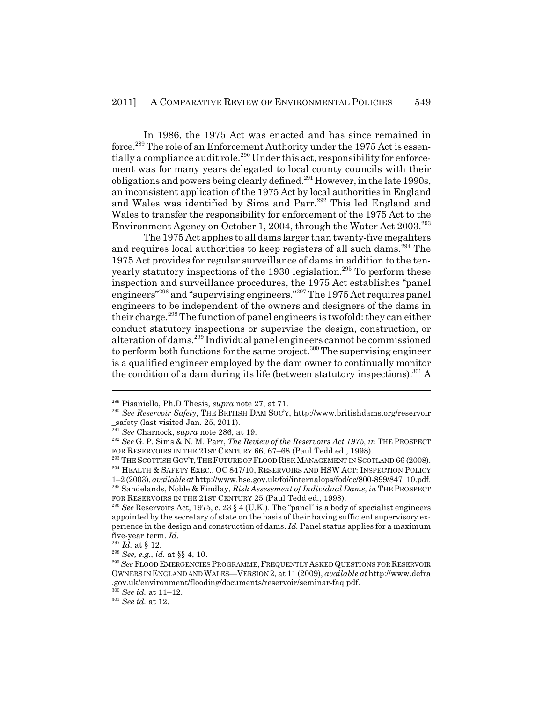In 1986, the 1975 Act was enacted and has since remained in force.<sup>289</sup> The role of an Enforcement Authority under the 1975 Act is essentially a compliance audit role.<sup>290</sup> Under this act, responsibility for enforcement was for many years delegated to local county councils with their obligations and powers being clearly defined.291 However, in the late 1990s, an inconsistent application of the 1975 Act by local authorities in England and Wales was identified by Sims and Parr.<sup>292</sup> This led England and Wales to transfer the responsibility for enforcement of the 1975 Act to the Environment Agency on October 1, 2004, through the Water Act 2003.<sup>293</sup>

The 1975 Act applies to all dams larger than twenty-five megaliters and requires local authorities to keep registers of all such dams.<sup>294</sup> The 1975 Act provides for regular surveillance of dams in addition to the tenyearly statutory inspections of the 1930 legislation.<sup>295</sup> To perform these inspection and surveillance procedures, the 1975 Act establishes "panel engineers"296 and "supervising engineers."297 The 1975 Act requires panel engineers to be independent of the owners and designers of the dams in their charge.<sup>298</sup> The function of panel engineers is twofold: they can either conduct statutory inspections or supervise the design, construction, or alteration of dams.<sup>299</sup> Individual panel engineers cannot be commissioned to perform both functions for the same project. $300$  The supervising engineer is a qualified engineer employed by the dam owner to continually monitor the condition of a dam during its life (between statutory inspections).<sup>301</sup> A

<sup>289</sup> Pisaniello, Ph.D Thesis, *supra* note 27, at 71.

<sup>290</sup> *See Reservoir Safety*, THE BRITISH DAM SOC'Y, http://www.britishdams.org/reservoir \_safety (last visited Jan. 25, 2011).

<sup>291</sup> *See* Charnock, *supra* note 286, at 19.

<sup>292</sup> *See* G. P. Sims & N. M. Parr, *The Review of the Reservoirs Act 1975, in* THE PROSPECT FOR RESERVOIRS IN THE 21ST CENTURY 66, 67-68 (Paul Tedd ed., 1998).

<sup>&</sup>lt;sup>293</sup> THE SCOTTISH GOV'T, THE FUTURE OF FLOOD RISK MANAGEMENT IN SCOTLAND 66 (2008).

<sup>&</sup>lt;sup>294</sup> HEALTH & SAFETY EXEC., OC 847/10, RESERVOIRS AND HSW ACT: INSPECTION POLICY

<sup>1–2 (2003),</sup> *available at* http://www.hse.gov.uk/foi/internalops/fod/oc/800-899/847\_10.pdf. 295 Sandelands, Noble & Findlay, *Risk Assessment of Individual Dams, in* THE PROSPECT FOR RESERVOIRS IN THE 21ST CENTURY 25 (Paul Tedd ed., 1998).

<sup>&</sup>lt;sup>296</sup> See Reservoirs Act, 1975, c. 23  $\S$  4 (U.K.). The "panel" is a body of specialist engineers appointed by the secretary of state on the basis of their having sufficient supervisory experience in the design and construction of dams. *Id.* Panel status applies for a maximum five-year term. *Id.*

 $^{297}$   $Id.$  at § 12.

<sup>298</sup> *See, e.g.*, *id.* at §§ 4, 10.

<sup>299</sup> *See* FLOOD EMERGENCIES PROGRAMME,FREQUENTLY ASKED QUESTIONS FOR RESERVOIR OWNERS IN ENGLAND AND WALES—VERSION 2, at 11 (2009), *available at* http://www.defra .gov.uk/environment/flooding/documents/reservoir/seminar-faq.pdf.

<sup>300</sup> *See id.* at 11–12.

<sup>301</sup> *See id.* at 12.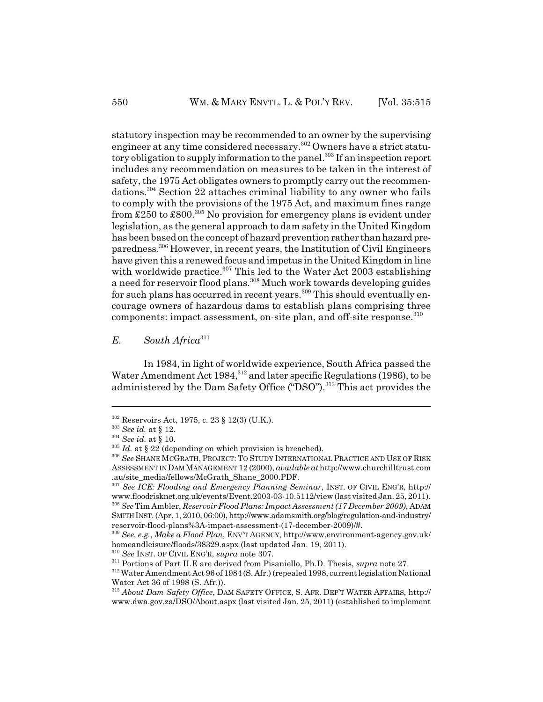statutory inspection may be recommended to an owner by the supervising engineer at any time considered necessary.<sup>302</sup> Owners have a strict statutory obligation to supply information to the panel.<sup>303</sup> If an inspection report includes any recommendation on measures to be taken in the interest of safety, the 1975 Act obligates owners to promptly carry out the recommendations.304 Section 22 attaches criminal liability to any owner who fails to comply with the provisions of the 1975 Act, and maximum fines range from £250 to £800.<sup>305</sup> No provision for emergency plans is evident under legislation, as the general approach to dam safety in the United Kingdom has been based on the concept of hazard prevention rather than hazard preparedness.306 However, in recent years, the Institution of Civil Engineers have given this a renewed focus and impetus in the United Kingdom in line with worldwide practice.<sup>307</sup> This led to the Water Act 2003 establishing a need for reservoir flood plans.<sup>308</sup> Much work towards developing guides for such plans has occurred in recent years.<sup>309</sup> This should eventually encourage owners of hazardous dams to establish plans comprising three components: impact assessment, on-site plan, and off-site response.<sup>310</sup>

*E. South Africa*<sup>311</sup>

In 1984, in light of worldwide experience, South Africa passed the Water Amendment Act 1984,  $312$  and later specific Regulations (1986), to be administered by the Dam Safety Office ("DSO").<sup>313</sup> This act provides the

SMITH INST. (Apr. 1, 2010, 06:00), http://www.adamsmith.org/blog/regulation-and-industry/ reservoir-flood-plans%3A-impact-assessment-(17-december-2009)/#.

<sup>310</sup> *See* INST. OF CIVIL ENG'R, *supra* note 307.

<sup>302</sup> Reservoirs Act, 1975, c. 23 § 12(3) (U.K.).

<sup>303</sup> *See id.* at § 12.

<sup>304</sup> *See id.* at § 10.

<sup>&</sup>lt;sup>305</sup> *Id.* at § 22 (depending on which provision is breached).

<sup>306</sup> *See* SHANE MCGRATH, PROJECT: TO STUDY INTERNATIONAL PRACTICE AND USE OF RISK ASSESSMENT IN DAM MANAGEMENT 12 (2000), *available at* http://www.churchilltrust.com .au/site\_media/fellows/McGrath\_Shane\_2000.PDF.

<sup>307</sup> *See ICE: Flooding and Emergency Planning Seminar*, INST. OF CIVIL ENG'R, http:// www.floodrisknet.org.uk/events/Event.2003-03-10.5112/view (last visited Jan. 25, 2011). <sup>308</sup> *See* Tim Ambler, *Reservoir Flood Plans: Impact Assessment (17 December 2009)*, ADAM

<sup>309</sup> *See, e.g.*, *Make a Flood Plan*, ENV'T AGENCY, http://www.environment-agency.gov.uk/ homeandleisure/floods/38329.aspx (last updated Jan. 19, 2011).

<sup>311</sup> Portions of Part II.E are derived from Pisaniello, Ph.D. Thesis, *supra* note 27.

<sup>312</sup> Water Amendment Act 96 of 1984 (S. Afr.) (repealed 1998, current legislation National Water Act 36 of 1998 (S. Afr.)).

<sup>313</sup> *About Dam Safety Office*, DAM SAFETY OFFICE, S. AFR. DEP'T WATER AFFAIRS, http:// www.dwa.gov.za/DSO/About.aspx (last visited Jan. 25, 2011) (established to implement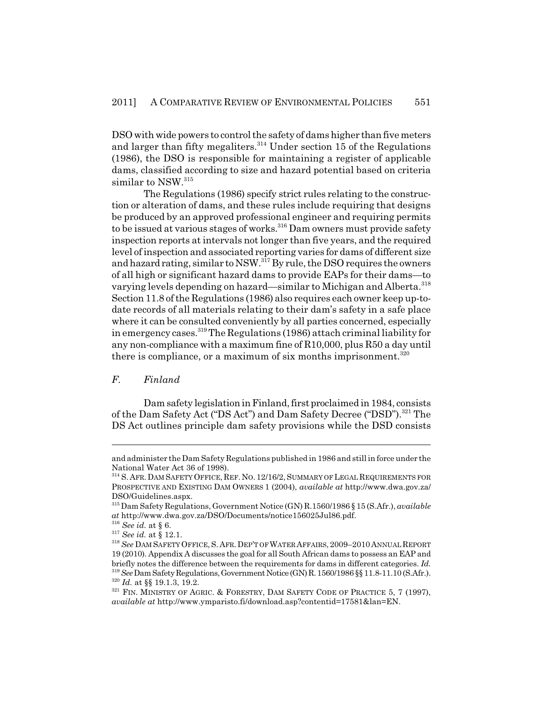DSO with wide powers to control the safety of dams higher than five meters and larger than fifty megaliters.  $314$  Under section 15 of the Regulations (1986), the DSO is responsible for maintaining a register of applicable dams, classified according to size and hazard potential based on criteria similar to NSW.<sup>315</sup>

The Regulations (1986) specify strict rules relating to the construction or alteration of dams, and these rules include requiring that designs be produced by an approved professional engineer and requiring permits to be issued at various stages of works.<sup>316</sup> Dam owners must provide safety inspection reports at intervals not longer than five years, and the required level of inspection and associated reporting varies for dams of different size and hazard rating, similar to NSW.<sup>317</sup> By rule, the DSO requires the owners of all high or significant hazard dams to provide EAPs for their dams—to varying levels depending on hazard—similar to Michigan and Alberta.<sup>318</sup> Section 11.8 of the Regulations (1986) also requires each owner keep up-todate records of all materials relating to their dam's safety in a safe place where it can be consulted conveniently by all parties concerned, especially in emergency cases.319 The Regulations (1986) attach criminal liability for any non-compliance with a maximum fine of R10,000, plus R50 a day until there is compliance, or a maximum of six months imprisonment. $320$ 

#### *F. Finland*

Dam safety legislation in Finland, first proclaimed in 1984, consists of the Dam Safety Act ("DS Act") and Dam Safety Decree ("DSD").<sup>321</sup> The DS Act outlines principle dam safety provisions while the DSD consists

and administer the Dam Safety Regulations published in 1986 and still in force under the National Water Act 36 of 1998).

<sup>&</sup>lt;sup>314</sup> S. AFR. DAM SAFETY OFFICE, REF. NO. 12/16/2, SUMMARY OF LEGAL REQUIREMENTS FOR PROSPECTIVE AND EXISTING DAM OWNERS 1 (2004), *available at* http://www.dwa.gov.za/ DSO/Guidelines.aspx.

<sup>315</sup> Dam Safety Regulations, Government Notice (GN) R.1560/1986 § 15 (S.Afr.), *available at* http://www.dwa.gov.za/DSO/Documents/notice156025Jul86.pdf.

<sup>316</sup> *See id.* at § 6.

<sup>317</sup> *See id.* at § 12.1.

<sup>318</sup> *See* DAM SAFETY OFFICE,S. AFR.DEP'T OF WATER AFFAIRS,2009–2010ANNUAL REPORT 19 (2010). Appendix A discusses the goal for all South African dams to possess an EAP and briefly notes the difference between the requirements for dams in different categories. *Id.* <sup>319</sup>*See* Dam Safety Regulations, Government Notice (GN) R. 1560/1986 §§ 11.8-11.10 (S.Afr.). <sup>320</sup> *Id.* at §§ 19.1.3, 19.2.

<sup>&</sup>lt;sup>321</sup> FIN. MINISTRY OF AGRIC. & FORESTRY, DAM SAFETY CODE OF PRACTICE 5, 7 (1997), *available at* http://www.ymparisto.fi/download.asp?contentid=17581&lan=EN.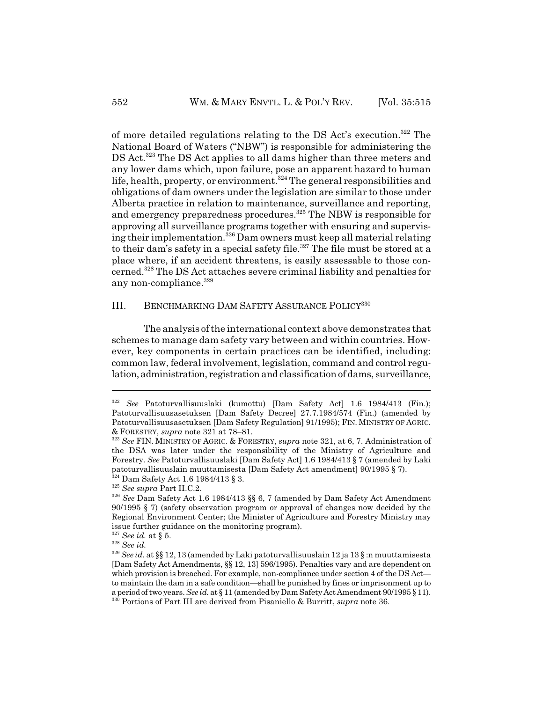of more detailed regulations relating to the DS Act's execution.322 The National Board of Waters ("NBW") is responsible for administering the DS Act.<sup>323</sup> The DS Act applies to all dams higher than three meters and any lower dams which, upon failure, pose an apparent hazard to human life, health, property, or environment.<sup>324</sup> The general responsibilities and obligations of dam owners under the legislation are similar to those under Alberta practice in relation to maintenance, surveillance and reporting, and emergency preparedness procedures.<sup>325</sup> The NBW is responsible for approving all surveillance programs together with ensuring and supervising their implementation.326 Dam owners must keep all material relating to their dam's safety in a special safety file.<sup>327</sup> The file must be stored at a place where, if an accident threatens, is easily assessable to those concerned.328 The DS Act attaches severe criminal liability and penalties for any non-compliance. $329$ 

#### III. BENCHMARKING DAM SAFETY ASSURANCE POLICY<sup>330</sup>

The analysis of the international context above demonstrates that schemes to manage dam safety vary between and within countries. However, key components in certain practices can be identified, including: common law, federal involvement, legislation, command and control regulation, administration, registration and classification of dams, surveillance,

<sup>322</sup> *See* Patoturvallisuuslaki (kumottu) [Dam Safety Act] 1.6 1984/413 (Fin.); Patoturvallisuusasetuksen [Dam Safety Decree] 27.7.1984/574 (Fin.) (amended by Patoturvallisuusasetuksen [Dam Safety Regulation] 91/1995); FIN. MINISTRY OF AGRIC. & FORESTRY, *supra* note 321 at 78–81.

<sup>323</sup> *See* FIN. MINISTRY OF AGRIC. & FORESTRY, *supra* note 321, at 6, 7. Administration of the DSA was later under the responsibility of the Ministry of Agriculture and Forestry. *See* Patoturvallisuuslaki [Dam Safety Act] 1.6 1984/413 § 7 (amended by Laki patoturvallisuuslain muuttamisesta [Dam Safety Act amendment] 90/1995 § 7).  $^{24}$  Dam Safety Act 1.6 1984/413 § 3.

<sup>325</sup> *See supra* Part II.C.2.

<sup>326</sup> *See* Dam Safety Act 1.6 1984/413 §§ 6, 7 (amended by Dam Safety Act Amendment 90/1995 § 7) (safety observation program or approval of changes now decided by the Regional Environment Center; the Minister of Agriculture and Forestry Ministry may

issue further guidance on the monitoring program).

 $^{327}$  See id. at  $\S$  5.

<sup>328</sup> *See id.*

<sup>329</sup> *See id.* at §§ 12, 13 (amended by Laki patoturvallisuuslain 12 ja 13 § :n muuttamisesta [Dam Safety Act Amendments, §§ 12, 13] 596/1995). Penalties vary and are dependent on which provision is breached. For example, non-compliance under section 4 of the DS Act to maintain the dam in a safe condition—shall be punished by fines or imprisonment up to a period of two years. *See id.* at § 11 (amended by Dam Safety Act Amendment 90/1995 § 11). 330 Portions of Part III are derived from Pisaniello & Burritt, *supra* note 36.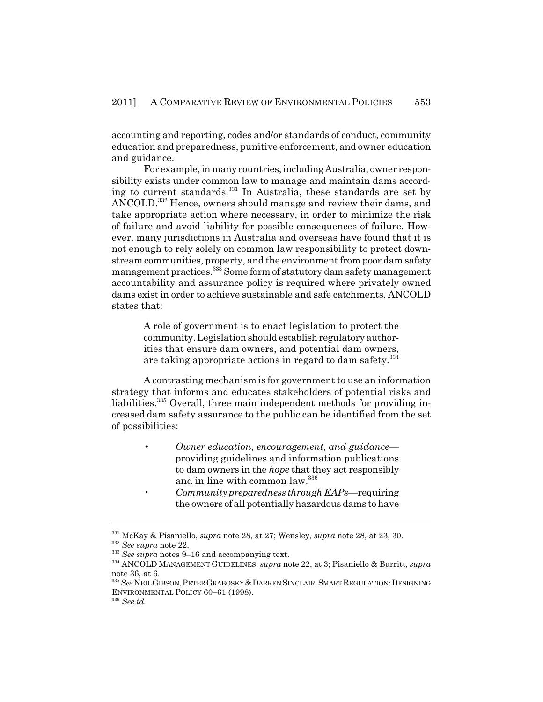accounting and reporting, codes and/or standards of conduct, community education and preparedness, punitive enforcement, and owner education and guidance.

For example, in many countries, including Australia, owner responsibility exists under common law to manage and maintain dams according to current standards.331 In Australia, these standards are set by ANCOLD.<sup>332</sup> Hence, owners should manage and review their dams, and take appropriate action where necessary, in order to minimize the risk of failure and avoid liability for possible consequences of failure. However, many jurisdictions in Australia and overseas have found that it is not enough to rely solely on common law responsibility to protect downstream communities, property, and the environment from poor dam safety management practices.<sup>333</sup> Some form of statutory dam safety management accountability and assurance policy is required where privately owned dams exist in order to achieve sustainable and safe catchments. ANCOLD states that:

> A role of government is to enact legislation to protect the community. Legislation should establish regulatory authorities that ensure dam owners, and potential dam owners, are taking appropriate actions in regard to dam safety.<sup>334</sup>

A contrasting mechanism is for government to use an information strategy that informs and educates stakeholders of potential risks and liabilities.<sup>335</sup> Overall, three main independent methods for providing increased dam safety assurance to the public can be identified from the set of possibilities:

- *Owner education, encouragement, and guidance* providing guidelines and information publications to dam owners in the *hope* that they act responsibly and in line with common law.336
- *Community preparedness through EAPs*—requiring the owners of all potentially hazardous dams to have

<sup>331</sup> McKay & Pisaniello, *supra* note 28, at 27; Wensley, *supra* note 28, at 23, 30.

<sup>332</sup> *See supra* note 22.

<sup>333</sup> *See supra* notes 9–16 and accompanying text.

<sup>334</sup> ANCOLD MANAGEMENT GUIDELINES, *supra* note 22, at 3; Pisaniello & Burritt, *supra* note 36, at 6.

<sup>335</sup> *See* NEIL GIBSON,PETER GRABOSKY &DARREN SINCLAIR,SMART REGULATION:DESIGNING ENVIRONMENTAL POLICY 60–61 (1998).

<sup>336</sup> *See id.*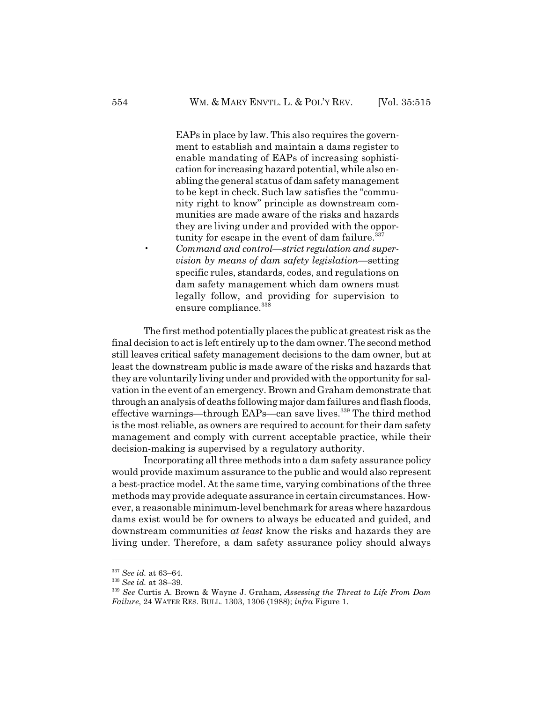EAPs in place by law. This also requires the government to establish and maintain a dams register to enable mandating of EAPs of increasing sophistication for increasing hazard potential, while also enabling the general status of dam safety management to be kept in check. Such law satisfies the "community right to know" principle as downstream communities are made aware of the risks and hazards they are living under and provided with the opportunity for escape in the event of dam failure. $337$ 

• *Command and control—strict regulation and supervision by means of dam safety legislation*—setting specific rules, standards, codes, and regulations on dam safety management which dam owners must legally follow, and providing for supervision to ensure compliance.<sup>338</sup>

The first method potentially places the public at greatest risk as the final decision to act is left entirely up to the dam owner. The second method still leaves critical safety management decisions to the dam owner, but at least the downstream public is made aware of the risks and hazards that they are voluntarily living under and provided with the opportunity for salvation in the event of an emergency. Brown and Graham demonstrate that through an analysis of deaths following major dam failures and flash floods, effective warnings—through EAPs—can save lives.<sup>339</sup> The third method is the most reliable, as owners are required to account for their dam safety management and comply with current acceptable practice, while their decision-making is supervised by a regulatory authority.

Incorporating all three methods into a dam safety assurance policy would provide maximum assurance to the public and would also represent a best-practice model. At the same time, varying combinations of the three methods may provide adequate assurance in certain circumstances. However, a reasonable minimum-level benchmark for areas where hazardous dams exist would be for owners to always be educated and guided, and downstream communities *at least* know the risks and hazards they are living under. Therefore, a dam safety assurance policy should always

<sup>337</sup> *See id.* at 63–64.

<sup>338</sup> *See id.* at 38–39.

<sup>339</sup> *See* Curtis A. Brown & Wayne J. Graham, *Assessing the Threat to Life From Dam Failure*, 24 WATER RES. BULL. 1303, 1306 (1988); *infra* Figure 1.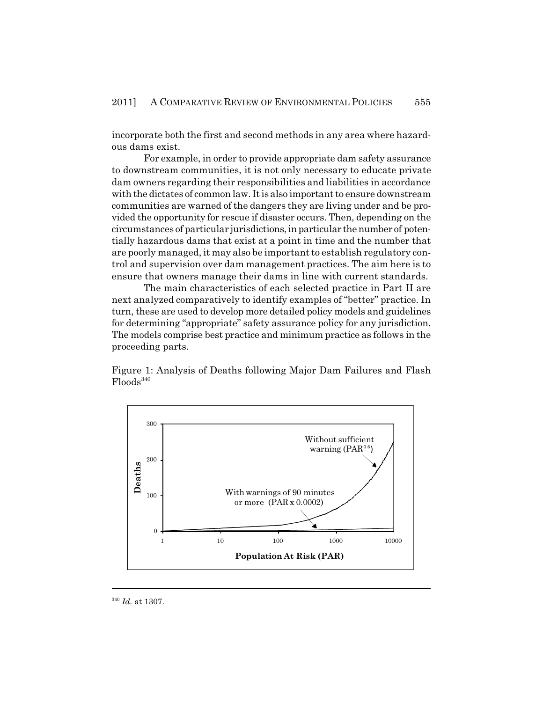incorporate both the first and second methods in any area where hazardous dams exist.

For example, in order to provide appropriate dam safety assurance to downstream communities, it is not only necessary to educate private dam owners regarding their responsibilities and liabilities in accordance with the dictates of common law. It is also important to ensure downstream communities are warned of the dangers they are living under and be provided the opportunity for rescue if disaster occurs. Then, depending on the circumstances of particular jurisdictions, in particular the number of potentially hazardous dams that exist at a point in time and the number that are poorly managed, it may also be important to establish regulatory control and supervision over dam management practices. The aim here is to ensure that owners manage their dams in line with current standards.

The main characteristics of each selected practice in Part II are next analyzed comparatively to identify examples of "better" practice. In turn, these are used to develop more detailed policy models and guidelines for determining "appropriate" safety assurance policy for any jurisdiction. The models comprise best practice and minimum practice as follows in the proceeding parts.

Figure 1: Analysis of Deaths following Major Dam Failures and Flash  $F$ loods<sup>340</sup>



<sup>340</sup> *Id.* at 1307.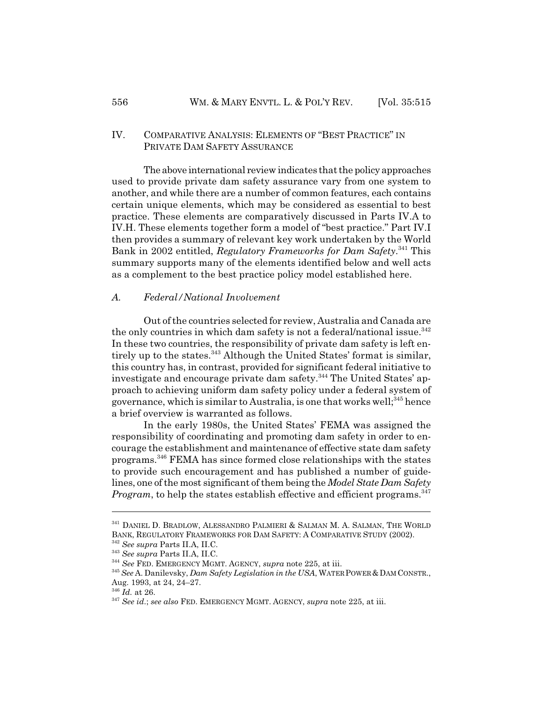#### IV. COMPARATIVE ANALYSIS: ELEMENTS OF "BEST PRACTICE" IN PRIVATE DAM SAFETY ASSURANCE

The above international review indicates that the policy approaches used to provide private dam safety assurance vary from one system to another, and while there are a number of common features, each contains certain unique elements, which may be considered as essential to best practice. These elements are comparatively discussed in Parts IV.A to IV.H. These elements together form a model of "best practice." Part IV.I then provides a summary of relevant key work undertaken by the World Bank in 2002 entitled, *Regulatory Frameworks for Dam Safety*. 341 This summary supports many of the elements identified below and well acts as a complement to the best practice policy model established here.

#### *A. Federal/National Involvement*

Out of the countries selected for review, Australia and Canada are the only countries in which dam safety is not a federal/national issue.<sup>342</sup> In these two countries, the responsibility of private dam safety is left entirely up to the states.<sup>343</sup> Although the United States' format is similar, this country has, in contrast, provided for significant federal initiative to investigate and encourage private dam safety.<sup>344</sup> The United States' approach to achieving uniform dam safety policy under a federal system of governance, which is similar to Australia, is one that works well;  $345$  hence a brief overview is warranted as follows.

In the early 1980s, the United States' FEMA was assigned the responsibility of coordinating and promoting dam safety in order to encourage the establishment and maintenance of effective state dam safety programs.346 FEMA has since formed close relationships with the states to provide such encouragement and has published a number of guidelines, one of the most significant of them being the *Model State Dam Safety Program*, to help the states establish effective and efficient programs.<sup>347</sup>

<sup>341</sup> DANIEL D. BRADLOW, ALESSANDRO PALMIERI & SALMAN M. A. SALMAN, THE WORLD BANK, REGULATORY FRAMEWORKS FOR DAM SAFETY: A COMPARATIVE STUDY (2002).

<sup>342</sup> *See supra* Parts II.A, II.C.

<sup>343</sup> *See supra* Parts II.A, II.C.

<sup>344</sup> *See* FED. EMERGENCY MGMT. AGENCY, *supra* note 225, at iii.

<sup>&</sup>lt;sup>345</sup> See A. Danilevsky, *Dam Safety Legislation in the USA*, WATER POWER & DAM CONSTR., Aug. 1993, at 24, 24–27.

<sup>346</sup> *Id.* at 26.

<sup>347</sup> *See id*.; *see also* FED. EMERGENCY MGMT. AGENCY, *supra* note 225, at iii.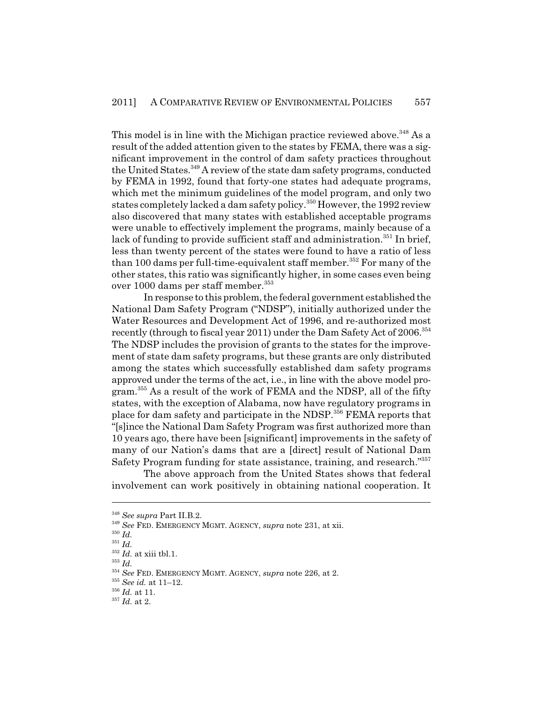This model is in line with the Michigan practice reviewed above.<sup>348</sup> As a result of the added attention given to the states by FEMA, there was a significant improvement in the control of dam safety practices throughout the United States.<sup>349</sup> A review of the state dam safety programs, conducted by FEMA in 1992, found that forty-one states had adequate programs, which met the minimum guidelines of the model program, and only two states completely lacked a dam safety policy.<sup>350</sup> However, the 1992 review also discovered that many states with established acceptable programs were unable to effectively implement the programs, mainly because of a lack of funding to provide sufficient staff and administration.<sup>351</sup> In brief, less than twenty percent of the states were found to have a ratio of less than 100 dams per full-time-equivalent staff member.<sup>352</sup> For many of the other states, this ratio was significantly higher, in some cases even being over 1000 dams per staff member.<sup>353</sup>

In response to this problem, the federal government established the National Dam Safety Program ("NDSP"), initially authorized under the Water Resources and Development Act of 1996, and re-authorized most recently (through to fiscal year 2011) under the Dam Safety Act of 2006.<sup>354</sup> The NDSP includes the provision of grants to the states for the improvement of state dam safety programs, but these grants are only distributed among the states which successfully established dam safety programs approved under the terms of the act, i.e., in line with the above model program.<sup>355</sup> As a result of the work of FEMA and the NDSP, all of the fifty states, with the exception of Alabama, now have regulatory programs in place for dam safety and participate in the NDSP.<sup>356</sup> FEMA reports that "[s]ince the National Dam Safety Program was first authorized more than 10 years ago, there have been [significant] improvements in the safety of many of our Nation's dams that are a [direct] result of National Dam Safety Program funding for state assistance, training, and research."357

The above approach from the United States shows that federal involvement can work positively in obtaining national cooperation. It

<sup>348</sup> *See supra* Part II.B.2.

<sup>349</sup> *See* FED. EMERGENCY MGMT. AGENCY, *supra* note 231, at xii.

<sup>350</sup> *Id.*

<sup>351</sup> *Id.*

<sup>352</sup> *Id.* at xiii tbl.1.

<sup>353</sup> *Id.*

<sup>354</sup> *See* FED. EMERGENCY MGMT. AGENCY, *supra* note 226, at 2.

<sup>355</sup> *See id.* at 11–12.

<sup>356</sup> *Id.* at 11.

 $357$  *Id.* at 2.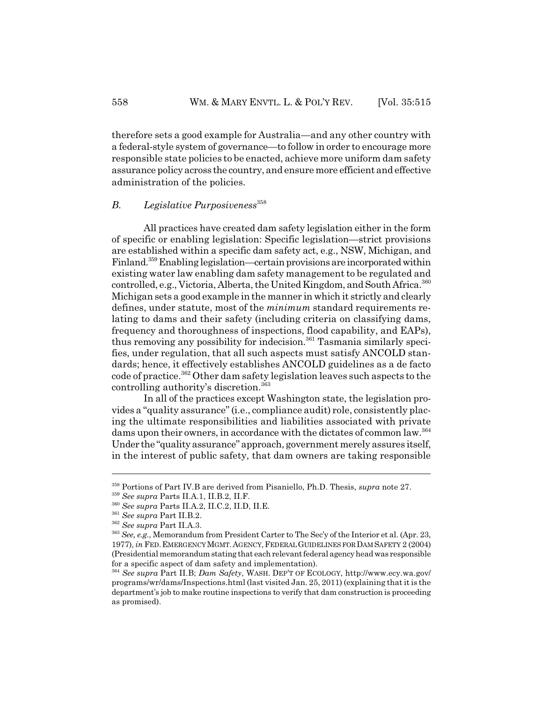therefore sets a good example for Australia—and any other country with a federal-style system of governance—to follow in order to encourage more responsible state policies to be enacted, achieve more uniform dam safety assurance policy across the country, and ensure more efficient and effective administration of the policies.

#### *B. Legislative Purposiveness*<sup>358</sup>

All practices have created dam safety legislation either in the form of specific or enabling legislation: Specific legislation—strict provisions are established within a specific dam safety act, e.g., NSW, Michigan, and Finland.<sup>359</sup> Enabling legislation—certain provisions are incorporated within existing water law enabling dam safety management to be regulated and controlled, e.g., Victoria, Alberta, the United Kingdom, and South Africa.<sup>360</sup> Michigan sets a good example in the manner in which it strictly and clearly defines, under statute, most of the *minimum* standard requirements relating to dams and their safety (including criteria on classifying dams, frequency and thoroughness of inspections, flood capability, and EAPs), thus removing any possibility for indecision.<sup>361</sup> Tasmania similarly specifies, under regulation, that all such aspects must satisfy ANCOLD standards; hence, it effectively establishes ANCOLD guidelines as a de facto code of practice.<sup>362</sup> Other dam safety legislation leaves such aspects to the controlling authority's discretion.363

In all of the practices except Washington state, the legislation provides a "quality assurance" (i.e., compliance audit) role, consistently placing the ultimate responsibilities and liabilities associated with private dams upon their owners, in accordance with the dictates of common law.364 Under the "quality assurance" approach, government merely assures itself, in the interest of public safety, that dam owners are taking responsible

<sup>358</sup> Portions of Part IV.B are derived from Pisaniello, Ph.D. Thesis, *supra* note 27.

<sup>359</sup> *See supra* Parts II.A.1, II.B.2, II.F.

<sup>360</sup> *See supra* Parts II.A.2, II.C.2, II.D, II.E.

<sup>361</sup> *See supra* Part II.B.2.

<sup>362</sup> *See supra* Part II.A.3.

<sup>363</sup> *See, e.g.*, Memorandum from President Carter to The Sec'y of the Interior et al. (Apr. 23, 1977), *in* FED.EMERGENCY MGMT.AGENCY,FEDERAL GUIDELINES FOR DAM SAFETY 2 (2004) (Presidential memorandum stating that each relevant federal agency head was responsible for a specific aspect of dam safety and implementation).

<sup>364</sup> *See supra* Part II.B; *Dam Safety*, WASH. DEP'T OF ECOLOGY, http://www.ecy.wa.gov/ programs/wr/dams/Inspections.html (last visited Jan. 25, 2011) (explaining that it is the department's job to make routine inspections to verify that dam construction is proceeding as promised).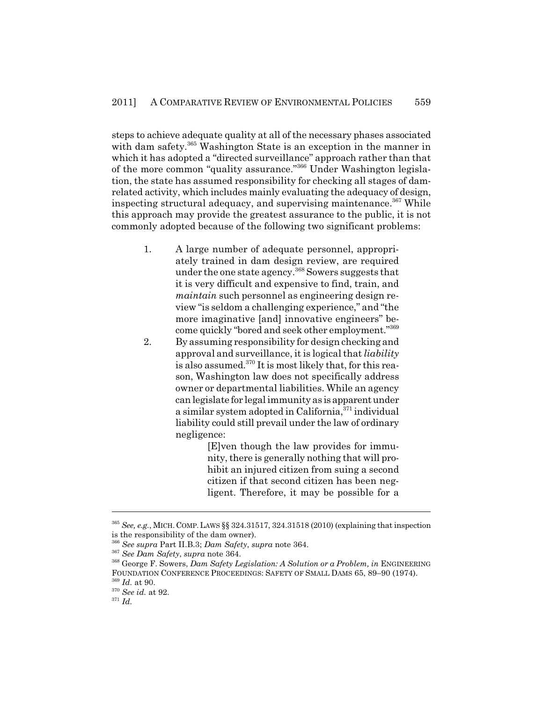steps to achieve adequate quality at all of the necessary phases associated with dam safety.<sup>365</sup> Washington State is an exception in the manner in which it has adopted a "directed surveillance" approach rather than that of the more common "quality assurance."366 Under Washington legislation, the state has assumed responsibility for checking all stages of damrelated activity, which includes mainly evaluating the adequacy of design, inspecting structural adequacy, and supervising maintenance.<sup>367</sup> While this approach may provide the greatest assurance to the public, it is not commonly adopted because of the following two significant problems:

- 1. A large number of adequate personnel, appropriately trained in dam design review, are required under the one state agency.368 Sowers suggests that it is very difficult and expensive to find, train, and *maintain* such personnel as engineering design review "is seldom a challenging experience," and "the more imaginative [and] innovative engineers" become quickly "bored and seek other employment."369
- 2. By assuming responsibility for design checking and approval and surveillance, it is logical that *liability* is also assumed.<sup>370</sup> It is most likely that, for this reason, Washington law does not specifically address owner or departmental liabilities. While an agency can legislate for legal immunity as is apparent under a similar system adopted in California, $371$  individual liability could still prevail under the law of ordinary negligence:

[E]ven though the law provides for immunity, there is generally nothing that will prohibit an injured citizen from suing a second citizen if that second citizen has been negligent. Therefore, it may be possible for a

<sup>365</sup> *See, e.g.*, MICH. COMP.LAWS §§ 324.31517, 324.31518 (2010) (explaining that inspection is the responsibility of the dam owner).

<sup>366</sup> *See supra* Part II.B.3; *Dam Safety*, *supra* note 364.

<sup>367</sup> *See Dam Safety*, *supra* note 364.

<sup>368</sup> George F. Sowers, *Dam Safety Legislation: A Solution or a Problem, in* ENGINEERING FOUNDATION CONFERENCE PROCEEDINGS: SAFETY OF SMALL DAMS 65, 89–90 (1974).

<sup>369</sup> *Id.* at 90.

<sup>370</sup> *See id.* at 92.

<sup>371</sup> *Id.*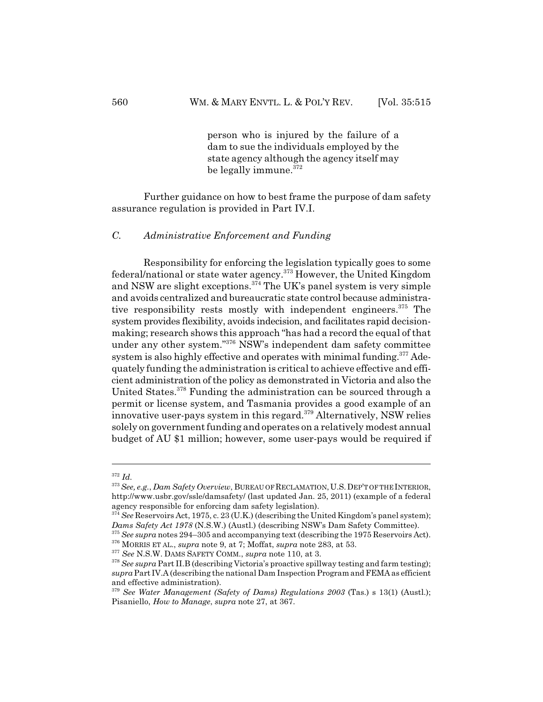person who is injured by the failure of a dam to sue the individuals employed by the state agency although the agency itself may be legally immune.<sup>372</sup>

Further guidance on how to best frame the purpose of dam safety assurance regulation is provided in Part IV.I.

*C. Administrative Enforcement and Funding*

Responsibility for enforcing the legislation typically goes to some federal/national or state water agency.<sup>373</sup> However, the United Kingdom and NSW are slight exceptions.<sup>374</sup> The UK's panel system is very simple and avoids centralized and bureaucratic state control because administrative responsibility rests mostly with independent engineers.<sup>375</sup> The system provides flexibility, avoids indecision, and facilitates rapid decisionmaking; research shows this approach "has had a record the equal of that under any other system."<sup>376</sup> NSW's independent dam safety committee system is also highly effective and operates with minimal funding.<sup>377</sup> Adequately funding the administration is critical to achieve effective and efficient administration of the policy as demonstrated in Victoria and also the United States.<sup>378</sup> Funding the administration can be sourced through a permit or license system, and Tasmania provides a good example of an innovative user-pays system in this regard.<sup>379</sup> Alternatively, NSW relies solely on government funding and operates on a relatively modest annual budget of AU \$1 million; however, some user-pays would be required if

<sup>372</sup> *Id.*

<sup>373</sup> *See, e.g.*, *Dam Safety Overview*, BUREAU OF RECLAMATION,U.S.DEP'T OF THE INTERIOR, http://www.usbr.gov/ssle/damsafety/ (last updated Jan. 25, 2011) (example of a federal agency responsible for enforcing dam safety legislation).

<sup>&</sup>lt;sup>374</sup> See Reservoirs Act, 1975, c. 23 (U.K.) (describing the United Kingdom's panel system); *Dams Safety Act 1978* (N.S.W.) (Austl.) (describing NSW's Dam Safety Committee).

<sup>375</sup> *See supra* notes 294–305 and accompanying text (describing the 1975 Reservoirs Act). 376 MORRIS ET AL., *supra* note 9, at 7; Moffat, *supra* note 283, at 53.

<sup>377</sup> *See* N.S.W. DAMS SAFETY COMM., *supra* note 110, at 3.

<sup>&</sup>lt;sup>378</sup> See supra Part II.B (describing Victoria's proactive spillway testing and farm testing); *supra* Part IV.A (describing the national Dam Inspection Program and FEMA as efficient and effective administration).

<sup>379</sup> *See Water Management (Safety of Dams) Regulations 2003* (Tas.) s 13(1) (Austl.); Pisaniello, *How to Manage*, *supra* note 27, at 367.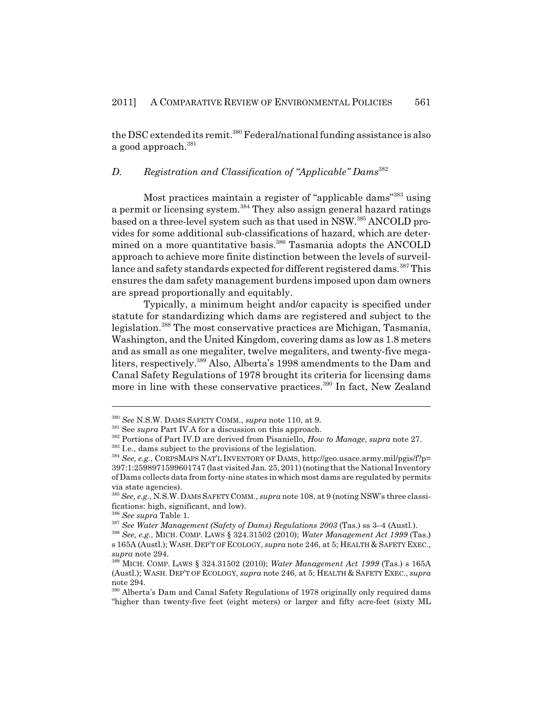the DSC extended its remit.<sup>380</sup> Federal/national funding assistance is also a good approach.<sup>381</sup>

# *D. Registration and Classification of "Applicable" Dams*<sup>382</sup>

Most practices maintain a register of "applicable dams"383 using a permit or licensing system.<sup>384</sup> They also assign general hazard ratings based on a three-level system such as that used in NSW.<sup>385</sup> ANCOLD provides for some additional sub-classifications of hazard, which are determined on a more quantitative basis.<sup>386</sup> Tasmania adopts the ANCOLD approach to achieve more finite distinction between the levels of surveillance and safety standards expected for different registered dams.<sup>387</sup> This ensures the dam safety management burdens imposed upon dam owners are spread proportionally and equitably.

Typically, a minimum height and/or capacity is specified under statute for standardizing which dams are registered and subject to the legislation.388 The most conservative practices are Michigan, Tasmania, Washington, and the United Kingdom, covering dams as low as 1.8 meters and as small as one megaliter, twelve megaliters, and twenty-five megaliters, respectively.389 Also, Alberta's 1998 amendments to the Dam and Canal Safety Regulations of 1978 brought its criteria for licensing dams more in line with these conservative practices.<sup>390</sup> In fact, New Zealand

<sup>380</sup> *See* N.S.W. DAMS SAFETY COMM., *supra* note 110, at 9.

<sup>&</sup>lt;sup>381</sup> See *supra* Part IV.A for a discussion on this approach.

<sup>382</sup> Portions of Part IV.D are derived from Pisaniello, *How to Manage*, *supra* note 27.

<sup>&</sup>lt;sup>383</sup> I.e., dams subject to the provisions of the legislation.

<sup>384</sup> *See, e.g.*, CORPSMAPS NAT'L INVENTORY OF DAMS, http://geo.usace.army.mil/pgis/f?p= 397:1:2598971599601747 (last visited Jan. 25, 2011) (noting that the National Inventory of Dams collects data from forty-nine states in which most dams are regulated by permits via state agencies).

<sup>385</sup> *See, e.g.*, N.S.W.DAMS SAFETY COMM., *supra* note 108, at 9 (noting NSW's three classifications: high, significant, and low).

<sup>386</sup> *See supra* Table 1.

<sup>387</sup> *See Water Management (Safety of Dams) Regulations 2003* (Tas.) ss 3–4 (Austl.).

<sup>388</sup> *See, e.g.*, MICH. COMP. LAWS § 324.31502 (2010); *Water Management Act 1999* (Tas.) s 165A (Austl.); WASH.DEP'T OF ECOLOGY, *supra* note 246, at 5; HEALTH & SAFETY EXEC., *supra* note 294.

<sup>389</sup> MICH. COMP. LAWS § 324.31502 (2010); *Water Management Act 1999* (Tas.) s 165A (Austl.); WASH. DEP'T OF ECOLOGY, *supra* note 246, at 5; HEALTH & SAFETY EXEC., *supra* note 294.

<sup>&</sup>lt;sup>390</sup> Alberta's Dam and Canal Safety Regulations of 1978 originally only required dams "higher than twenty-five feet (eight meters) or larger and fifty acre-feet (sixty ML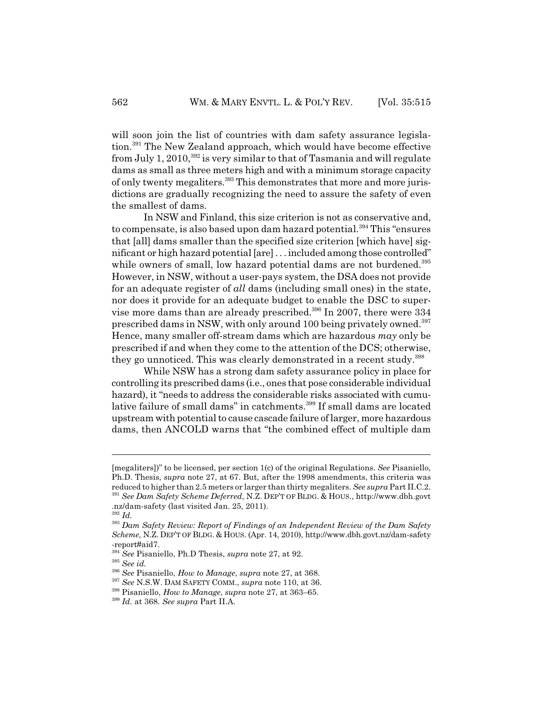will soon join the list of countries with dam safety assurance legislation.391 The New Zealand approach, which would have become effective from July 1, 2010,<sup>392</sup> is very similar to that of Tasmania and will regulate dams as small as three meters high and with a minimum storage capacity of only twenty megaliters.393 This demonstrates that more and more jurisdictions are gradually recognizing the need to assure the safety of even the smallest of dams.

In NSW and Finland, this size criterion is not as conservative and, to compensate, is also based upon dam hazard potential.<sup>394</sup> This "ensures" that [all] dams smaller than the specified size criterion [which have] significant or high hazard potential [are] . . . included among those controlled" while owners of small, low hazard potential dams are not burdened.<sup>395</sup> However, in NSW, without a user-pays system, the DSA does not provide for an adequate register of *all* dams (including small ones) in the state, nor does it provide for an adequate budget to enable the DSC to supervise more dams than are already prescribed.<sup>396</sup> In 2007, there were 334 prescribed dams in NSW, with only around 100 being privately owned.<sup>397</sup> Hence, many smaller off-stream dams which are hazardous *may* only be prescribed if and when they come to the attention of the DCS; otherwise, they go unnoticed. This was clearly demonstrated in a recent study.<sup>398</sup>

While NSW has a strong dam safety assurance policy in place for controlling its prescribed dams (i.e., ones that pose considerable individual hazard), it "needs to address the considerable risks associated with cumulative failure of small dams" in catchments.<sup>399</sup> If small dams are located upstream with potential to cause cascade failure of larger, more hazardous dams, then ANCOLD warns that "the combined effect of multiple dam

<sup>[</sup>megaliters])" to be licensed, per section 1(c) of the original Regulations. *See* Pisaniello, Ph.D. Thesis, *supra* note 27, at 67. But, after the 1998 amendments, this criteria was reduced to higher than 2.5 meters or larger than thirty megaliters. *See supra* Part II.C.2. <sup>391</sup> *See Dam Safety Scheme Deferred*, N.Z. DEP'T OF BLDG. & HOUS., http://www.dbh.govt .nz/dam-safety (last visited Jan. 25, 2011).

<sup>392</sup> *Id.*

<sup>393</sup> *Dam Safety Review: Report of Findings of an Independent Review of the Dam Safety Scheme*, N.Z. DEP'T OF BLDG. & HOUS. (Apr. 14, 2010), http://www.dbh.govt.nz/dam-safety -report#aid7.

<sup>394</sup> *See* Pisaniello, Ph.D Thesis, *supra* note 27, at 92.

<sup>395</sup> *See id.*

<sup>396</sup> *See* Pisaniello, *How to Manage*, *supra* note 27, at 368.

<sup>397</sup> *See* N.S.W. DAM SAFETY COMM., *supra* note 110, at 36.

<sup>398</sup> Pisaniello, *How to Manage*, *supra* note 27, at 363–65.

<sup>399</sup> *Id.* at 368. *See supra* Part II.A.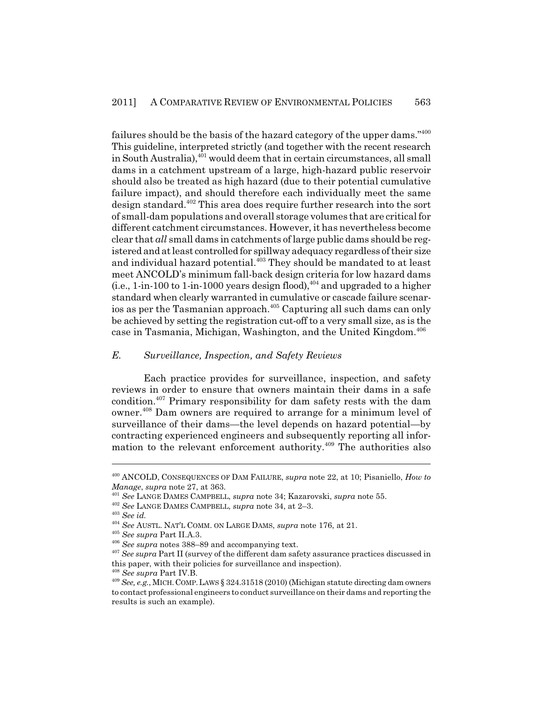failures should be the basis of the hazard category of the upper dams."400 This guideline, interpreted strictly (and together with the recent research in South Australia),<sup>401</sup> would deem that in certain circumstances, all small dams in a catchment upstream of a large, high-hazard public reservoir should also be treated as high hazard (due to their potential cumulative failure impact), and should therefore each individually meet the same design standard.<sup>402</sup> This area does require further research into the sort of small-dam populations and overall storage volumes that are critical for different catchment circumstances. However, it has nevertheless become clear that *all* small dams in catchments of large public dams should be registered and at least controlled for spillway adequacy regardless of their size and individual hazard potential.<sup>403</sup> They should be mandated to at least meet ANCOLD's minimum fall-back design criteria for low hazard dams (i.e., 1-in-100 to 1-in-1000 years design flood),  $404$  and upgraded to a higher standard when clearly warranted in cumulative or cascade failure scenarios as per the Tasmanian approach.405 Capturing all such dams can only be achieved by setting the registration cut-off to a very small size, as is the case in Tasmania, Michigan, Washington, and the United Kingdom.406

#### *E. Surveillance, Inspection, and Safety Reviews*

Each practice provides for surveillance, inspection, and safety reviews in order to ensure that owners maintain their dams in a safe condition.<sup> $407$ </sup> Primary responsibility for dam safety rests with the dam owner.408 Dam owners are required to arrange for a minimum level of surveillance of their dams—the level depends on hazard potential—by contracting experienced engineers and subsequently reporting all information to the relevant enforcement authority.<sup>409</sup> The authorities also

<sup>400</sup> ANCOLD, CONSEQUENCES OF DAM FAILURE, *supra* note 22, at 10; Pisaniello, *How to Manage*, *supra* note 27, at 363.

<sup>401</sup> *See* LANGE DAMES CAMPBELL, *supra* note 34; Kazarovski, *supra* note 55.

<sup>402</sup> *See* LANGE DAMES CAMPBELL, *supra* note 34, at 2–3.

<sup>403</sup> *See id.*

<sup>404</sup> *See* AUSTL. NAT'L COMM. ON LARGE DAMS, *supra* note 176, at 21.

<sup>405</sup> *See supra* Part II.A.3.

<sup>406</sup> *See supra* notes 388–89 and accompanying text.

<sup>407</sup> *See supra* Part II (survey of the different dam safety assurance practices discussed in this paper, with their policies for surveillance and inspection).

<sup>408</sup> *See supra* Part IV.B.

<sup>409</sup> *See, e.g.*, MICH.COMP.LAWS § 324.31518 (2010) (Michigan statute directing dam owners to contact professional engineers to conduct surveillance on their dams and reporting the results is such an example).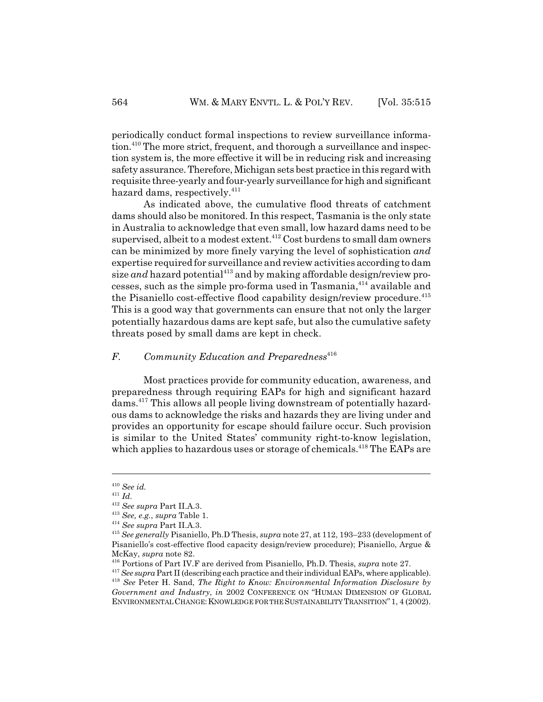periodically conduct formal inspections to review surveillance information.<sup>410</sup> The more strict, frequent, and thorough a surveillance and inspection system is, the more effective it will be in reducing risk and increasing safety assurance. Therefore, Michigan sets best practice in this regard with requisite three-yearly and four-yearly surveillance for high and significant hazard dams, respectively.<sup>411</sup>

As indicated above, the cumulative flood threats of catchment dams should also be monitored. In this respect, Tasmania is the only state in Australia to acknowledge that even small, low hazard dams need to be supervised, albeit to a modest extent.<sup>412</sup> Cost burdens to small dam owners can be minimized by more finely varying the level of sophistication *and* expertise required for surveillance and review activities according to dam size *and* hazard potential<sup>413</sup> and by making affordable design/review processes, such as the simple pro-forma used in Tasmania,<sup>414</sup> available and the Pisaniello cost-effective flood capability design/review procedure.<sup>415</sup> This is a good way that governments can ensure that not only the larger potentially hazardous dams are kept safe, but also the cumulative safety threats posed by small dams are kept in check.

# *F.* Community Education and Preparedness<sup>416</sup>

Most practices provide for community education, awareness, and preparedness through requiring EAPs for high and significant hazard dams.417 This allows all people living downstream of potentially hazardous dams to acknowledge the risks and hazards they are living under and provides an opportunity for escape should failure occur. Such provision is similar to the United States' community right-to-know legislation, which applies to hazardous uses or storage of chemicals.<sup>418</sup> The EAPs are

<sup>410</sup> *See id.*

<sup>411</sup> *Id.*

<sup>412</sup> *See supra* Part II.A.3.

<sup>413</sup> *See, e.g.*, *supra* Table 1.

<sup>414</sup> *See supra* Part II.A.3.

<sup>415</sup> *See generally* Pisaniello, Ph.D Thesis, *supra* note 27, at 112, 193–233 (development of Pisaniello's cost-effective flood capacity design/review procedure); Pisaniello, Argue & McKay, *supra* note 82.

<sup>416</sup> Portions of Part IV.F are derived from Pisaniello, Ph.D. Thesis, *supra* note 27.

<sup>&</sup>lt;sup>417</sup> See supra Part II (describing each practice and their individual EAPs, where applicable).

<sup>418</sup> *See* Peter H. Sand, *The Right to Know: Environmental Information Disclosure by Government and Industry*, *in* 2002 CONFERENCE ON "HUMAN DIMENSION OF GLOBAL ENVIRONMENTAL CHANGE: KNOWLEDGE FOR THE SUSTAINABILITY TRANSITION" 1, 4 (2002).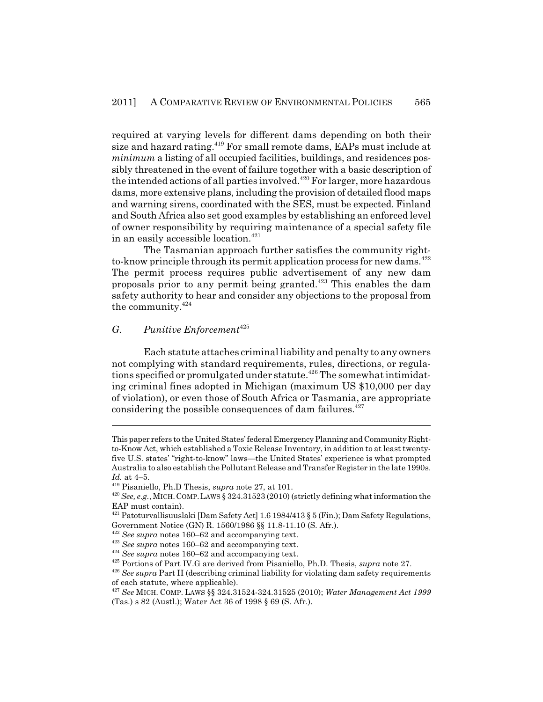required at varying levels for different dams depending on both their size and hazard rating.<sup>419</sup> For small remote dams, EAPs must include at *minimum* a listing of all occupied facilities, buildings, and residences possibly threatened in the event of failure together with a basic description of the intended actions of all parties involved.<sup>420</sup> For larger, more hazardous dams, more extensive plans, including the provision of detailed flood maps and warning sirens, coordinated with the SES, must be expected. Finland and South Africa also set good examples by establishing an enforced level of owner responsibility by requiring maintenance of a special safety file in an easily accessible location.<sup>421</sup>

The Tasmanian approach further satisfies the community rightto-know principle through its permit application process for new dams.<sup>422</sup> The permit process requires public advertisement of any new dam proposals prior to any permit being granted.423 This enables the dam safety authority to hear and consider any objections to the proposal from the community.<sup>424</sup>

#### *G. Punitive Enforcement*<sup>425</sup>

Each statute attaches criminal liability and penalty to any owners not complying with standard requirements, rules, directions, or regulations specified or promulgated under statute.<sup>426</sup> The somewhat intimidating criminal fines adopted in Michigan (maximum US \$10,000 per day of violation), or even those of South Africa or Tasmania, are appropriate considering the possible consequences of dam failures. $427$ 

This paper refers to the United States' federal Emergency Planning and Community Rightto-Know Act, which established a Toxic Release Inventory, in addition to at least twentyfive U.S. states' "right-to-know" laws—the United States' experience is what prompted Australia to also establish the Pollutant Release and Transfer Register in the late 1990s. *Id.* at 4–5.

<sup>419</sup> Pisaniello, Ph.D Thesis, *supra* note 27, at 101.

<sup>420</sup> *See, e.g.*, MICH.COMP.LAWS § 324.31523 (2010) (strictly defining what information the EAP must contain).

<sup>&</sup>lt;sup>421</sup> Patoturvallisuuslaki [Dam Safety Act] 1.6 1984/413  $\S 5$  (Fin.); Dam Safety Regulations, Government Notice (GN) R. 1560/1986 §§ 11.8-11.10 (S. Afr.).

<sup>422</sup> *See supra* notes 160–62 and accompanying text.

<sup>423</sup> *See supra* notes 160–62 and accompanying text.

<sup>424</sup> *See supra* notes 160–62 and accompanying text.

<sup>425</sup> Portions of Part IV.G are derived from Pisaniello, Ph.D. Thesis, *supra* note 27.

<sup>426</sup> *See supra* Part II (describing criminal liability for violating dam safety requirements of each statute, where applicable).

<sup>427</sup> *See* MICH. COMP. LAWS §§ 324.31524-324.31525 (2010); *Water Management Act 1999* (Tas.) s 82 (Austl.); Water Act 36 of 1998 § 69 (S. Afr.).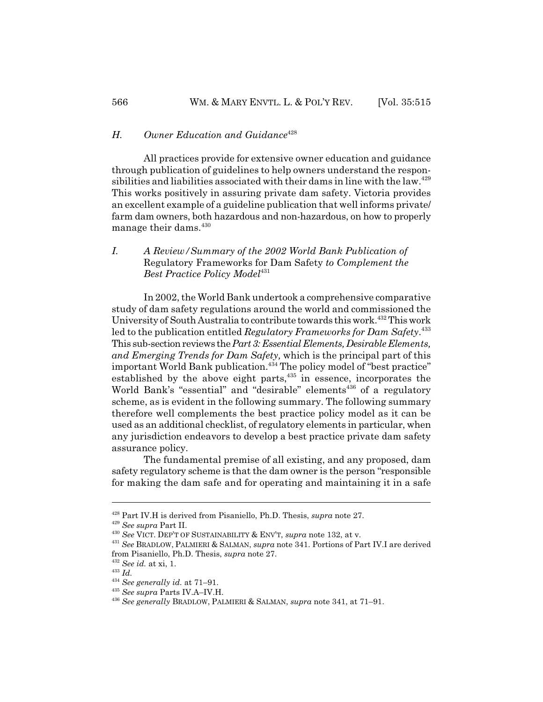#### *H. Owner Education and Guidance*<sup>428</sup>

All practices provide for extensive owner education and guidance through publication of guidelines to help owners understand the responsibilities and liabilities associated with their dams in line with the law.<sup>429</sup> This works positively in assuring private dam safety. Victoria provides an excellent example of a guideline publication that well informs private/ farm dam owners, both hazardous and non-hazardous, on how to properly manage their dams.<sup>430</sup>

# *I. A Review/Summary of the 2002 World Bank Publication of* Regulatory Frameworks for Dam Safety *to Complement the* **Best Practice Policy Model**<sup>431</sup>

In 2002, the World Bank undertook a comprehensive comparative study of dam safety regulations around the world and commissioned the University of South Australia to contribute towards this work.<sup>432</sup> This work led to the publication entitled *Regulatory Frameworks for Dam Safety*. 433 This sub-section reviews the *Part 3: Essential Elements, Desirable Elements, and Emerging Trends for Dam Safety,* which is the principal part of this important World Bank publication.<sup>434</sup> The policy model of "best practice" established by the above eight parts,<sup>435</sup> in essence, incorporates the World Bank's "essential" and "desirable" elements<sup>436</sup> of a regulatory scheme, as is evident in the following summary. The following summary therefore well complements the best practice policy model as it can be used as an additional checklist, of regulatory elements in particular, when any jurisdiction endeavors to develop a best practice private dam safety assurance policy.

The fundamental premise of all existing, and any proposed, dam safety regulatory scheme is that the dam owner is the person "responsible for making the dam safe and for operating and maintaining it in a safe

<sup>428</sup> Part IV.H is derived from Pisaniello, Ph.D. Thesis, *supra* note 27.

<sup>429</sup> *See supra* Part II.

<sup>430</sup> *See* VICT. DEP'T OF SUSTAINABILITY & ENV'T, *supra* note 132, at v.

<sup>431</sup> *See* BRADLOW, PALMIERI & SALMAN, *supra* note 341. Portions of Part IV.I are derived from Pisaniello, Ph.D. Thesis, *supra* note 27.

<sup>432</sup> *See id.* at xi, 1.

<sup>433</sup> *Id.*

<sup>434</sup> *See generally id.* at 71–91.

<sup>435</sup> *See supra* Parts IV.A–IV.H.

<sup>436</sup> *See generally* BRADLOW, PALMIERI & SALMAN, *supra* note 341, at 71–91.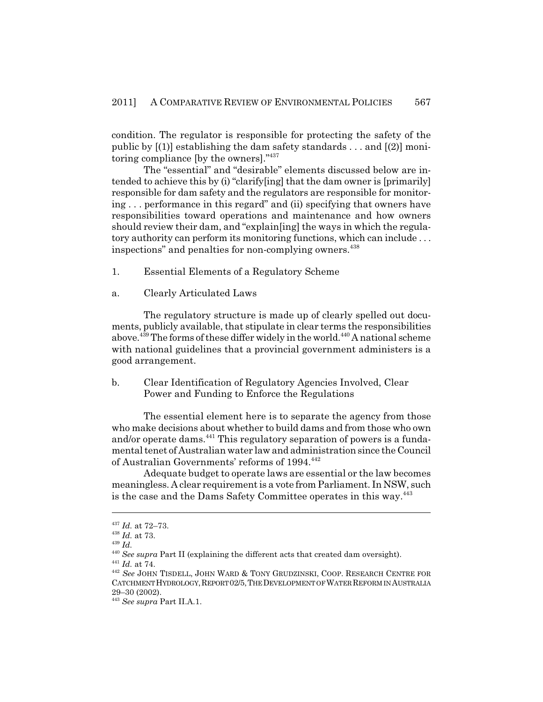condition. The regulator is responsible for protecting the safety of the public by  $[(1)]$  establishing the dam safety standards . . . and  $[(2)]$  monitoring compliance [by the owners]."437

The "essential" and "desirable" elements discussed below are intended to achieve this by (i) "clarify[ing] that the dam owner is [primarily] responsible for dam safety and the regulators are responsible for monitoring . . . performance in this regard" and (ii) specifying that owners have responsibilities toward operations and maintenance and how owners should review their dam, and "explain[ing] the ways in which the regulatory authority can perform its monitoring functions, which can include . . . inspections" and penalties for non-complying owners.<sup>438</sup>

- 1. Essential Elements of a Regulatory Scheme
- a. Clearly Articulated Laws

The regulatory structure is made up of clearly spelled out documents, publicly available, that stipulate in clear terms the responsibilities above.<sup>439</sup> The forms of these differ widely in the world.<sup>440</sup> A national scheme with national guidelines that a provincial government administers is a good arrangement.

b. Clear Identification of Regulatory Agencies Involved, Clear Power and Funding to Enforce the Regulations

The essential element here is to separate the agency from those who make decisions about whether to build dams and from those who own and/or operate dams.<sup>441</sup> This regulatory separation of powers is a fundamental tenet of Australian water law and administration since the Council of Australian Governments' reforms of 1994.442

Adequate budget to operate laws are essential or the law becomes meaningless. A clear requirement is a vote from Parliament. In NSW, such is the case and the Dams Safety Committee operates in this way.<sup>443</sup>

<sup>437</sup> *Id.* at 72–73.

<sup>438</sup> *Id.* at 73.

<sup>439</sup> *Id.*

<sup>440</sup> *See supra* Part II (explaining the different acts that created dam oversight).

<sup>441</sup> *Id.* at 74.

<sup>442</sup> *See* JOHN TISDELL, JOHN WARD & TONY GRUDZINSKI, COOP. RESEARCH CENTRE FOR CATCHMENT HYDROLOGY,REPORT 02/5,THE DEVELOPMENT OF WATER REFORM IN AUSTRALIA 29–30 (2002).

<sup>443</sup> *See supra* Part II.A.1.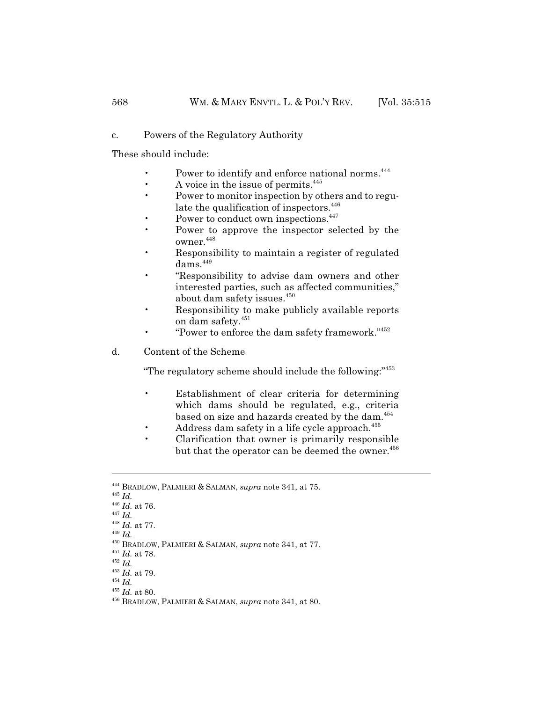#### c. Powers of the Regulatory Authority

These should include:

- Power to identify and enforce national norms.<sup>444</sup>
- A voice in the issue of permits. $445$
- Power to monitor inspection by others and to regulate the qualification of inspectors.<sup>446</sup>
- Power to conduct own inspections.<sup>447</sup>
- Power to approve the inspector selected by the  $\alpha$ wner.  $448$
- Responsibility to maintain a register of regulated  $dams.<sup>449</sup>$
- "Responsibility to advise dam owners and other interested parties, such as affected communities," about dam safety issues.<sup>450</sup>
- Responsibility to make publicly available reports on dam safety.  $\real^{451}$
- "Power to enforce the dam safety framework."<sup>452</sup>
- d. Content of the Scheme

"The regulatory scheme should include the following:"453

- Establishment of clear criteria for determining which dams should be regulated, e.g., criteria based on size and hazards created by the dam.<sup>454</sup>
- Address dam safety in a life cycle approach.<sup>455</sup>
- Clarification that owner is primarily responsible but that the operator can be deemed the owner.<sup>456</sup>

<sup>444</sup> BRADLOW, PALMIERI & SALMAN, *supra* note 341, at 75.

<sup>445</sup> *Id.*

<sup>446</sup> *Id.* at 76.

<sup>447</sup> *Id.*

<sup>448</sup> *Id.* at 77.

<sup>449</sup> *Id.*

<sup>450</sup> BRADLOW, PALMIERI & SALMAN, *supra* note 341, at 77.

<sup>451</sup> *Id.* at 78.

<sup>452</sup> *Id.*

<sup>453</sup> *Id.* at 79.

<sup>454</sup> *Id.*

 $\real^{455}$   $Id.$  at 80.

<sup>456</sup> BRADLOW, PALMIERI & SALMAN, *supra* note 341, at 80.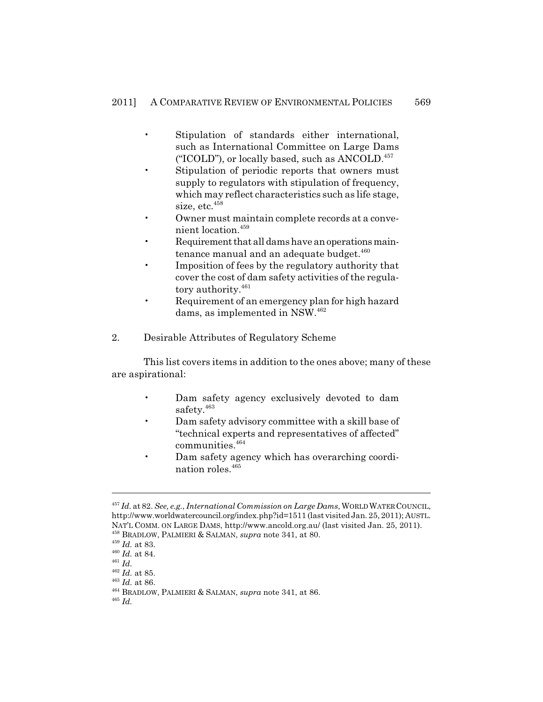- Stipulation of standards either international, such as International Committee on Large Dams ("ICOLD"), or locally based, such as  $\rm ANCOLD$ <sup>457</sup>
- Stipulation of periodic reports that owners must supply to regulators with stipulation of frequency, which may reflect characteristics such as life stage, size, etc. $458$
- Owner must maintain complete records at a convenient location.459
- Requirement that all dams have an operations maintenance manual and an adequate budget. $460$
- Imposition of fees by the regulatory authority that cover the cost of dam safety activities of the regulatory authority.<sup>461</sup>
- Requirement of an emergency plan for high hazard dams, as implemented in NSW.<sup>462</sup>
- 2. Desirable Attributes of Regulatory Scheme

This list covers items in addition to the ones above; many of these are aspirational:

- Dam safety agency exclusively devoted to dam safety.<sup>463</sup>
- Dam safety advisory committee with a skill base of "technical experts and representatives of affected" communities.464
- Dam safety agency which has overarching coordination roles.465

<sup>457</sup> *Id.* at 82. *See, e.g.*, *International Commission on Large Dams*, WORLD WATER COUNCIL, http://www.worldwatercouncil.org/index.php?id=1511 (last visited Jan. 25, 2011); AUSTL. NAT'L COMM. ON LARGE DAMS, http://www.ancold.org.au/ (last visited Jan. 25, 2011).

<sup>458</sup> BRADLOW, PALMIERI & SALMAN, *supra* note 341, at 80.

<sup>459</sup> *Id.* at 83. <sup>460</sup> *Id.* at 84.

<sup>461</sup> *Id.*

 $^{462}$   $\emph{Id.}$  at 85.

<sup>463</sup> *Id.* at 86.

<sup>464</sup> BRADLOW, PALMIERI & SALMAN, *supra* note 341, at 86.

<sup>465</sup> *Id.*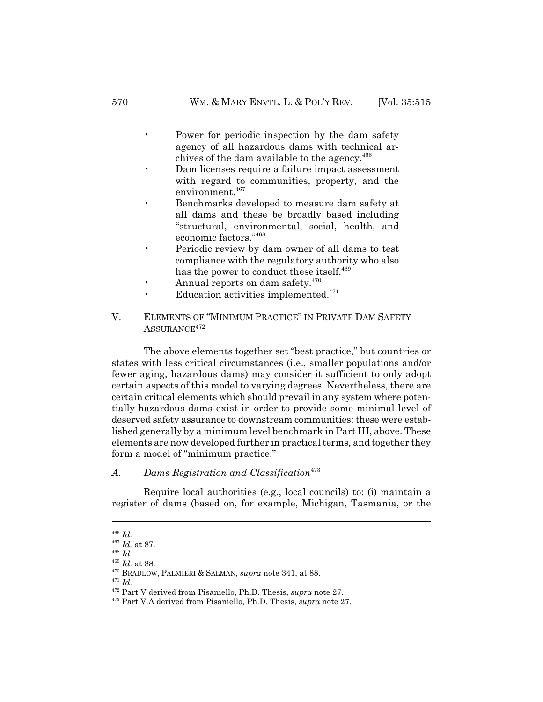- Power for periodic inspection by the dam safety agency of all hazardous dams with technical archives of the dam available to the agency.<sup>466</sup>
- Dam licenses require a failure impact assessment with regard to communities, property, and the environment.<sup>467</sup>
- Benchmarks developed to measure dam safety at all dams and these be broadly based including "structural, environmental, social, health, and economic factors."468
- Periodic review by dam owner of all dams to test compliance with the regulatory authority who also has the power to conduct these itself.<sup>469</sup>
- Annual reports on dam safety. $470$
- Education activities implemented. $471$
- V. ELEMENTS OF "MINIMUM PRACTICE" IN PRIVATE DAM SAFETY ASSURANCE<sup>472</sup>

The above elements together set "best practice," but countries or states with less critical circumstances (i.e., smaller populations and/or fewer aging, hazardous dams) may consider it sufficient to only adopt certain aspects of this model to varying degrees. Nevertheless, there are certain critical elements which should prevail in any system where potentially hazardous dams exist in order to provide some minimal level of deserved safety assurance to downstream communities: these were established generally by a minimum level benchmark in Part III, above. These elements are now developed further in practical terms, and together they form a model of "minimum practice."

#### A. Dams Registration and Classification<sup>473</sup>

Require local authorities (e.g., local councils) to: (i) maintain a register of dams (based on, for example, Michigan, Tasmania, or the

<sup>466</sup> *Id.*

<sup>467</sup> *Id.* at 87.

<sup>468</sup> *Id.*

<sup>469</sup> *Id.* at 88.

<sup>470</sup> BRADLOW, PALMIERI & SALMAN, *supra* note 341, at 88.

<sup>471</sup> *Id.*

<sup>472</sup> Part V derived from Pisaniello, Ph.D. Thesis, *supra* note 27.

<sup>473</sup> Part V.A derived from Pisaniello, Ph.D. Thesis, *supra* note 27.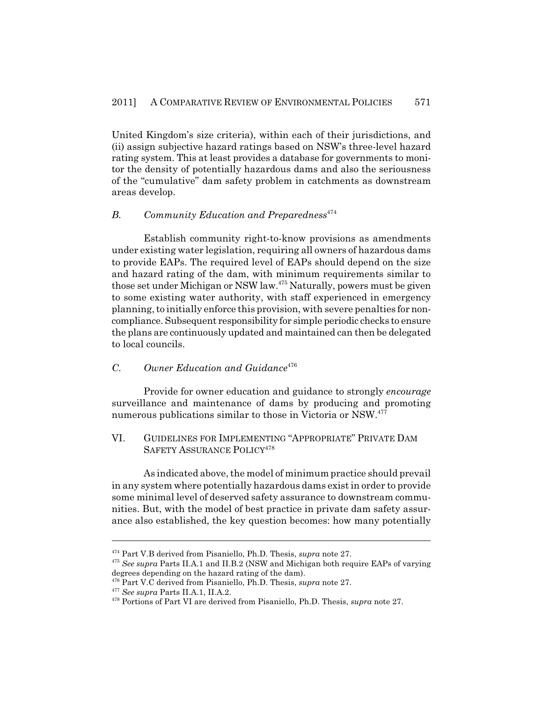United Kingdom's size criteria), within each of their jurisdictions, and (ii) assign subjective hazard ratings based on NSW's three-level hazard rating system. This at least provides a database for governments to monitor the density of potentially hazardous dams and also the seriousness of the "cumulative" dam safety problem in catchments as downstream areas develop.

# *B. Community Education and Preparedness*<sup>474</sup>

Establish community right-to-know provisions as amendments under existing water legislation, requiring all owners of hazardous dams to provide EAPs. The required level of EAPs should depend on the size and hazard rating of the dam, with minimum requirements similar to those set under Michigan or NSW law.475 Naturally, powers must be given to some existing water authority, with staff experienced in emergency planning, to initially enforce this provision, with severe penalties for noncompliance. Subsequent responsibility for simple periodic checks to ensure the plans are continuously updated and maintained can then be delegated to local councils.

#### *C. Owner Education and Guidance*<sup>476</sup>

Provide for owner education and guidance to strongly *encourage* surveillance and maintenance of dams by producing and promoting numerous publications similar to those in Victoria or NSW.<sup>477</sup>

## VI. GUIDELINES FOR IMPLEMENTING "APPROPRIATE" PRIVATE DAM SAFETY ASSURANCE POLICY<sup>478</sup>

As indicated above, the model of minimum practice should prevail in any system where potentially hazardous dams exist in order to provide some minimal level of deserved safety assurance to downstream communities. But, with the model of best practice in private dam safety assurance also established, the key question becomes: how many potentially

<sup>474</sup> Part V.B derived from Pisaniello, Ph.D. Thesis, *supra* note 27.

<sup>475</sup> *See supra* Parts II.A.1 and II.B.2 (NSW and Michigan both require EAPs of varying degrees depending on the hazard rating of the dam).

<sup>476</sup> Part V.C derived from Pisaniello, Ph.D. Thesis, *supra* note 27.

<sup>477</sup> *See supra* Parts II.A.1, II.A.2.

<sup>478</sup> Portions of Part VI are derived from Pisaniello, Ph.D. Thesis, *supra* note 27.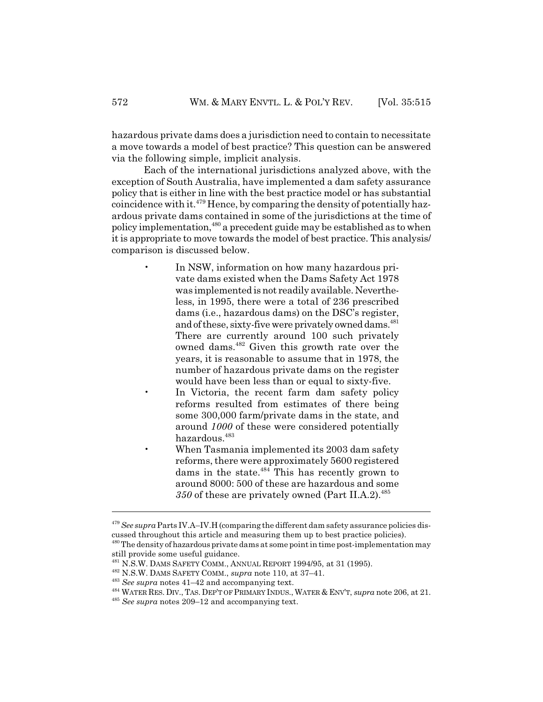hazardous private dams does a jurisdiction need to contain to necessitate a move towards a model of best practice? This question can be answered via the following simple, implicit analysis.

Each of the international jurisdictions analyzed above, with the exception of South Australia, have implemented a dam safety assurance policy that is either in line with the best practice model or has substantial coincidence with it. $479$  Hence, by comparing the density of potentially hazardous private dams contained in some of the jurisdictions at the time of policy implementation,<sup>480</sup> a precedent guide may be established as to when it is appropriate to move towards the model of best practice. This analysis/ comparison is discussed below.

- In NSW, information on how many hazardous private dams existed when the Dams Safety Act 1978 was implemented is not readily available. Nevertheless, in 1995, there were a total of 236 prescribed dams (i.e., hazardous dams) on the DSC's register, and of these, sixty-five were privately owned dams.<sup>481</sup> There are currently around 100 such privately owned dams.482 Given this growth rate over the years, it is reasonable to assume that in 1978, the number of hazardous private dams on the register would have been less than or equal to sixty-five.
- In Victoria, the recent farm dam safety policy reforms resulted from estimates of there being some 300,000 farm/private dams in the state, and around *1000* of these were considered potentially hazardous.<sup>483</sup>
- When Tasmania implemented its 2003 dam safety reforms, there were approximately 5600 registered dams in the state. $484$  This has recently grown to around 8000: 500 of these are hazardous and some 350 of these are privately owned (Part II.A.2).<sup>485</sup>

<sup>479</sup> *See supra* Parts IV.A–IV.H (comparing the different dam safety assurance policies discussed throughout this article and measuring them up to best practice policies). <sup>480</sup> The density of hazardous private dams at some point in time post-implementation may

still provide some useful guidance.

<sup>481</sup> N.S.W. DAMS SAFETY COMM., ANNUAL REPORT 1994/95, at 31 (1995).

<sup>482</sup> N.S.W. DAMS SAFETY COMM., *supra* note 110, at 37–41.

<sup>483</sup> *See supra* notes 41–42 and accompanying text.

<sup>&</sup>lt;sup>484</sup> WATER RES. DIV., TAS. DEP'T OF PRIMARY INDUS., WATER & ENV'T, *supra* note 206, at 21.

<sup>485</sup> *See supra* notes 209–12 and accompanying text.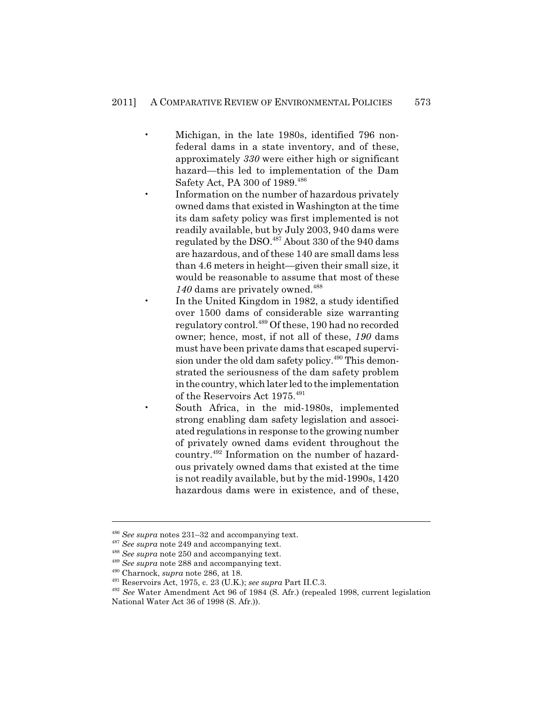- Michigan, in the late 1980s, identified 796 nonfederal dams in a state inventory, and of these, approximately *330* were either high or significant hazard—this led to implementation of the Dam Safety Act, PA 300 of 1989.<sup>486</sup>
	- Information on the number of hazardous privately owned dams that existed in Washington at the time its dam safety policy was first implemented is not readily available, but by July 2003, 940 dams were regulated by the DSO. $487$  About 330 of the 940 dams are hazardous, and of these 140 are small dams less than 4.6 meters in height—given their small size, it would be reasonable to assume that most of these 140 dams are privately owned.<sup>488</sup>
	- In the United Kingdom in 1982, a study identified over 1500 dams of considerable size warranting regulatory control.489 Of these, 190 had no recorded owner; hence, most, if not all of these, *190* dams must have been private dams that escaped supervision under the old dam safety policy.<sup>490</sup> This demonstrated the seriousness of the dam safety problem in the country, which later led to the implementation of the Reservoirs Act 1975.<sup>491</sup>
	- South Africa, in the mid-1980s, implemented strong enabling dam safety legislation and associated regulations in response to the growing number of privately owned dams evident throughout the country.492 Information on the number of hazardous privately owned dams that existed at the time is not readily available, but by the mid-1990s, 1420 hazardous dams were in existence, and of these,

<sup>486</sup> *See supra* notes 231–32 and accompanying text.

<sup>487</sup> *See supra* note 249 and accompanying text.

<sup>488</sup> *See supra* note 250 and accompanying text.

<sup>489</sup> *See supra* note 288 and accompanying text.

<sup>490</sup> Charnock, *supra* note 286, at 18.

<sup>491</sup> Reservoirs Act, 1975, c. 23 (U.K.); *see supra* Part II.C.3.

<sup>492</sup> *See* Water Amendment Act 96 of 1984 (S. Afr.) (repealed 1998, current legislation National Water Act 36 of 1998 (S. Afr.)).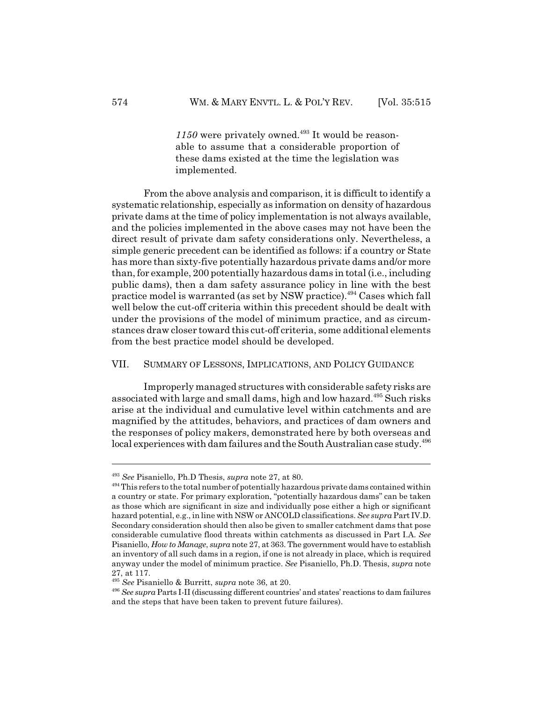$1150$  were privately owned.<sup>493</sup> It would be reasonable to assume that a considerable proportion of these dams existed at the time the legislation was implemented.

From the above analysis and comparison, it is difficult to identify a systematic relationship, especially as information on density of hazardous private dams at the time of policy implementation is not always available, and the policies implemented in the above cases may not have been the direct result of private dam safety considerations only. Nevertheless, a simple generic precedent can be identified as follows: if a country or State has more than sixty-five potentially hazardous private dams and/or more than, for example, 200 potentially hazardous dams in total (i.e., including public dams), then a dam safety assurance policy in line with the best practice model is warranted (as set by NSW practice).494 Cases which fall well below the cut-off criteria within this precedent should be dealt with under the provisions of the model of minimum practice, and as circumstances draw closer toward this cut-off criteria, some additional elements from the best practice model should be developed.

#### VII. SUMMARY OF LESSONS, IMPLICATIONS, AND POLICY GUIDANCE

Improperly managed structures with considerable safety risks are associated with large and small dams, high and low hazard.495 Such risks arise at the individual and cumulative level within catchments and are magnified by the attitudes, behaviors, and practices of dam owners and the responses of policy makers, demonstrated here by both overseas and local experiences with dam failures and the South Australian case study.<sup>496</sup>

<sup>493</sup> *See* Pisaniello, Ph.D Thesis, *supra* note 27, at 80.

<sup>&</sup>lt;sup>494</sup> This refers to the total number of potentially hazardous private dams contained within a country or state. For primary exploration, "potentially hazardous dams" can be taken as those which are significant in size and individually pose either a high or significant hazard potential, e.g., in line with NSW or ANCOLD classifications. *See supra* Part IV.D. Secondary consideration should then also be given to smaller catchment dams that pose considerable cumulative flood threats within catchments as discussed in Part I.A. *See* Pisaniello, *How to Manage*, *supra* note 27, at 363. The government would have to establish an inventory of all such dams in a region, if one is not already in place, which is required anyway under the model of minimum practice. *See* Pisaniello, Ph.D. Thesis, *supra* note 27, at 117.

<sup>495</sup> *See* Pisaniello & Burritt, *supra* note 36, at 20.

<sup>496</sup> *See supra* Parts I-II (discussing different countries' and states' reactions to dam failures and the steps that have been taken to prevent future failures).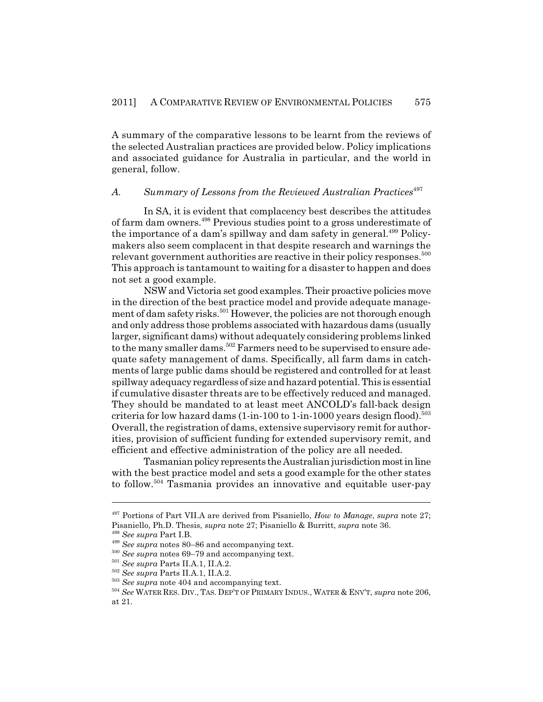A summary of the comparative lessons to be learnt from the reviews of the selected Australian practices are provided below. Policy implications and associated guidance for Australia in particular, and the world in general, follow.

#### A. Summary of Lessons from the Reviewed Australian Practices<sup>497</sup>

In SA, it is evident that complacency best describes the attitudes of farm dam owners.498 Previous studies point to a gross underestimate of the importance of a dam's spillway and dam safety in general.<sup>499</sup> Policymakers also seem complacent in that despite research and warnings the relevant government authorities are reactive in their policy responses.<sup>500</sup> This approach is tantamount to waiting for a disaster to happen and does not set a good example.

NSW and Victoria set good examples. Their proactive policies move in the direction of the best practice model and provide adequate management of dam safety risks.<sup>501</sup> However, the policies are not thorough enough and only address those problems associated with hazardous dams (usually larger, significant dams) without adequately considering problems linked to the many smaller dams.<sup>502</sup> Farmers need to be supervised to ensure adequate safety management of dams. Specifically, all farm dams in catchments of large public dams should be registered and controlled for at least spillway adequacy regardless of size and hazard potential. This is essential if cumulative disaster threats are to be effectively reduced and managed. They should be mandated to at least meet ANCOLD's fall-back design criteria for low hazard dams  $(1\text{-}in\text{-}100 \text{ to } 1\text{-}in\text{-}1000 \text{ years}$  design flood).<sup>503</sup> Overall, the registration of dams, extensive supervisory remit for authorities, provision of sufficient funding for extended supervisory remit, and efficient and effective administration of the policy are all needed.

Tasmanian policy represents the Australian jurisdiction most in line with the best practice model and sets a good example for the other states to follow.<sup>504</sup> Tasmania provides an innovative and equitable user-pay

<sup>497</sup> Portions of Part VII.A are derived from Pisaniello, *How to Manage*, *supra* note 27; Pisaniello, Ph.D. Thesis, *supra* note 27; Pisaniello & Burritt, *supra* note 36.

<sup>498</sup> *See supra* Part I.B.

<sup>499</sup> *See supra* notes 80–86 and accompanying text.

<sup>500</sup> *See supra* notes 69–79 and accompanying text.

<sup>501</sup> *See supra* Parts II.A.1, II.A.2.

<sup>502</sup> *See supra* Parts II.A.1, II.A.2.

<sup>503</sup> *See supra* note 404 and accompanying text.

<sup>504</sup> *See* WATER RES. DIV., TAS. DEP'T OF PRIMARY INDUS., WATER & ENV'T, *supra* note 206, at 21.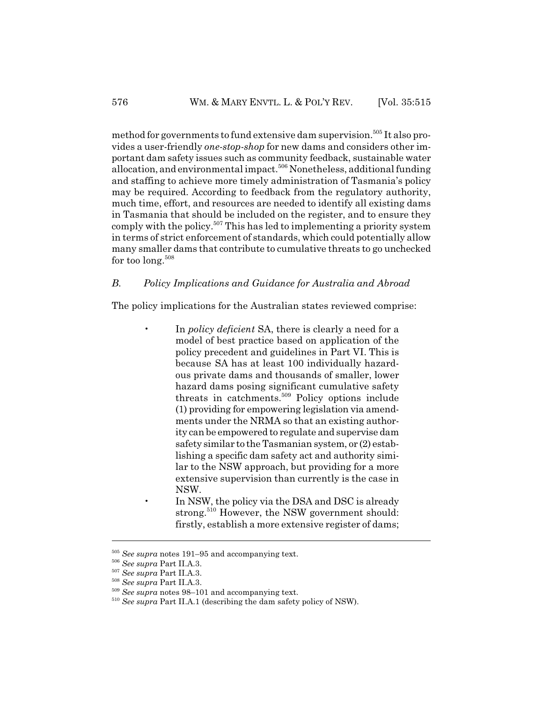method for governments to fund extensive dam supervision.<sup>505</sup> It also provides a user-friendly *one-stop-shop* for new dams and considers other important dam safety issues such as community feedback, sustainable water allocation, and environmental impact.<sup>506</sup> Nonetheless, additional funding and staffing to achieve more timely administration of Tasmania's policy may be required. According to feedback from the regulatory authority, much time, effort, and resources are needed to identify all existing dams in Tasmania that should be included on the register, and to ensure they comply with the policy.<sup>507</sup> This has led to implementing a priority system in terms of strict enforcement of standards, which could potentially allow many smaller dams that contribute to cumulative threats to go unchecked for too long. $508$ 

# *B. Policy Implications and Guidance for Australia and Abroad*

The policy implications for the Australian states reviewed comprise:

- In *policy deficient* SA, there is clearly a need for a model of best practice based on application of the policy precedent and guidelines in Part VI. This is because SA has at least 100 individually hazardous private dams and thousands of smaller, lower hazard dams posing significant cumulative safety threats in catchments.509 Policy options include (1) providing for empowering legislation via amendments under the NRMA so that an existing authority can be empowered to regulate and supervise dam safety similar to the Tasmanian system, or (2) establishing a specific dam safety act and authority similar to the NSW approach, but providing for a more extensive supervision than currently is the case in NSW.
	- In NSW, the policy via the DSA and DSC is already strong.<sup>510</sup> However, the NSW government should: firstly, establish a more extensive register of dams;

<sup>505</sup> *See supra* notes 191–95 and accompanying text.

<sup>506</sup> *See supra* Part II.A.3.

<sup>507</sup> *See supra* Part II.A.3.

<sup>508</sup> *See supra* Part II.A.3.

<sup>509</sup> *See supra* notes 98–101 and accompanying text.

<sup>510</sup> *See supra* Part II.A.1 (describing the dam safety policy of NSW).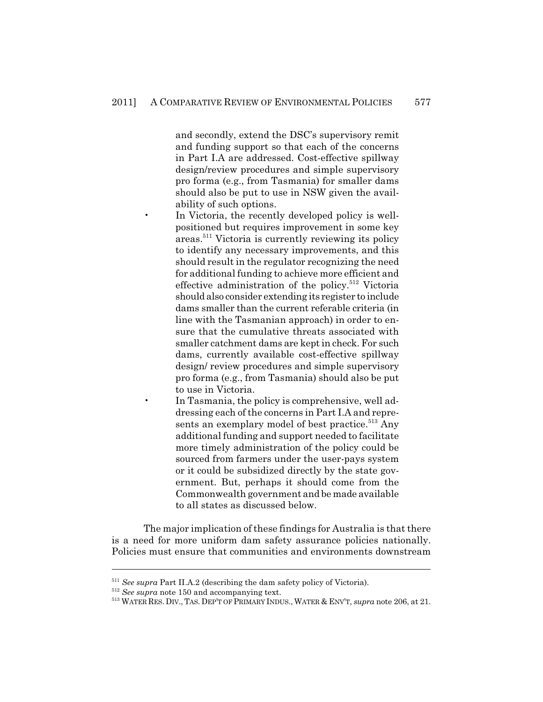and secondly, extend the DSC's supervisory remit and funding support so that each of the concerns in Part I.A are addressed. Cost-effective spillway design/review procedures and simple supervisory pro forma (e.g., from Tasmania) for smaller dams should also be put to use in NSW given the availability of such options.

- In Victoria, the recently developed policy is wellpositioned but requires improvement in some key areas.511 Victoria is currently reviewing its policy to identify any necessary improvements, and this should result in the regulator recognizing the need for additional funding to achieve more efficient and effective administration of the policy.<sup>512</sup> Victoria should also consider extending its register to include dams smaller than the current referable criteria (in line with the Tasmanian approach) in order to ensure that the cumulative threats associated with smaller catchment dams are kept in check. For such dams, currently available cost-effective spillway design/ review procedures and simple supervisory pro forma (e.g., from Tasmania) should also be put to use in Victoria.
- In Tasmania, the policy is comprehensive, well addressing each of the concerns in Part I.A and represents an exemplary model of best practice.<sup>513</sup> Any additional funding and support needed to facilitate more timely administration of the policy could be sourced from farmers under the user-pays system or it could be subsidized directly by the state government. But, perhaps it should come from the Commonwealth government and be made available to all states as discussed below.

The major implication of these findings for Australia is that there is a need for more uniform dam safety assurance policies nationally. Policies must ensure that communities and environments downstream

<sup>511</sup> *See supra* Part II.A.2 (describing the dam safety policy of Victoria).

<sup>512</sup> *See supra* note 150 and accompanying text.

<sup>513</sup> WATER RES. DIV.,TAS. DEP'T OF PRIMARY INDUS.,WATER & ENV'T, *supra* note 206, at 21.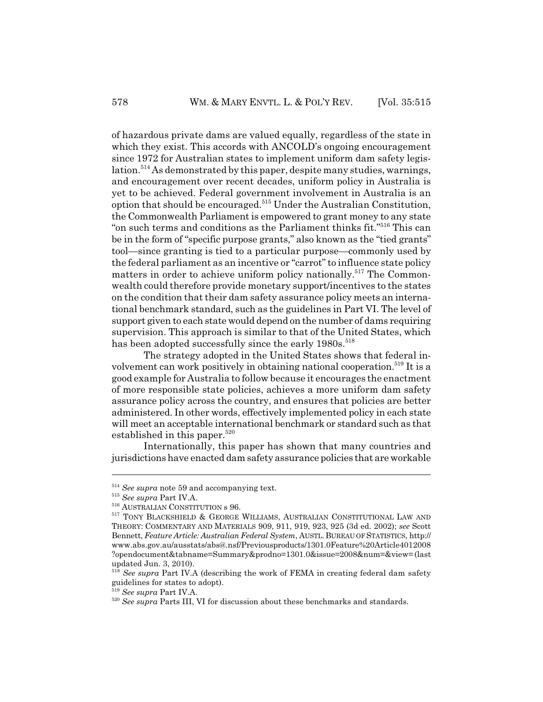of hazardous private dams are valued equally, regardless of the state in which they exist. This accords with ANCOLD's ongoing encouragement since 1972 for Australian states to implement uniform dam safety legislation.514 As demonstrated by this paper, despite many studies, warnings, and encouragement over recent decades, uniform policy in Australia is yet to be achieved. Federal government involvement in Australia is an option that should be encouraged.515 Under the Australian Constitution, the Commonwealth Parliament is empowered to grant money to any state "on such terms and conditions as the Parliament thinks fit."516 This can be in the form of "specific purpose grants," also known as the "tied grants" tool—since granting is tied to a particular purpose—commonly used by the federal parliament as an incentive or "carrot" to influence state policy matters in order to achieve uniform policy nationally.<sup>517</sup> The Commonwealth could therefore provide monetary support/incentives to the states on the condition that their dam safety assurance policy meets an international benchmark standard, such as the guidelines in Part VI. The level of support given to each state would depend on the number of dams requiring supervision. This approach is similar to that of the United States, which has been adopted successfully since the early 1980s.<sup>518</sup>

The strategy adopted in the United States shows that federal involvement can work positively in obtaining national cooperation.<sup>519</sup> It is a good example for Australia to follow because it encourages the enactment of more responsible state policies, achieves a more uniform dam safety assurance policy across the country, and ensures that policies are better administered. In other words, effectively implemented policy in each state will meet an acceptable international benchmark or standard such as that established in this paper. $520$ 

Internationally, this paper has shown that many countries and jurisdictions have enacted dam safety assurance policies that are workable

<sup>514</sup> *See supra* note 59 and accompanying text.

<sup>515</sup> *See supra* Part IV.A.

<sup>516</sup> AUSTRALIAN CONSTITUTION s 96.

<sup>517</sup> TONY BLACKSHIELD & GEORGE WILLIAMS, AUSTRALIAN CONSTITUTIONAL LAW AND THEORY: COMMENTARY AND MATERIALS 909, 911, 919, 923, 925 (3d ed. 2002); *see* Scott Bennett, *Feature Article: Australian Federal System*, AUSTL. BUREAU OF STATISTICS, http:// www.abs.gov.au/ausstats/abs@.nsf/Previousproducts/1301.0Feature%20Article4012008 ?opendocument&tabname=Summary&prodno=1301.0&issue=2008&num=&view= (last updated Jun. 3, 2010).

<sup>&</sup>lt;sup>518</sup> See supra Part IV.A (describing the work of FEMA in creating federal dam safety guidelines for states to adopt).

<sup>519</sup> *See supra* Part IV.A.

<sup>&</sup>lt;sup>520</sup> See supra Parts III, VI for discussion about these benchmarks and standards.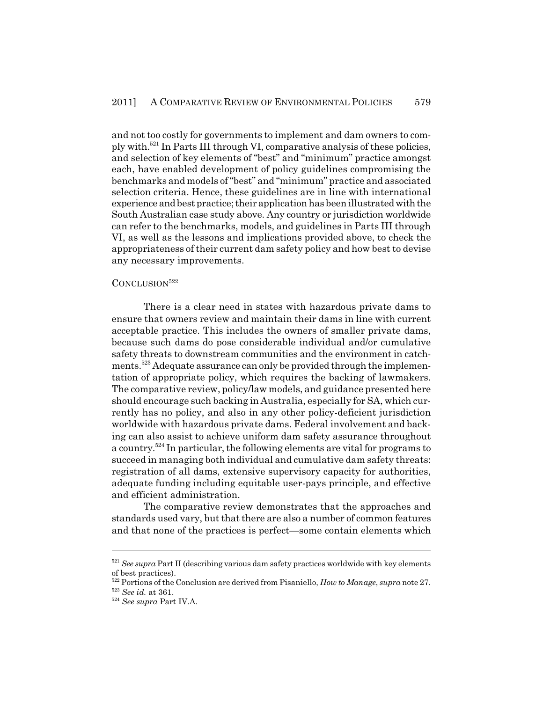and not too costly for governments to implement and dam owners to comply with.521 In Parts III through VI, comparative analysis of these policies, and selection of key elements of "best" and "minimum" practice amongst each, have enabled development of policy guidelines compromising the benchmarks and models of "best" and "minimum" practice and associated selection criteria. Hence, these guidelines are in line with international experience and best practice; their application has been illustrated with the South Australian case study above. Any country or jurisdiction worldwide can refer to the benchmarks, models, and guidelines in Parts III through VI, as well as the lessons and implications provided above, to check the appropriateness of their current dam safety policy and how best to devise any necessary improvements.

#### CONCLUSION<sup>522</sup>

There is a clear need in states with hazardous private dams to ensure that owners review and maintain their dams in line with current acceptable practice. This includes the owners of smaller private dams, because such dams do pose considerable individual and/or cumulative safety threats to downstream communities and the environment in catchments.523 Adequate assurance can only be provided through the implementation of appropriate policy, which requires the backing of lawmakers. The comparative review, policy/law models, and guidance presented here should encourage such backing in Australia, especially for SA, which currently has no policy, and also in any other policy-deficient jurisdiction worldwide with hazardous private dams. Federal involvement and backing can also assist to achieve uniform dam safety assurance throughout a country.<sup>524</sup> In particular, the following elements are vital for programs to succeed in managing both individual and cumulative dam safety threats: registration of all dams, extensive supervisory capacity for authorities, adequate funding including equitable user-pays principle, and effective and efficient administration.

The comparative review demonstrates that the approaches and standards used vary, but that there are also a number of common features and that none of the practices is perfect—some contain elements which

<sup>&</sup>lt;sup>521</sup> See supra Part II (describing various dam safety practices worldwide with key elements of best practices).

<sup>522</sup> Portions of the Conclusion are derived from Pisaniello, *How to Manage*, *supra* note 27.

<sup>523</sup> *See id.* at 361.

<sup>524</sup> *See supra* Part IV.A.